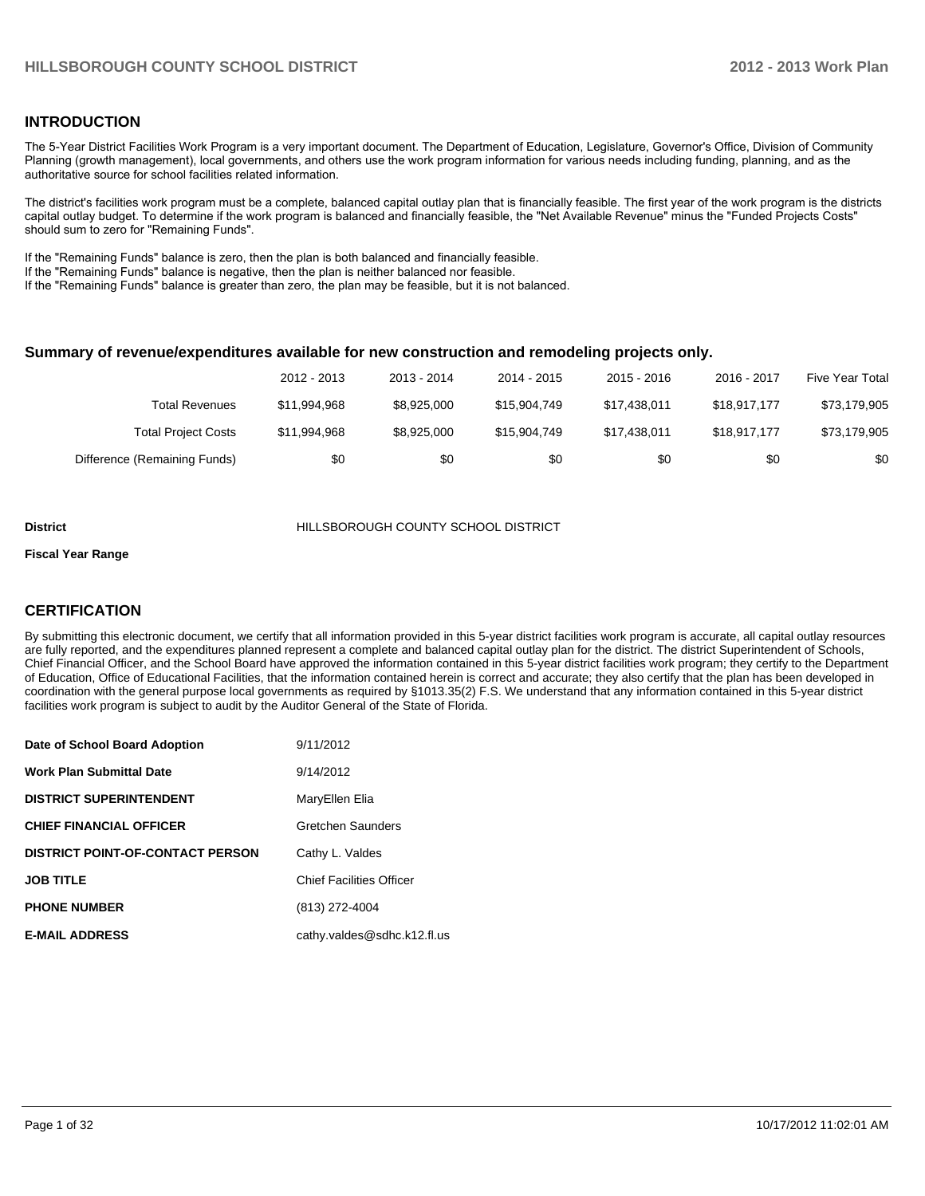#### **INTRODUCTION**

The 5-Year District Facilities Work Program is a very important document. The Department of Education, Legislature, Governor's Office, Division of Community Planning (growth management), local governments, and others use the work program information for various needs including funding, planning, and as the authoritative source for school facilities related information.

The district's facilities work program must be a complete, balanced capital outlay plan that is financially feasible. The first year of the work program is the districts capital outlay budget. To determine if the work program is balanced and financially feasible, the "Net Available Revenue" minus the "Funded Projects Costs" should sum to zero for "Remaining Funds".

If the "Remaining Funds" balance is zero, then the plan is both balanced and financially feasible.

If the "Remaining Funds" balance is negative, then the plan is neither balanced nor feasible.

If the "Remaining Funds" balance is greater than zero, the plan may be feasible, but it is not balanced.

#### **Summary of revenue/expenditures available for new construction and remodeling projects only.**

|                              | 2012 - 2013  | 2013 - 2014 | 2014 - 2015  | $2015 - 2016$ | 2016 - 2017  | <b>Five Year Total</b> |
|------------------------------|--------------|-------------|--------------|---------------|--------------|------------------------|
| Total Revenues               | \$11.994.968 | \$8,925,000 | \$15,904,749 | \$17.438.011  | \$18.917.177 | \$73,179,905           |
| <b>Total Project Costs</b>   | \$11.994.968 | \$8,925,000 | \$15,904,749 | \$17.438.011  | \$18.917.177 | \$73,179,905           |
| Difference (Remaining Funds) | \$0          | \$0         | \$0          | \$0           | \$0          | \$0                    |

#### **District** HILLSBOROUGH COUNTY SCHOOL DISTRICT

#### **Fiscal Year Range**

#### **CERTIFICATION**

By submitting this electronic document, we certify that all information provided in this 5-year district facilities work program is accurate, all capital outlay resources are fully reported, and the expenditures planned represent a complete and balanced capital outlay plan for the district. The district Superintendent of Schools, Chief Financial Officer, and the School Board have approved the information contained in this 5-year district facilities work program; they certify to the Department of Education, Office of Educational Facilities, that the information contained herein is correct and accurate; they also certify that the plan has been developed in coordination with the general purpose local governments as required by §1013.35(2) F.S. We understand that any information contained in this 5-year district facilities work program is subject to audit by the Auditor General of the State of Florida.

| Date of School Board Adoption           | 9/11/2012                       |
|-----------------------------------------|---------------------------------|
| <b>Work Plan Submittal Date</b>         | 9/14/2012                       |
| <b>DISTRICT SUPERINTENDENT</b>          | MaryEllen Elia                  |
| <b>CHIEF FINANCIAL OFFICER</b>          | <b>Gretchen Saunders</b>        |
| <b>DISTRICT POINT-OF-CONTACT PERSON</b> | Cathy L. Valdes                 |
| <b>JOB TITLE</b>                        | <b>Chief Facilities Officer</b> |
| <b>PHONE NUMBER</b>                     | (813) 272-4004                  |
| <b>E-MAIL ADDRESS</b>                   | cathy.valdes@sdhc.k12.fl.us     |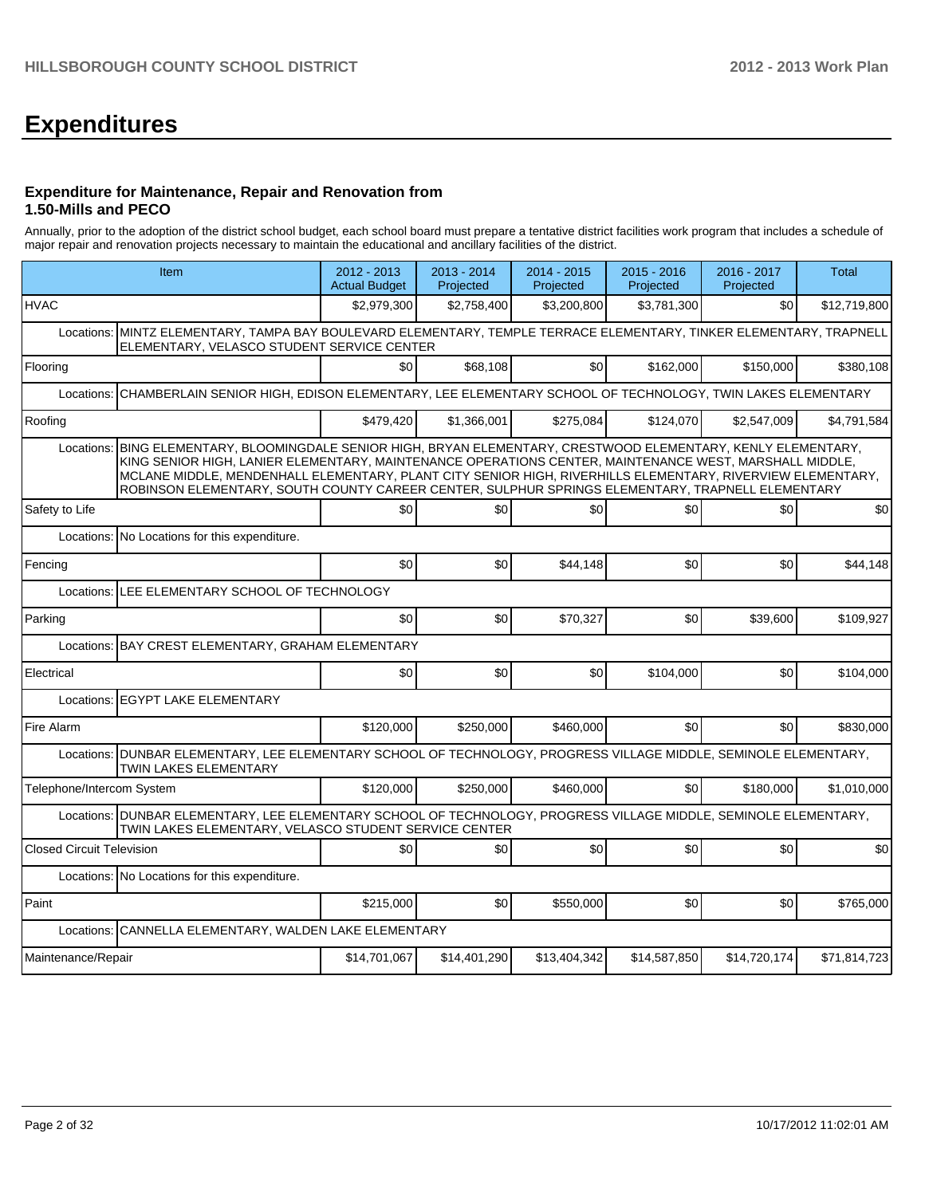# **Expenditures**

#### **Expenditure for Maintenance, Repair and Renovation from 1.50-Mills and PECO**

Annually, prior to the adoption of the district school budget, each school board must prepare a tentative district facilities work program that includes a schedule of major repair and renovation projects necessary to maintain the educational and ancillary facilities of the district.

| Item                                                                                                                                                                      | 2012 - 2013<br><b>Actual Budget</b>                                                                                                                                                                                                                                                                                                                                                                                              | $2013 - 2014$<br>Projected | 2014 - 2015<br>Projected | 2015 - 2016<br>Projected | 2016 - 2017<br>Projected | <b>Total</b> |  |  |  |  |  |
|---------------------------------------------------------------------------------------------------------------------------------------------------------------------------|----------------------------------------------------------------------------------------------------------------------------------------------------------------------------------------------------------------------------------------------------------------------------------------------------------------------------------------------------------------------------------------------------------------------------------|----------------------------|--------------------------|--------------------------|--------------------------|--------------|--|--|--|--|--|
| <b>HVAC</b>                                                                                                                                                               | \$2,979,300                                                                                                                                                                                                                                                                                                                                                                                                                      | \$2,758,400                | \$3,200,800              | \$3,781,300              | \$0                      | \$12,719,800 |  |  |  |  |  |
| Locations: MINTZ ELEMENTARY, TAMPA BAY BOULEVARD ELEMENTARY, TEMPLE TERRACE ELEMENTARY, TINKER ELEMENTARY, TRAPNELL<br>ELEMENTARY, VELASCO STUDENT SERVICE CENTER         |                                                                                                                                                                                                                                                                                                                                                                                                                                  |                            |                          |                          |                          |              |  |  |  |  |  |
| Flooring                                                                                                                                                                  | $\Omega$                                                                                                                                                                                                                                                                                                                                                                                                                         | \$68.108                   | \$0                      | \$162.000                | \$150,000                | \$380.108    |  |  |  |  |  |
| Locations:                                                                                                                                                                | CHAMBERLAIN SENIOR HIGH, EDISON ELEMENTARY, LEE ELEMENTARY SCHOOL OF TECHNOLOGY, TWIN LAKES ELEMENTARY                                                                                                                                                                                                                                                                                                                           |                            |                          |                          |                          |              |  |  |  |  |  |
| Roofing                                                                                                                                                                   | \$479.420                                                                                                                                                                                                                                                                                                                                                                                                                        | \$1.366.001                | \$275.084                | \$124.070                | \$2,547,009              | \$4,791,584  |  |  |  |  |  |
| Locations:                                                                                                                                                                | BING ELEMENTARY, BLOOMINGDALE SENIOR HIGH, BRYAN ELEMENTARY, CRESTWOOD ELEMENTARY, KENLY ELEMENTARY,<br>KING SENIOR HIGH, LANIER ELEMENTARY, MAINTENANCE OPERATIONS CENTER, MAINTENANCE WEST, MARSHALL MIDDLE,<br>MCLANE MIDDLE, MENDENHALL ELEMENTARY, PLANT CITY SENIOR HIGH, RIVERHILLS ELEMENTARY, RIVERVIEW ELEMENTARY,<br>ROBINSON ELEMENTARY, SOUTH COUNTY CAREER CENTER, SULPHUR SPRINGS ELEMENTARY, TRAPNELL ELEMENTARY |                            |                          |                          |                          |              |  |  |  |  |  |
| Safety to Life                                                                                                                                                            | \$0                                                                                                                                                                                                                                                                                                                                                                                                                              | \$0                        | \$0                      | \$0                      | \$0                      | \$0          |  |  |  |  |  |
| Locations: No Locations for this expenditure.                                                                                                                             |                                                                                                                                                                                                                                                                                                                                                                                                                                  |                            |                          |                          |                          |              |  |  |  |  |  |
| Fencing                                                                                                                                                                   | \$0                                                                                                                                                                                                                                                                                                                                                                                                                              | \$0                        | \$44.148                 | \$0                      | \$0                      | \$44,148     |  |  |  |  |  |
| Locations:                                                                                                                                                                | LEE ELEMENTARY SCHOOL OF TECHNOLOGY                                                                                                                                                                                                                                                                                                                                                                                              |                            |                          |                          |                          |              |  |  |  |  |  |
| Parking                                                                                                                                                                   | \$0                                                                                                                                                                                                                                                                                                                                                                                                                              | \$0                        | \$70,327                 | \$0                      | \$39,600                 | \$109,927    |  |  |  |  |  |
| BAY CREST ELEMENTARY, GRAHAM ELEMENTARY<br>Locations:                                                                                                                     |                                                                                                                                                                                                                                                                                                                                                                                                                                  |                            |                          |                          |                          |              |  |  |  |  |  |
| Electrical                                                                                                                                                                | SO <sub>2</sub>                                                                                                                                                                                                                                                                                                                                                                                                                  | \$0                        | \$0                      | \$104,000                | \$0                      | \$104,000    |  |  |  |  |  |
| Locations: EGYPT LAKE ELEMENTARY                                                                                                                                          |                                                                                                                                                                                                                                                                                                                                                                                                                                  |                            |                          |                          |                          |              |  |  |  |  |  |
| Fire Alarm                                                                                                                                                                | \$120,000                                                                                                                                                                                                                                                                                                                                                                                                                        | \$250,000                  | \$460,000                | \$0                      | \$0                      | \$830,000    |  |  |  |  |  |
| Locations:   DUNBAR ELEMENTARY, LEE ELEMENTARY SCHOOL OF TECHNOLOGY, PROGRESS VILLAGE MIDDLE, SEMINOLE ELEMENTARY,<br>TWIN LAKES ELEMENTARY                               |                                                                                                                                                                                                                                                                                                                                                                                                                                  |                            |                          |                          |                          |              |  |  |  |  |  |
| Telephone/Intercom System                                                                                                                                                 | \$120,000                                                                                                                                                                                                                                                                                                                                                                                                                        | \$250,000                  | \$460,000                | \$0                      | \$180,000                | \$1.010.000  |  |  |  |  |  |
| Locations: DUNBAR ELEMENTARY, LEE ELEMENTARY SCHOOL OF TECHNOLOGY, PROGRESS VILLAGE MIDDLE, SEMINOLE ELEMENTARY,<br>TWIN LAKES ELEMENTARY, VELASCO STUDENT SERVICE CENTER |                                                                                                                                                                                                                                                                                                                                                                                                                                  |                            |                          |                          |                          |              |  |  |  |  |  |
| <b>Closed Circuit Television</b>                                                                                                                                          | \$0                                                                                                                                                                                                                                                                                                                                                                                                                              | \$0                        | \$0                      | \$0                      | \$0                      | \$0          |  |  |  |  |  |
| Locations: No Locations for this expenditure.                                                                                                                             |                                                                                                                                                                                                                                                                                                                                                                                                                                  |                            |                          |                          |                          |              |  |  |  |  |  |
| Paint                                                                                                                                                                     | \$215,000                                                                                                                                                                                                                                                                                                                                                                                                                        | \$0                        | \$550,000                | \$0                      | \$0                      | \$765,000    |  |  |  |  |  |
| CANNELLA ELEMENTARY, WALDEN LAKE ELEMENTARY<br>Locations:                                                                                                                 |                                                                                                                                                                                                                                                                                                                                                                                                                                  |                            |                          |                          |                          |              |  |  |  |  |  |
| Maintenance/Repair                                                                                                                                                        | \$14,701,067                                                                                                                                                                                                                                                                                                                                                                                                                     | \$14,401,290               | \$13.404.342             | \$14,587,850             | \$14,720,174             | \$71.814.723 |  |  |  |  |  |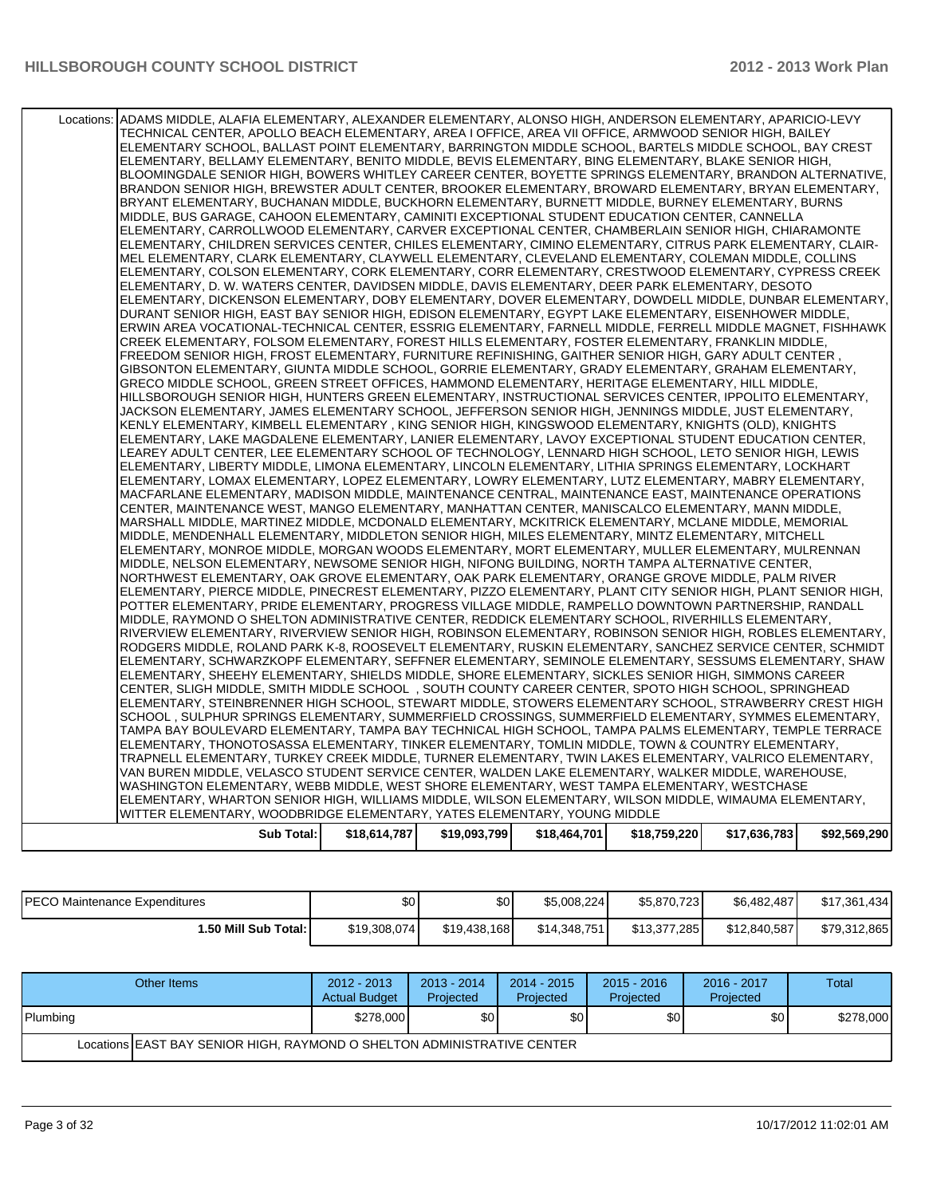| Locations: ADAMS MIDDLE, ALAFIA ELEMENTARY, ALEXANDER ELEMENTARY, ALONSO HIGH, ANDERSON ELEMENTARY, APARICIO-LEVY<br>TECHNICAL CENTER, APOLLO BEACH ELEMENTARY, AREA I OFFICE, AREA VII OFFICE, ARMWOOD SENIOR HIGH, BAILEY<br>ELEMENTARY SCHOOL, BALLAST POINT ELEMENTARY, BARRINGTON MIDDLE SCHOOL, BARTELS MIDDLE SCHOOL, BAY CREST<br>ELEMENTARY, BELLAMY ELEMENTARY, BENITO MIDDLE, BEVIS ELEMENTARY, BING ELEMENTARY, BLAKE SENIOR HIGH,<br>BLOOMINGDALE SENIOR HIGH, BOWERS WHITLEY CAREER CENTER, BOYETTE SPRINGS ELEMENTARY, BRANDON ALTERNATIVE,<br>BRANDON SENIOR HIGH, BREWSTER ADULT CENTER, BROOKER ELEMENTARY, BROWARD ELEMENTARY, BRYAN ELEMENTARY,<br>BRYANT ELEMENTARY, BUCHANAN MIDDLE, BUCKHORN ELEMENTARY, BURNETT MIDDLE, BURNEY ELEMENTARY, BURNS<br>MIDDLE. BUS GARAGE. CAHOON ELEMENTARY. CAMINITI EXCEPTIONAL STUDENT EDUCATION CENTER. CANNELLA<br>ELEMENTARY, CARROLLWOOD ELEMENTARY, CARVER EXCEPTIONAL CENTER, CHAMBERLAIN SENIOR HIGH, CHIARAMONTE<br>ELEMENTARY, CHILDREN SERVICES CENTER, CHILES ELEMENTARY, CIMINO ELEMENTARY, CITRUS PARK ELEMENTARY, CLAIR-<br>MEL ELEMENTARY, CLARK ELEMENTARY, CLAYWELL ELEMENTARY, CLEVELAND ELEMENTARY, COLEMAN MIDDLE, COLLINS<br>ELEMENTARY, COLSON ELEMENTARY, CORK ELEMENTARY, CORR ELEMENTARY, CRESTWOOD ELEMENTARY, CYPRESS CREEK<br>ELEMENTARY, D. W. WATERS CENTER, DAVIDSEN MIDDLE, DAVIS ELEMENTARY, DEER PARK ELEMENTARY, DESOTO<br>ELEMENTARY, DICKENSON ELEMENTARY, DOBY ELEMENTARY, DOVER ELEMENTARY, DOWDELL MIDDLE, DUNBAR ELEMENTARY,<br>DURANT SENIOR HIGH, EAST BAY SENIOR HIGH, EDISON ELEMENTARY, EGYPT LAKE ELEMENTARY, EISENHOWER MIDDLE,<br>ERWIN AREA VOCATIONAL-TECHNICAL CENTER, ESSRIG ELEMENTARY, FARNELL MIDDLE, FERRELL MIDDLE MAGNET, FISHHAWK<br>CREEK ELEMENTARY, FOLSOM ELEMENTARY, FOREST HILLS ELEMENTARY, FOSTER ELEMENTARY, FRANKLIN MIDDLE,<br>, FREEDOM SENIOR HIGH, FROST ELEMENTARY, FURNITURE REFINISHING, GAITHER SENIOR HIGH, GARY ADULT CENTER<br>GIBSONTON ELEMENTARY, GIUNTA MIDDLE SCHOOL, GORRIE ELEMENTARY, GRADY ELEMENTARY, GRAHAM ELEMENTARY,<br>GRECO MIDDLE SCHOOL, GREEN STREET OFFICES, HAMMOND ELEMENTARY, HERITAGE ELEMENTARY, HILL MIDDLE,<br>HILLSBOROUGH SENIOR HIGH. HUNTERS GREEN ELEMENTARY. INSTRUCTIONAL SERVICES CENTER. IPPOLITO ELEMENTARY.<br>JACKSON ELEMENTARY, JAMES ELEMENTARY SCHOOL, JEFFERSON SENIOR HIGH, JENNINGS MIDDLE, JUST ELEMENTARY,<br>KENLY ELEMENTARY, KIMBELL ELEMENTARY , KING SENIOR HIGH, KINGSWOOD ELEMENTARY, KNIGHTS (OLD), KNIGHTS<br>ELEMENTARY, LAKE MAGDALENE ELEMENTARY, LANIER ELEMENTARY, LAVOY EXCEPTIONAL STUDENT EDUCATION CENTER,<br>LEAREY ADULT CENTER, LEE ELEMENTARY SCHOOL OF TECHNOLOGY, LENNARD HIGH SCHOOL, LETO SENIOR HIGH, LEWIS<br>ELEMENTARY, LIBERTY MIDDLE, LIMONA ELEMENTARY, LINCOLN ELEMENTARY, LITHIA SPRINGS ELEMENTARY, LOCKHART<br>ELEMENTARY, LOMAX ELEMENTARY, LOPEZ ELEMENTARY, LOWRY ELEMENTARY, LUTZ ELEMENTARY, MABRY ELEMENTARY,<br>MACFARLANE ELEMENTARY, MADISON MIDDLE, MAINTENANCE CENTRAL, MAINTENANCE EAST, MAINTENANCE OPERATIONS<br>CENTER, MAINTENANCE WEST, MANGO ELEMENTARY, MANHATTAN CENTER, MANISCALCO ELEMENTARY, MANN MIDDLE,<br>MARSHALL MIDDLE, MARTINEZ MIDDLE, MCDONALD ELEMENTARY, MCKITRICK ELEMENTARY, MCLANE MIDDLE, MEMORIAL<br>MIDDLE, MENDENHALL ELEMENTARY, MIDDLETON SENIOR HIGH, MILES ELEMENTARY, MINTZ ELEMENTARY, MITCHELL<br>ELEMENTARY, MONROE MIDDLE, MORGAN WOODS ELEMENTARY, MORT ELEMENTARY, MULLER ELEMENTARY, MULRENNAN<br>MIDDLE, NELSON ELEMENTARY, NEWSOME SENIOR HIGH, NIFONG BUILDING, NORTH TAMPA ALTERNATIVE CENTER,<br>NORTHWEST ELEMENTARY, OAK GROVE ELEMENTARY, OAK PARK ELEMENTARY, ORANGE GROVE MIDDLE, PALM RIVER<br>ELEMENTARY, PIERCE MIDDLE, PINECREST ELEMENTARY, PIZZO ELEMENTARY, PLANT CITY SENIOR HIGH, PLANT SENIOR HIGH,<br>POTTER ELEMENTARY, PRIDE ELEMENTARY, PROGRESS VILLAGE MIDDLE, RAMPELLO DOWNTOWN PARTNERSHIP, RANDALL<br>MIDDLE, RAYMOND O SHELTON ADMINISTRATIVE CENTER, REDDICK ELEMENTARY SCHOOL, RIVERHILLS ELEMENTARY,<br>RIVERVIEW ELEMENTARY, RIVERVIEW SENIOR HIGH, ROBINSON ELEMENTARY, ROBINSON SENIOR HIGH, ROBLES ELEMENTARY,<br>RODGERS MIDDLE, ROLAND PARK K-8, ROOSEVELT ELEMENTARY, RUSKIN ELEMENTARY, SANCHEZ SERVICE CENTER, SCHMIDT<br>ELEMENTARY, SCHWARZKOPF ELEMENTARY, SEFFNER ELEMENTARY, SEMINOLE ELEMENTARY, SESSUMS ELEMENTARY, SHAW<br>ELEMENTARY, SHEEHY ELEMENTARY, SHIELDS MIDDLE, SHORE ELEMENTARY, SICKLES SENIOR HIGH, SIMMONS CAREER<br>CENTER, SLIGH MIDDLE, SMITH MIDDLE SCHOOL , SOUTH COUNTY CAREER CENTER, SPOTO HIGH SCHOOL, SPRINGHEAD<br>ELEMENTARY, STEINBRENNER HIGH SCHOOL, STEWART MIDDLE, STOWERS ELEMENTARY SCHOOL, STRAWBERRY CREST HIGH<br>SCHOOL, SULPHUR SPRINGS ELEMENTARY, SUMMERFIELD CROSSINGS, SUMMERFIELD ELEMENTARY, SYMMES ELEMENTARY,<br>TAMPA BAY BOULEVARD ELEMENTARY, TAMPA BAY TECHNICAL HIGH SCHOOL, TAMPA PALMS ELEMENTARY, TEMPLE TERRACE<br>ELEMENTARY, THONOTOSASSA ELEMENTARY, TINKER ELEMENTARY, TOMLIN MIDDLE, TOWN & COUNTRY ELEMENTARY,<br>TRAPNELL ELEMENTARY, TURKEY CREEK MIDDLE, TURNER ELEMENTARY, TWIN LAKES ELEMENTARY, VALRICO ELEMENTARY, |              |              |              |              |              |              |
|------------------------------------------------------------------------------------------------------------------------------------------------------------------------------------------------------------------------------------------------------------------------------------------------------------------------------------------------------------------------------------------------------------------------------------------------------------------------------------------------------------------------------------------------------------------------------------------------------------------------------------------------------------------------------------------------------------------------------------------------------------------------------------------------------------------------------------------------------------------------------------------------------------------------------------------------------------------------------------------------------------------------------------------------------------------------------------------------------------------------------------------------------------------------------------------------------------------------------------------------------------------------------------------------------------------------------------------------------------------------------------------------------------------------------------------------------------------------------------------------------------------------------------------------------------------------------------------------------------------------------------------------------------------------------------------------------------------------------------------------------------------------------------------------------------------------------------------------------------------------------------------------------------------------------------------------------------------------------------------------------------------------------------------------------------------------------------------------------------------------------------------------------------------------------------------------------------------------------------------------------------------------------------------------------------------------------------------------------------------------------------------------------------------------------------------------------------------------------------------------------------------------------------------------------------------------------------------------------------------------------------------------------------------------------------------------------------------------------------------------------------------------------------------------------------------------------------------------------------------------------------------------------------------------------------------------------------------------------------------------------------------------------------------------------------------------------------------------------------------------------------------------------------------------------------------------------------------------------------------------------------------------------------------------------------------------------------------------------------------------------------------------------------------------------------------------------------------------------------------------------------------------------------------------------------------------------------------------------------------------------------------------------------------------------------------------------------------------------------------------------------------------------------------------------------------------------------------------------------------------------------------------------------------------------------------------------------------------------------------------------------------------------------------------------------------------------------------------------------------------------------------------------------------------------------------------------------------------------------------------------------------------------------------------------------------------------------------------------------------------------------------------------------------------------------------------------------------------------------------------------------------------------------------------------------------------------------------------------------------------------------------------------------------------------------------------------------------------------------------------------------------------------------------------------------------------------------------------------------------------------------------------------------------------------------------------------------------------------------------------------------------------------------------------------------------------------------------------------------------------------|--------------|--------------|--------------|--------------|--------------|--------------|
|                                                                                                                                                                                                                                                                                                                                                                                                                                                                                                                                                                                                                                                                                                                                                                                                                                                                                                                                                                                                                                                                                                                                                                                                                                                                                                                                                                                                                                                                                                                                                                                                                                                                                                                                                                                                                                                                                                                                                                                                                                                                                                                                                                                                                                                                                                                                                                                                                                                                                                                                                                                                                                                                                                                                                                                                                                                                                                                                                                                                                                                                                                                                                                                                                                                                                                                                                                                                                                                                                                                                                                                                                                                                                                                                                                                                                                                                                                                                                                                                                                                                                                                                                                                                                                                                                                                                                                                                                                                                                                                                                                                                                                                                                                                                                                                                                                                                                                                                                                                                                                                                                                                              |              |              |              |              |              |              |
| VAN BUREN MIDDLE, VELASCO STUDENT SERVICE CENTER, WALDEN LAKE ELEMENTARY, WALKER MIDDLE, WAREHOUSE,                                                                                                                                                                                                                                                                                                                                                                                                                                                                                                                                                                                                                                                                                                                                                                                                                                                                                                                                                                                                                                                                                                                                                                                                                                                                                                                                                                                                                                                                                                                                                                                                                                                                                                                                                                                                                                                                                                                                                                                                                                                                                                                                                                                                                                                                                                                                                                                                                                                                                                                                                                                                                                                                                                                                                                                                                                                                                                                                                                                                                                                                                                                                                                                                                                                                                                                                                                                                                                                                                                                                                                                                                                                                                                                                                                                                                                                                                                                                                                                                                                                                                                                                                                                                                                                                                                                                                                                                                                                                                                                                                                                                                                                                                                                                                                                                                                                                                                                                                                                                                          |              |              |              |              |              |              |
| WASHINGTON ELEMENTARY, WEBB MIDDLE, WEST SHORE ELEMENTARY, WEST TAMPA ELEMENTARY, WESTCHASE<br>ELEMENTARY, WHARTON SENIOR HIGH, WILLIAMS MIDDLE, WILSON ELEMENTARY, WILSON MIDDLE, WIMAUMA ELEMENTARY,<br>WITTER ELEMENTARY, WOODBRIDGE ELEMENTARY, YATES ELEMENTARY, YOUNG MIDDLE                                                                                                                                                                                                                                                                                                                                                                                                                                                                                                                                                                                                                                                                                                                                                                                                                                                                                                                                                                                                                                                                                                                                                                                                                                                                                                                                                                                                                                                                                                                                                                                                                                                                                                                                                                                                                                                                                                                                                                                                                                                                                                                                                                                                                                                                                                                                                                                                                                                                                                                                                                                                                                                                                                                                                                                                                                                                                                                                                                                                                                                                                                                                                                                                                                                                                                                                                                                                                                                                                                                                                                                                                                                                                                                                                                                                                                                                                                                                                                                                                                                                                                                                                                                                                                                                                                                                                                                                                                                                                                                                                                                                                                                                                                                                                                                                                                           |              |              |              |              |              |              |
| Sub Total:                                                                                                                                                                                                                                                                                                                                                                                                                                                                                                                                                                                                                                                                                                                                                                                                                                                                                                                                                                                                                                                                                                                                                                                                                                                                                                                                                                                                                                                                                                                                                                                                                                                                                                                                                                                                                                                                                                                                                                                                                                                                                                                                                                                                                                                                                                                                                                                                                                                                                                                                                                                                                                                                                                                                                                                                                                                                                                                                                                                                                                                                                                                                                                                                                                                                                                                                                                                                                                                                                                                                                                                                                                                                                                                                                                                                                                                                                                                                                                                                                                                                                                                                                                                                                                                                                                                                                                                                                                                                                                                                                                                                                                                                                                                                                                                                                                                                                                                                                                                                                                                                                                                   | \$18,614,787 | \$19,093,799 | \$18,464,701 | \$18,759,220 | \$17,636,783 | \$92,569,290 |
|                                                                                                                                                                                                                                                                                                                                                                                                                                                                                                                                                                                                                                                                                                                                                                                                                                                                                                                                                                                                                                                                                                                                                                                                                                                                                                                                                                                                                                                                                                                                                                                                                                                                                                                                                                                                                                                                                                                                                                                                                                                                                                                                                                                                                                                                                                                                                                                                                                                                                                                                                                                                                                                                                                                                                                                                                                                                                                                                                                                                                                                                                                                                                                                                                                                                                                                                                                                                                                                                                                                                                                                                                                                                                                                                                                                                                                                                                                                                                                                                                                                                                                                                                                                                                                                                                                                                                                                                                                                                                                                                                                                                                                                                                                                                                                                                                                                                                                                                                                                                                                                                                                                              |              |              |              |              |              |              |

| <b>IPECO Maintenance Expenditures</b> | ሶስ<br>ΦU     | \$0          | \$5,008,224  | \$5,870,723  | \$6,482,487  | \$17,361,434 |
|---------------------------------------|--------------|--------------|--------------|--------------|--------------|--------------|
| <b>1.50 Mill Sub Total: I</b>         | \$19,308,074 | \$19,438,168 | \$14,348,751 | \$13,377,285 | \$12,840,587 | \$79,312,865 |

| Other Items                                                               | $2012 - 2013$<br><b>Actual Budget</b> | $2013 - 2014$<br>Projected | $2014 - 2015$<br>Projected | $2015 - 2016$<br>Projected | 2016 - 2017<br>Projected | Total     |
|---------------------------------------------------------------------------|---------------------------------------|----------------------------|----------------------------|----------------------------|--------------------------|-----------|
| Plumbing                                                                  | \$278,000                             | \$0 <sub>0</sub>           | \$0                        | \$0                        | \$0 <sub>1</sub>         | \$278,000 |
| Locations   EAST BAY SENIOR HIGH, RAYMOND O SHELTON ADMINISTRATIVE CENTER |                                       |                            |                            |                            |                          |           |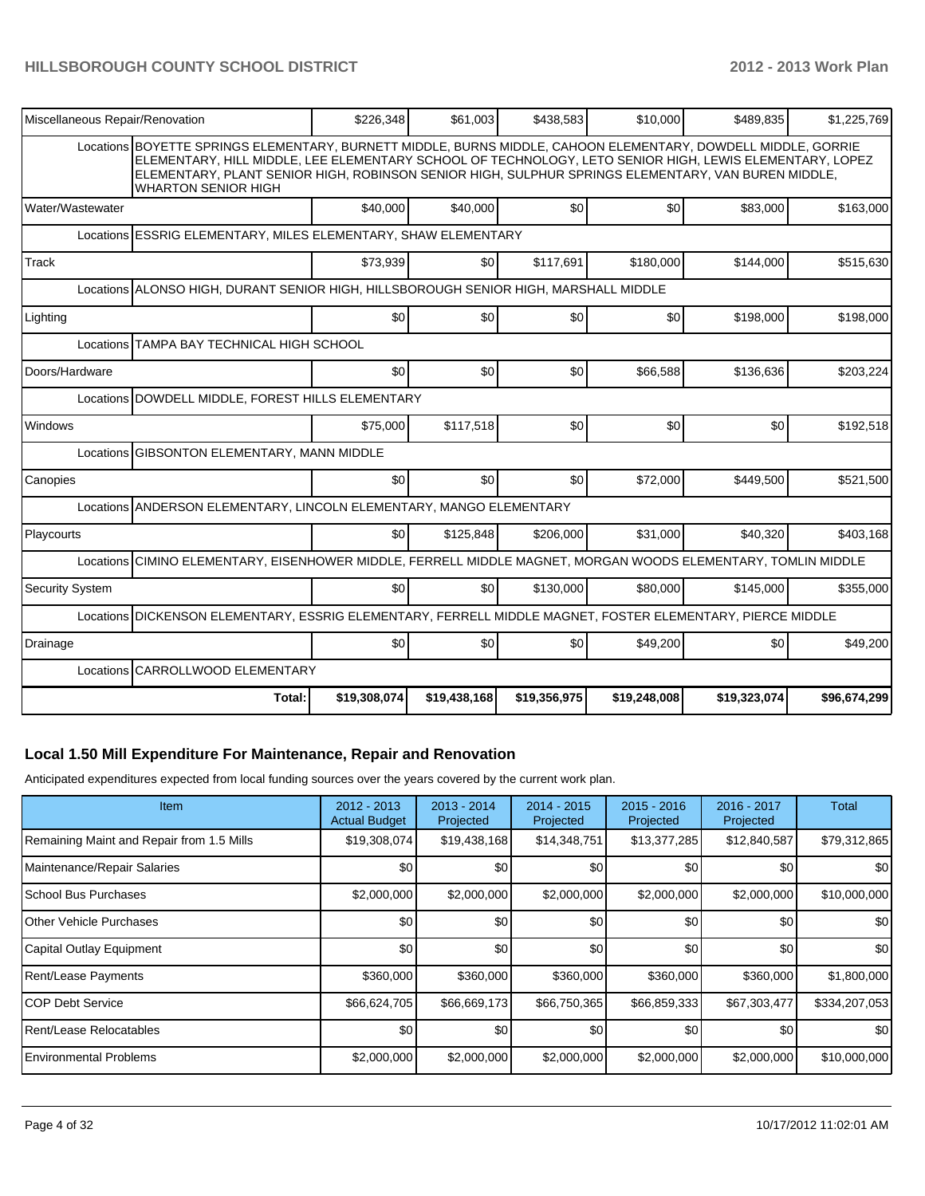| Miscellaneous Repair/Renovation                                                                               | \$226,348                                                                                                                                                                                                                                                                                                                      | \$61,003     | \$438,583    | \$10,000     | \$489,835    | \$1,225,769  |  |  |  |  |  |
|---------------------------------------------------------------------------------------------------------------|--------------------------------------------------------------------------------------------------------------------------------------------------------------------------------------------------------------------------------------------------------------------------------------------------------------------------------|--------------|--------------|--------------|--------------|--------------|--|--|--|--|--|
| <b>WHARTON SENIOR HIGH</b>                                                                                    | Locations BOYETTE SPRINGS ELEMENTARY, BURNETT MIDDLE, BURNS MIDDLE, CAHOON ELEMENTARY, DOWDELL MIDDLE, GORRIE<br>ELEMENTARY. HILL MIDDLE, LEE ELEMENTARY SCHOOL OF TECHNOLOGY, LETO SENIOR HIGH, LEWIS ELEMENTARY, LOPEZ<br>ELEMENTARY, PLANT SENIOR HIGH, ROBINSON SENIOR HIGH, SULPHUR SPRINGS ELEMENTARY, VAN BUREN MIDDLE, |              |              |              |              |              |  |  |  |  |  |
| Water/Wastewater                                                                                              | \$40,000                                                                                                                                                                                                                                                                                                                       | \$40,000     | \$0          | \$0          | \$83,000     | \$163,000    |  |  |  |  |  |
|                                                                                                               | Locations ESSRIG ELEMENTARY, MILES ELEMENTARY, SHAW ELEMENTARY                                                                                                                                                                                                                                                                 |              |              |              |              |              |  |  |  |  |  |
| Track                                                                                                         | \$73,939                                                                                                                                                                                                                                                                                                                       | \$0          | \$117,691    | \$180,000    | \$144,000    | \$515,630    |  |  |  |  |  |
|                                                                                                               | Locations ALONSO HIGH, DURANT SENIOR HIGH, HILLSBOROUGH SENIOR HIGH, MARSHALL MIDDLE                                                                                                                                                                                                                                           |              |              |              |              |              |  |  |  |  |  |
| Lighting                                                                                                      | \$0                                                                                                                                                                                                                                                                                                                            | \$0          | \$0          | \$0          | \$198,000    | \$198,000    |  |  |  |  |  |
| <b>TAMPA BAY TECHNICAL HIGH SCHOOL</b><br>Locations                                                           |                                                                                                                                                                                                                                                                                                                                |              |              |              |              |              |  |  |  |  |  |
| Doors/Hardware                                                                                                | \$0                                                                                                                                                                                                                                                                                                                            | \$0          | \$0          | \$66.588     | \$136.636    | \$203,224    |  |  |  |  |  |
|                                                                                                               | Locations DOWDELL MIDDLE, FOREST HILLS ELEMENTARY                                                                                                                                                                                                                                                                              |              |              |              |              |              |  |  |  |  |  |
| Windows                                                                                                       | \$75,000                                                                                                                                                                                                                                                                                                                       | \$117,518    | \$0          | \$0          | \$0          | \$192,518    |  |  |  |  |  |
| GIBSONTON ELEMENTARY, MANN MIDDLE<br>Locations                                                                |                                                                                                                                                                                                                                                                                                                                |              |              |              |              |              |  |  |  |  |  |
| Canopies                                                                                                      | \$0                                                                                                                                                                                                                                                                                                                            | \$0          | \$0          | \$72,000     | \$449,500    | \$521,500    |  |  |  |  |  |
| Locations ANDERSON ELEMENTARY, LINCOLN ELEMENTARY, MANGO ELEMENTARY                                           |                                                                                                                                                                                                                                                                                                                                |              |              |              |              |              |  |  |  |  |  |
| Playcourts                                                                                                    | \$0                                                                                                                                                                                                                                                                                                                            | \$125,848    | \$206,000    | \$31,000     | \$40.320     | \$403,168    |  |  |  |  |  |
| Locations CIMINO ELEMENTARY, EISENHOWER MIDDLE, FERRELL MIDDLE MAGNET, MORGAN WOODS ELEMENTARY, TOMLIN MIDDLE |                                                                                                                                                                                                                                                                                                                                |              |              |              |              |              |  |  |  |  |  |
| <b>Security System</b>                                                                                        | \$0                                                                                                                                                                                                                                                                                                                            | \$0          | \$130,000    | \$80,000     | \$145,000    | \$355,000    |  |  |  |  |  |
| DICKENSON ELEMENTARY, ESSRIG ELEMENTARY, FERRELL MIDDLE MAGNET, FOSTER ELEMENTARY, PIERCE MIDDLE<br>Locations |                                                                                                                                                                                                                                                                                                                                |              |              |              |              |              |  |  |  |  |  |
| Drainage                                                                                                      | \$0                                                                                                                                                                                                                                                                                                                            | \$0          | \$0          | \$49,200     | \$0          | \$49,200     |  |  |  |  |  |
| Locations CARROLLWOOD ELEMENTARY                                                                              |                                                                                                                                                                                                                                                                                                                                |              |              |              |              |              |  |  |  |  |  |
| Total:                                                                                                        | \$19,308,074                                                                                                                                                                                                                                                                                                                   | \$19,438,168 | \$19,356,975 | \$19,248,008 | \$19,323,074 | \$96,674,299 |  |  |  |  |  |

#### **Local 1.50 Mill Expenditure For Maintenance, Repair and Renovation**

Anticipated expenditures expected from local funding sources over the years covered by the current work plan.

| <b>Item</b>                               | $2012 - 2013$<br><b>Actual Budget</b> | $2013 - 2014$<br>Projected | 2014 - 2015<br>Projected | $2015 - 2016$<br>Projected | 2016 - 2017<br>Projected | Total            |
|-------------------------------------------|---------------------------------------|----------------------------|--------------------------|----------------------------|--------------------------|------------------|
| Remaining Maint and Repair from 1.5 Mills | \$19,308,074                          | \$19,438,168               | \$14,348,751             | \$13,377,285               | \$12,840,587             | \$79,312,865     |
| Maintenance/Repair Salaries               | \$0                                   | \$0                        | \$0                      | \$0                        | \$0                      | \$0 <sub>1</sub> |
| School Bus Purchases                      | \$2,000,000                           | \$2,000,000                | \$2,000,000              | \$2,000,000                | \$2,000,000              | \$10,000,000     |
| <b>IOther Vehicle Purchases</b>           | \$0                                   | \$0                        | \$0                      | \$0                        | \$0                      | \$0 <sub>1</sub> |
| Capital Outlay Equipment                  | \$0                                   | \$0                        | \$0                      | \$0                        | \$0                      | \$0 <sub>l</sub> |
| Rent/Lease Payments                       | \$360,000                             | \$360,000                  | \$360,000                | \$360,000                  | \$360,000                | \$1,800,000      |
| ICOP Debt Service                         | \$66,624,705                          | \$66,669,173               | \$66,750,365             | \$66,859,333               | \$67,303,477             | \$334,207,053    |
| Rent/Lease Relocatables                   | \$0                                   | \$0                        | \$0                      | \$0                        | \$0                      | <b>\$01</b>      |
| Environmental Problems                    | \$2,000,000                           | \$2,000,000                | \$2,000,000              | \$2,000,000                | \$2,000,000              | \$10,000,000     |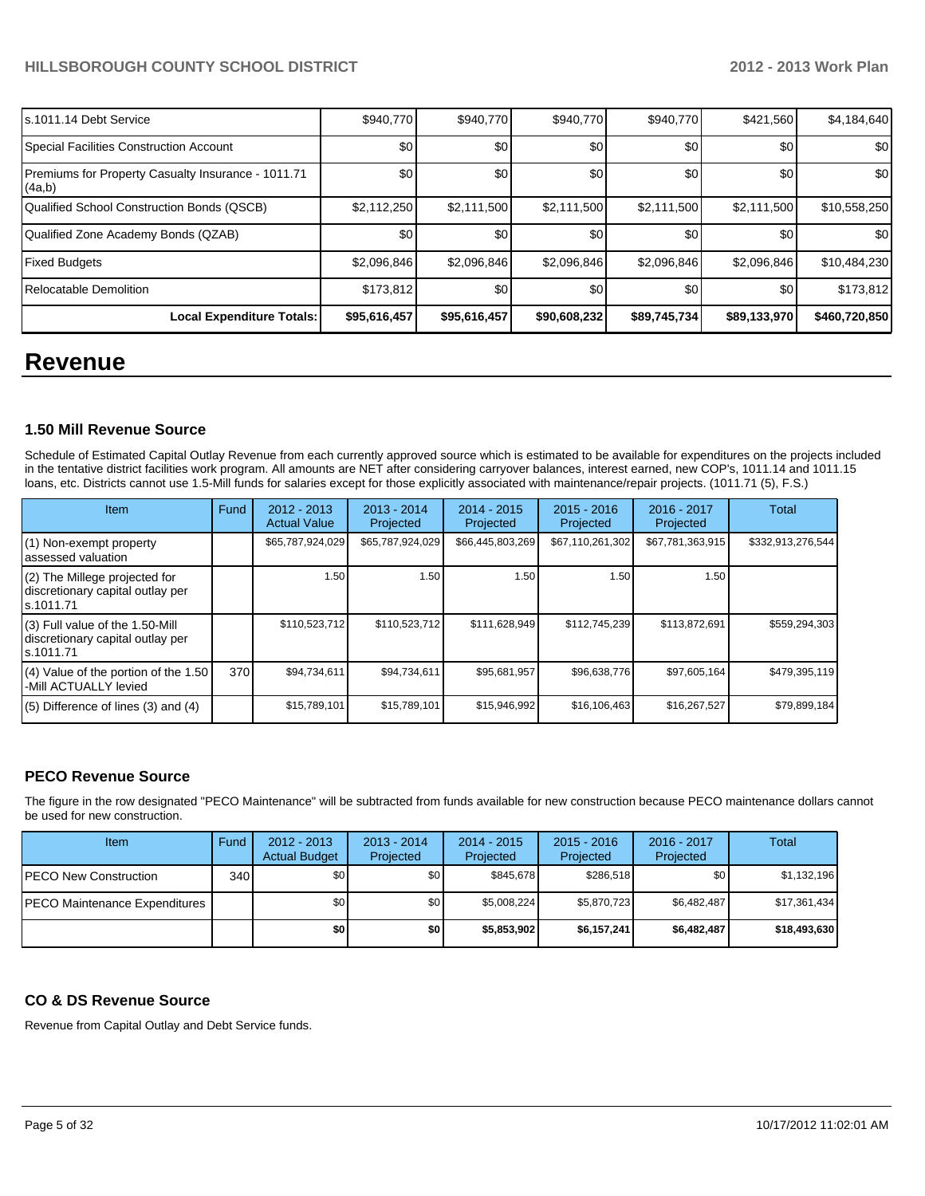| s.1011.14 Debt Service                                       | \$940.770    | \$940,770    | \$940,770    | \$940.770    | \$421,560    | \$4,184,640      |
|--------------------------------------------------------------|--------------|--------------|--------------|--------------|--------------|------------------|
| Special Facilities Construction Account                      | \$0          | \$0          | \$0          | \$0          | \$0          | \$0 <sub>1</sub> |
| Premiums for Property Casualty Insurance - 1011.71<br>(4a,b) | \$0          | \$0          | \$0          | \$0          | \$0          | \$0 <sub>1</sub> |
| Qualified School Construction Bonds (QSCB)                   | \$2,112,250  | \$2,111,500  | \$2,111,500  | \$2,111,500  | \$2,111,500  | \$10,558,250     |
| Qualified Zone Academy Bonds (QZAB)                          | \$0          | \$0          | \$0          | \$0          | \$0          | \$0 <sub>1</sub> |
| <b>Fixed Budgets</b>                                         | \$2,096,846  | \$2,096,846  | \$2,096,846  | \$2,096,846  | \$2,096,846  | \$10,484,230     |
| Relocatable Demolition                                       | \$173.812    | \$0          | \$0          | \$0          | \$0          | \$173,812        |
| Local Expenditure Totals:                                    | \$95,616,457 | \$95,616,457 | \$90,608,232 | \$89,745,734 | \$89,133,970 | \$460,720,850    |

## **Revenue**

#### **1.50 Mill Revenue Source**

Schedule of Estimated Capital Outlay Revenue from each currently approved source which is estimated to be available for expenditures on the projects included in the tentative district facilities work program. All amounts are NET after considering carryover balances, interest earned, new COP's, 1011.14 and 1011.15 loans, etc. Districts cannot use 1.5-Mill funds for salaries except for those explicitly associated with maintenance/repair projects. (1011.71 (5), F.S.)

| <b>Item</b>                                                                         | Fund | $2012 - 2013$<br><b>Actual Value</b> | $2013 - 2014$<br>Projected | $2014 - 2015$<br>Projected | $2015 - 2016$<br>Projected | $2016 - 2017$<br>Projected | <b>Total</b>      |
|-------------------------------------------------------------------------------------|------|--------------------------------------|----------------------------|----------------------------|----------------------------|----------------------------|-------------------|
| (1) Non-exempt property<br>lassessed valuation                                      |      | \$65,787,924,029                     | \$65,787,924,029           | \$66,445,803,269           | \$67,110,261,302           | \$67,781,363,915           | \$332,913,276,544 |
| (2) The Millege projected for<br>discretionary capital outlay per<br>ls.1011.71     |      | 1.50                                 | 1.50                       | 1.50                       | 1.50                       | 1.50                       |                   |
| $(3)$ Full value of the 1.50-Mill<br>discretionary capital outlay per<br>ls.1011.71 |      | \$110,523,712                        | \$110,523,712              | \$111,628,949              | \$112,745,239              | \$113,872,691              | \$559,294,303     |
| $(4)$ Value of the portion of the 1.50<br>-Mill ACTUALLY levied                     | 370  | \$94,734,611                         | \$94,734,611               | \$95,681,957               | \$96,638,776               | \$97,605,164               | \$479,395,119     |
| $(5)$ Difference of lines $(3)$ and $(4)$                                           |      | \$15,789,101                         | \$15,789,101               | \$15,946,992               | \$16,106,463               | \$16,267,527               | \$79,899,184      |

#### **PECO Revenue Source**

The figure in the row designated "PECO Maintenance" will be subtracted from funds available for new construction because PECO maintenance dollars cannot be used for new construction.

| Item                                  | Fund | $2012 - 2013$<br><b>Actual Budget</b> | $2013 - 2014$<br>Projected | $2014 - 2015$<br>Projected | $2015 - 2016$<br>Projected | $2016 - 2017$<br>Projected | Total        |
|---------------------------------------|------|---------------------------------------|----------------------------|----------------------------|----------------------------|----------------------------|--------------|
| <b>IPECO New Construction</b>         | 340  | \$0 <sub>1</sub>                      | \$0 I                      | \$845.678                  | \$286.518                  | \$0                        | \$1,132,196  |
| <b>IPECO Maintenance Expenditures</b> |      | \$0                                   | \$0 I                      | \$5.008.224                | \$5,870,723                | \$6.482.487                | \$17,361,434 |
|                                       |      | \$O                                   | \$0                        | \$5,853,902                | \$6,157,241                | \$6,482,487                | \$18,493,630 |

#### **CO & DS Revenue Source**

Revenue from Capital Outlay and Debt Service funds.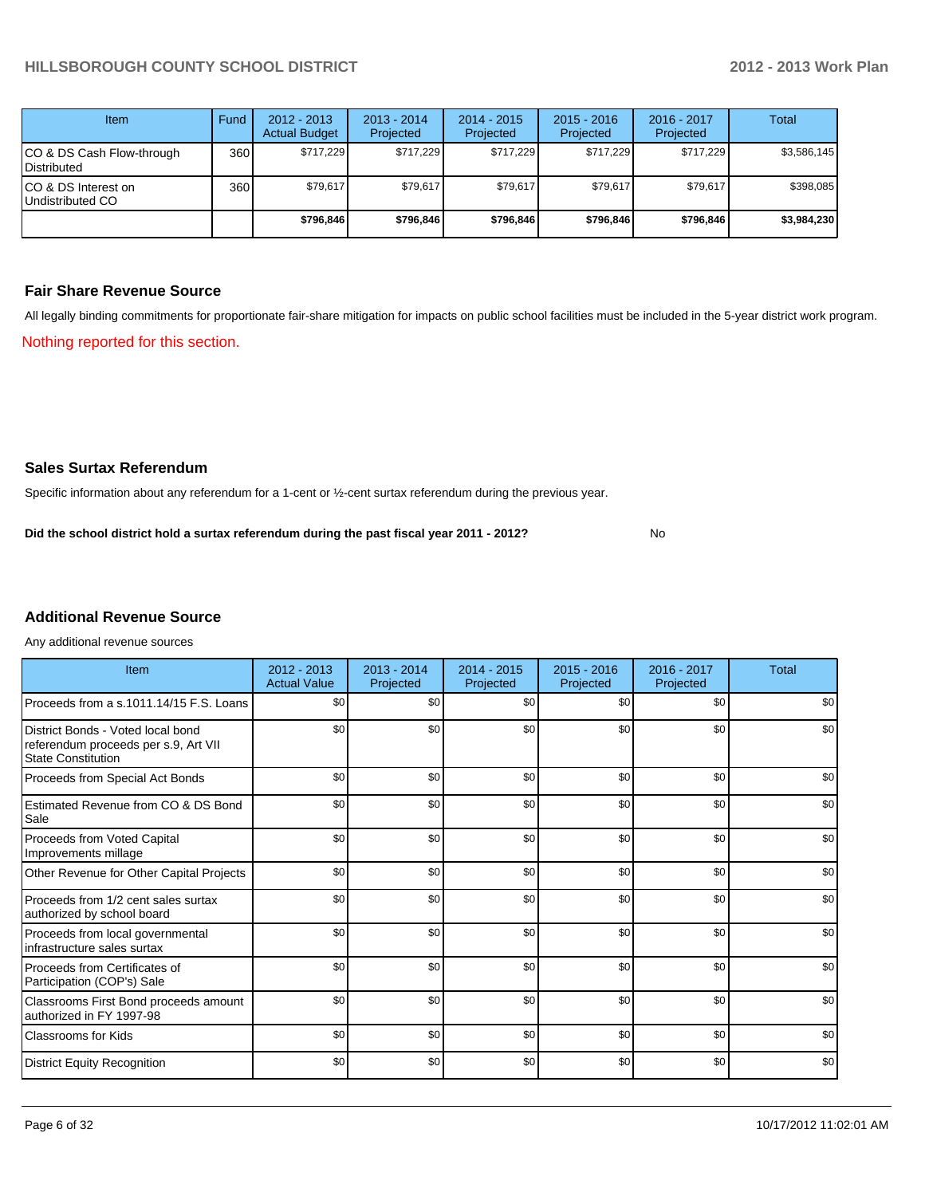| Item                                            | Fund | $2012 - 2013$<br><b>Actual Budget</b> | $2013 - 2014$<br>Projected | $2014 - 2015$<br>Projected | $2015 - 2016$<br>Projected | $2016 - 2017$<br>Projected | Total       |
|-------------------------------------------------|------|---------------------------------------|----------------------------|----------------------------|----------------------------|----------------------------|-------------|
| CO & DS Cash Flow-through<br><b>Distributed</b> | 360  | \$717.229                             | \$717,229                  | \$717,229                  | \$717.229                  | \$717,229                  | \$3,586,145 |
| CO & DS Interest on<br>Undistributed CO         | 360  | \$79.617                              | \$79,617                   | \$79.617                   | \$79.617                   | \$79,617                   | \$398.085   |
|                                                 |      | \$796.846                             | \$796.846                  | \$796,846                  | \$796.846                  | \$796,846                  | \$3,984,230 |

#### **Fair Share Revenue Source**

Nothing reported for this section. All legally binding commitments for proportionate fair-share mitigation for impacts on public school facilities must be included in the 5-year district work program.

#### **Sales Surtax Referendum**

Specific information about any referendum for a 1-cent or ½-cent surtax referendum during the previous year.

No **Did the school district hold a surtax referendum during the past fiscal year 2011 - 2012?**

## **Additional Revenue Source**

Any additional revenue sources

| Item                                                                                                   | $2012 - 2013$<br><b>Actual Value</b> | $2013 - 2014$<br>Projected | $2014 - 2015$<br>Projected | $2015 - 2016$<br>Projected | 2016 - 2017<br>Projected | Total |
|--------------------------------------------------------------------------------------------------------|--------------------------------------|----------------------------|----------------------------|----------------------------|--------------------------|-------|
| Proceeds from a s.1011.14/15 F.S. Loans                                                                | \$0                                  | \$0                        | \$0                        | \$0                        | \$0                      | \$0   |
| District Bonds - Voted local bond<br>referendum proceeds per s.9, Art VII<br><b>State Constitution</b> | \$0                                  | \$0                        | \$0                        | \$0                        | \$0                      | \$0   |
| Proceeds from Special Act Bonds                                                                        | \$0                                  | \$0                        | \$0                        | \$0                        | \$0                      | \$0   |
| <b>Estimated Revenue from CO &amp; DS Bond</b><br>Sale                                                 | \$0                                  | \$0                        | \$0                        | \$0                        | \$0                      | \$0   |
| <b>Proceeds from Voted Capital</b><br>Improvements millage                                             | \$0                                  | \$0                        | \$0                        | \$0                        | \$0                      | \$0   |
| Other Revenue for Other Capital Projects                                                               | \$0                                  | \$0                        | \$0                        | \$0                        | \$0                      | \$0   |
| Proceeds from 1/2 cent sales surtax<br>authorized by school board                                      | \$0                                  | \$0                        | \$0                        | \$0                        | \$0                      | \$0   |
| Proceeds from local governmental<br>infrastructure sales surtax                                        | \$0                                  | \$0                        | \$0                        | \$0                        | \$0                      | \$0   |
| Proceeds from Certificates of<br>Participation (COP's) Sale                                            | \$0                                  | \$0                        | \$0                        | \$0                        | \$0                      | \$0   |
| Classrooms First Bond proceeds amount<br>authorized in FY 1997-98                                      | \$0                                  | \$0                        | \$0                        | \$0                        | \$0                      | \$0   |
| Classrooms for Kids                                                                                    | \$0                                  | \$0                        | \$0                        | \$0                        | \$0                      | \$0   |
| <b>District Equity Recognition</b>                                                                     | \$0                                  | \$0                        | \$0                        | \$0                        | \$0                      | \$0   |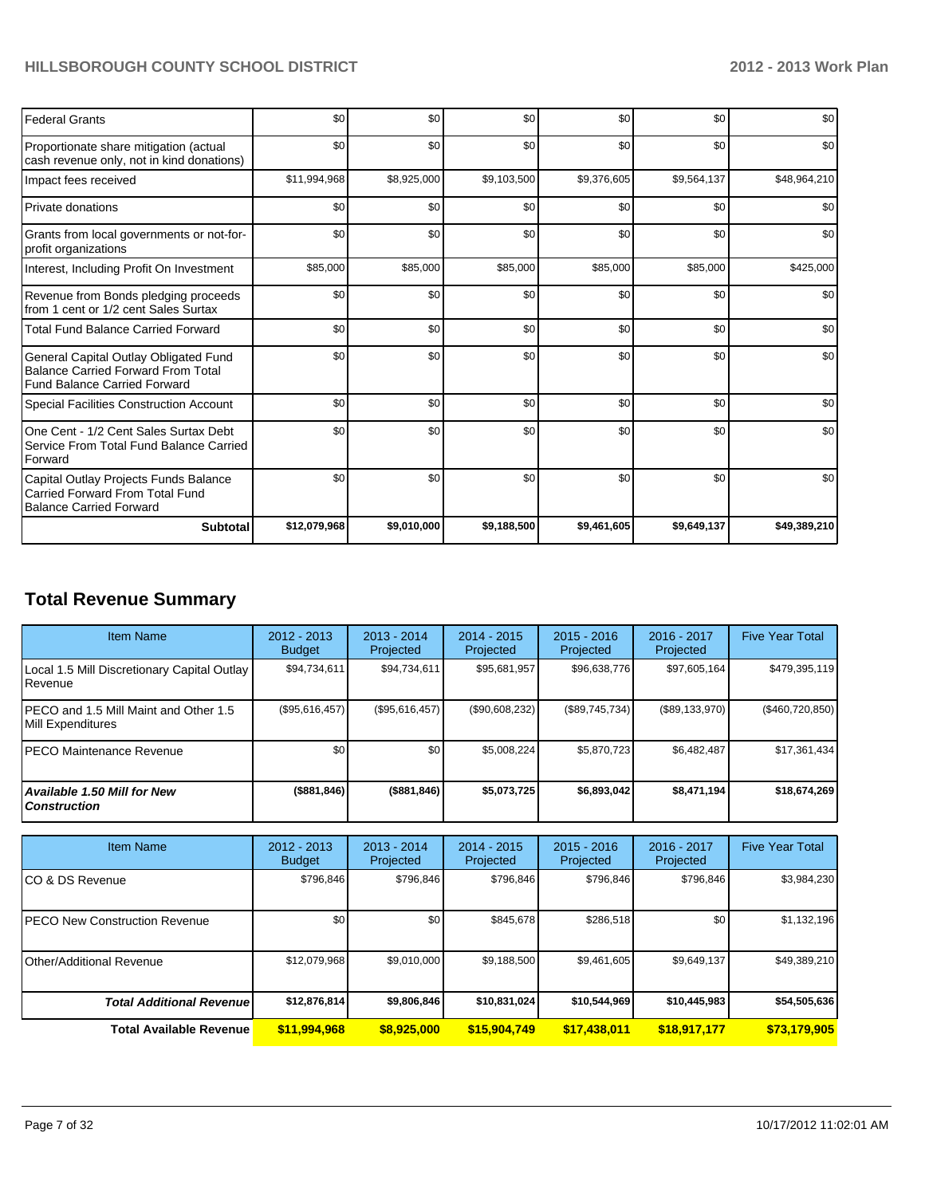| <b>Federal Grants</b>                                                                                                     | \$0          | \$0         | \$0         | \$0         | \$0         | \$0          |
|---------------------------------------------------------------------------------------------------------------------------|--------------|-------------|-------------|-------------|-------------|--------------|
| Proportionate share mitigation (actual<br>cash revenue only, not in kind donations)                                       | \$0          | \$0         | \$0         | \$0         | \$0         | \$0          |
| Impact fees received                                                                                                      | \$11,994,968 | \$8,925,000 | \$9,103,500 | \$9,376,605 | \$9,564,137 | \$48,964,210 |
| <b>Private donations</b>                                                                                                  | \$0          | \$0         | \$0         | \$0         | \$0         | \$0          |
| Grants from local governments or not-for-<br>profit organizations                                                         | \$0          | \$0         | \$0         | \$0         | \$0         | \$0          |
| Interest, Including Profit On Investment                                                                                  | \$85,000     | \$85,000    | \$85,000    | \$85,000    | \$85,000    | \$425,000    |
| Revenue from Bonds pledging proceeds<br>from 1 cent or 1/2 cent Sales Surtax                                              | \$0          | \$0         | \$0         | \$0         | \$0         | \$0          |
| <b>Total Fund Balance Carried Forward</b>                                                                                 | \$0          | \$0         | \$0         | \$0         | \$0         | \$0          |
| General Capital Outlay Obligated Fund<br><b>Balance Carried Forward From Total</b><br><b>Fund Balance Carried Forward</b> | \$0          | \$0         | \$0         | \$0         | \$0         | \$0          |
| <b>Special Facilities Construction Account</b>                                                                            | \$0          | \$0         | \$0         | \$0         | \$0         | \$0          |
| One Cent - 1/2 Cent Sales Surtax Debt<br>Service From Total Fund Balance Carried<br>Forward                               | \$0          | \$0         | \$0         | \$0         | \$0         | \$0          |
| Capital Outlay Projects Funds Balance<br>Carried Forward From Total Fund<br><b>Balance Carried Forward</b>                | \$0          | \$0         | \$0         | \$0         | \$0         | \$0          |
| <b>Subtotal</b>                                                                                                           | \$12,079,968 | \$9,010,000 | \$9,188,500 | \$9,461,605 | \$9,649,137 | \$49,389,210 |

## **Total Revenue Summary**

| <b>Item Name</b>                                            | $2012 - 2013$<br><b>Budget</b> | $2013 - 2014$<br>Projected | $2014 - 2015$<br>Projected | $2015 - 2016$<br>Projected | $2016 - 2017$<br>Projected | <b>Five Year Total</b> |
|-------------------------------------------------------------|--------------------------------|----------------------------|----------------------------|----------------------------|----------------------------|------------------------|
| Local 1.5 Mill Discretionary Capital Outlay<br>l Revenue    | \$94.734.611                   | \$94,734,611               | \$95,681,957               | \$96,638,776               | \$97,605,164               | \$479,395,119          |
| IPECO and 1.5 Mill Maint and Other 1.5<br>Mill Expenditures | (S95, 616, 457)                | (S95.616.457)              | (\$90,608,232)             | (\$89,745,734)             | (\$89,133,970)             | $(\$460,720,850)$      |
| <b>IPECO Maintenance Revenue</b>                            | \$0 <sub>1</sub>               | \$0                        | \$5,008,224                | \$5.870.723                | \$6.482.487                | \$17,361,434           |
| Available 1.50 Mill for New<br>l Construction               | $($ \$881,846)                 | (\$881, 846)               | \$5.073.725                | \$6,893,042                | \$8,471,194                | \$18,674,269           |

| <b>Item Name</b>                 | 2012 - 2013<br><b>Budget</b> | $2013 - 2014$<br>Projected | $2014 - 2015$<br>Projected | $2015 - 2016$<br>Projected | $2016 - 2017$<br>Projected | <b>Five Year Total</b> |
|----------------------------------|------------------------------|----------------------------|----------------------------|----------------------------|----------------------------|------------------------|
| ICO & DS Revenue                 | \$796.846                    | \$796.846                  | \$796.846                  | \$796.846                  | \$796.846                  | \$3,984,230            |
| IPECO New Construction Revenue   | \$0                          | \$0 <sub>1</sub>           | \$845,678                  | \$286,518                  | \$0                        | \$1,132,196            |
| Other/Additional Revenue         | \$12,079,968                 | \$9,010,000                | \$9,188,500                | \$9,461,605                | \$9,649,137                | \$49,389,210           |
| <b>Total Additional Revenuel</b> | \$12,876,814                 | \$9,806,846                | \$10,831,024               | \$10,544,969               | \$10,445,983               | \$54,505,636           |
| <b>Total Available Revenue</b>   | \$11,994,968                 | \$8,925,000                | \$15,904,749               | \$17,438,011               | \$18,917,177               | \$73,179,905           |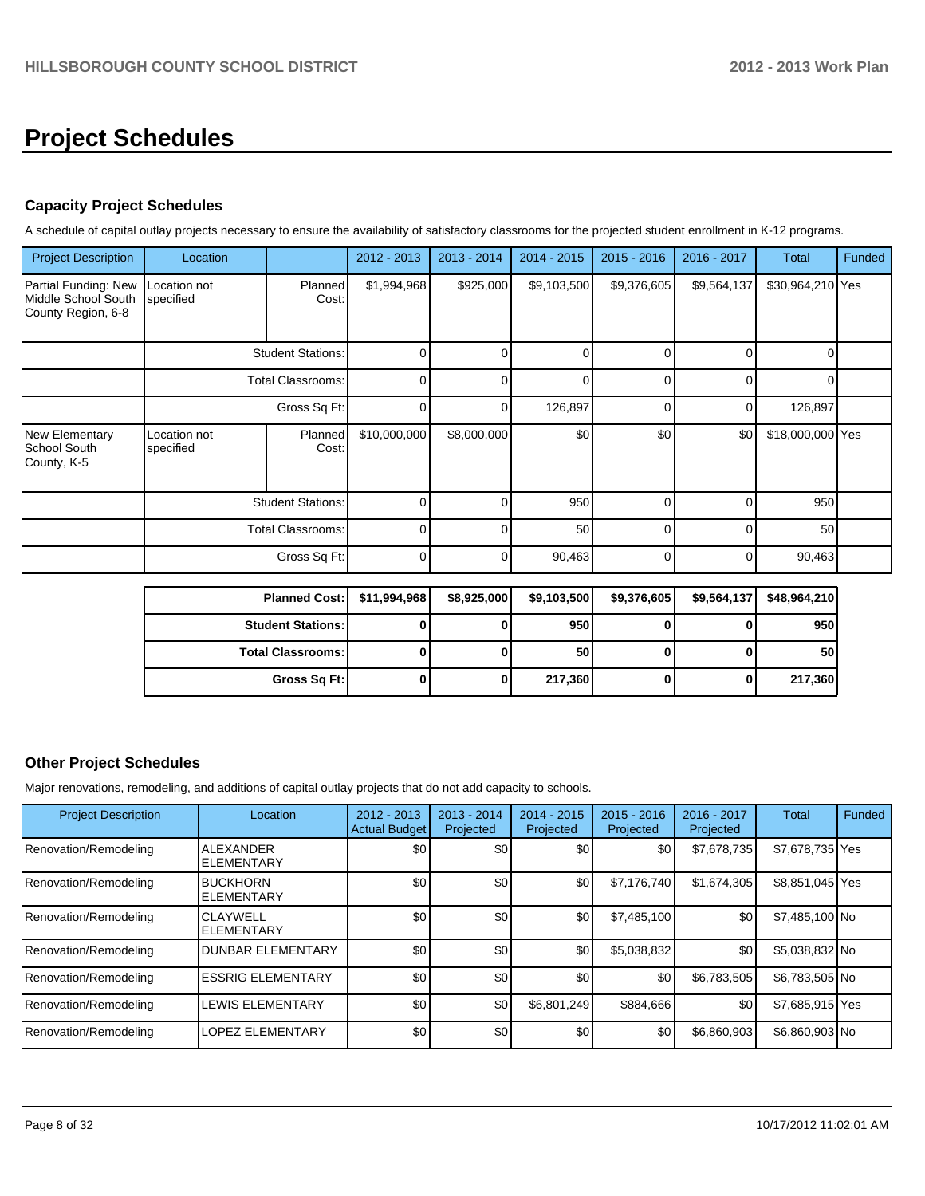# **Project Schedules**

## **Capacity Project Schedules**

A schedule of capital outlay projects necessary to ensure the availability of satisfactory classrooms for the projected student enrollment in K-12 programs.

| <b>Project Description</b>                                        | Location                  |                          | 2012 - 2013  | $2013 - 2014$ | $2014 - 2015$ | $2015 - 2016$ | 2016 - 2017 | Total            | Funded |
|-------------------------------------------------------------------|---------------------------|--------------------------|--------------|---------------|---------------|---------------|-------------|------------------|--------|
| Partial Funding: New<br>Middle School South<br>County Region, 6-8 | Location not<br>specified | <b>Planned</b><br>Cost:  | \$1,994,968  | \$925,000     | \$9,103,500   | \$9,376,605   | \$9,564,137 | \$30,964,210 Yes |        |
|                                                                   | <b>Student Stations:</b>  |                          | $\Omega$     | n             | n             | U             | $\Omega$    | ∩                |        |
|                                                                   |                           | <b>Total Classrooms:</b> | $\Omega$     | n             | U             | U             | $\Omega$    | ∩                |        |
|                                                                   | Gross Sq Ft:              |                          | $\Omega$     | n             | 126,897       | $\Omega$      | 0           | 126,897          |        |
| New Elementary<br>School South<br>County, K-5                     | Location not<br>specified | Planned<br>Cost:         | \$10,000,000 | \$8,000,000   | \$0           | \$0           | \$0         | \$18,000,000 Yes |        |
|                                                                   |                           | <b>Student Stations:</b> | $\Omega$     |               | 950           | U             | ∩           | 950              |        |
|                                                                   |                           | <b>Total Classrooms:</b> | 0            | n             | 50            | $\Omega$      | $\Omega$    | 50               |        |
|                                                                   |                           | Gross Sq Ft:             | 0            | ∩             | 90,463        | $\Omega$      | 0           | 90,463           |        |

| <b>Planned Cost:</b>       | \$11,994,968 | \$8,925,000 | \$9,103,500     | \$9,376,605 | \$9,564,137 | \$48,964,210    |
|----------------------------|--------------|-------------|-----------------|-------------|-------------|-----------------|
| <b>Student Stations: I</b> |              | o           | 950 l           |             |             | 950             |
| <b>Total Classrooms:</b>   |              | 0           | 50 <sub>1</sub> |             |             | 50 <sub>1</sub> |
| Gross Sq Ft:               |              | 0           | 217,360         |             |             | 217,360         |

#### **Other Project Schedules**

Major renovations, remodeling, and additions of capital outlay projects that do not add capacity to schools.

| <b>Project Description</b> | Location                              | $2012 - 2013$<br><b>Actual Budget</b> | $2013 - 2014$<br>Projected | $2014 - 2015$<br>Projected | $2015 - 2016$<br>Projected | $2016 - 2017$<br>Projected | Total           | Funded |
|----------------------------|---------------------------------------|---------------------------------------|----------------------------|----------------------------|----------------------------|----------------------------|-----------------|--------|
| Renovation/Remodeling      | <b>ALEXANDER</b><br><b>ELEMENTARY</b> | \$0                                   | \$0                        | \$0                        | \$0                        | \$7,678,735                | \$7,678,735 Yes |        |
| Renovation/Remodeling      | <b>BUCKHORN</b><br><b>ELEMENTARY</b>  | \$0                                   | \$0                        | \$0                        | \$7,176,740                | \$1,674,305                | \$8,851,045 Yes |        |
| Renovation/Remodeling      | <b>CLAYWELL</b><br><b>ELEMENTARY</b>  | \$0                                   | \$0                        | \$0                        | \$7,485,100                | \$0                        | \$7,485,100 No  |        |
| Renovation/Remodeling      | <b>DUNBAR ELEMENTARY</b>              | \$0                                   | \$0                        | \$0                        | \$5,038,832                | \$0                        | \$5,038,832 No  |        |
| Renovation/Remodeling      | <b>IESSRIG ELEMENTARY</b>             | \$0                                   | \$0                        | \$0                        | \$0                        | \$6,783,505                | \$6,783,505 No  |        |
| Renovation/Remodeling      | LEWIS ELEMENTARY                      | \$0                                   | \$0                        | \$6,801,249                | \$884,666                  | \$0                        | \$7,685,915 Yes |        |
| Renovation/Remodeling      | <b>LOPEZ ELEMENTARY</b>               | \$0                                   | \$0                        | \$0                        | \$0                        | \$6,860,903                | \$6,860,903 No  |        |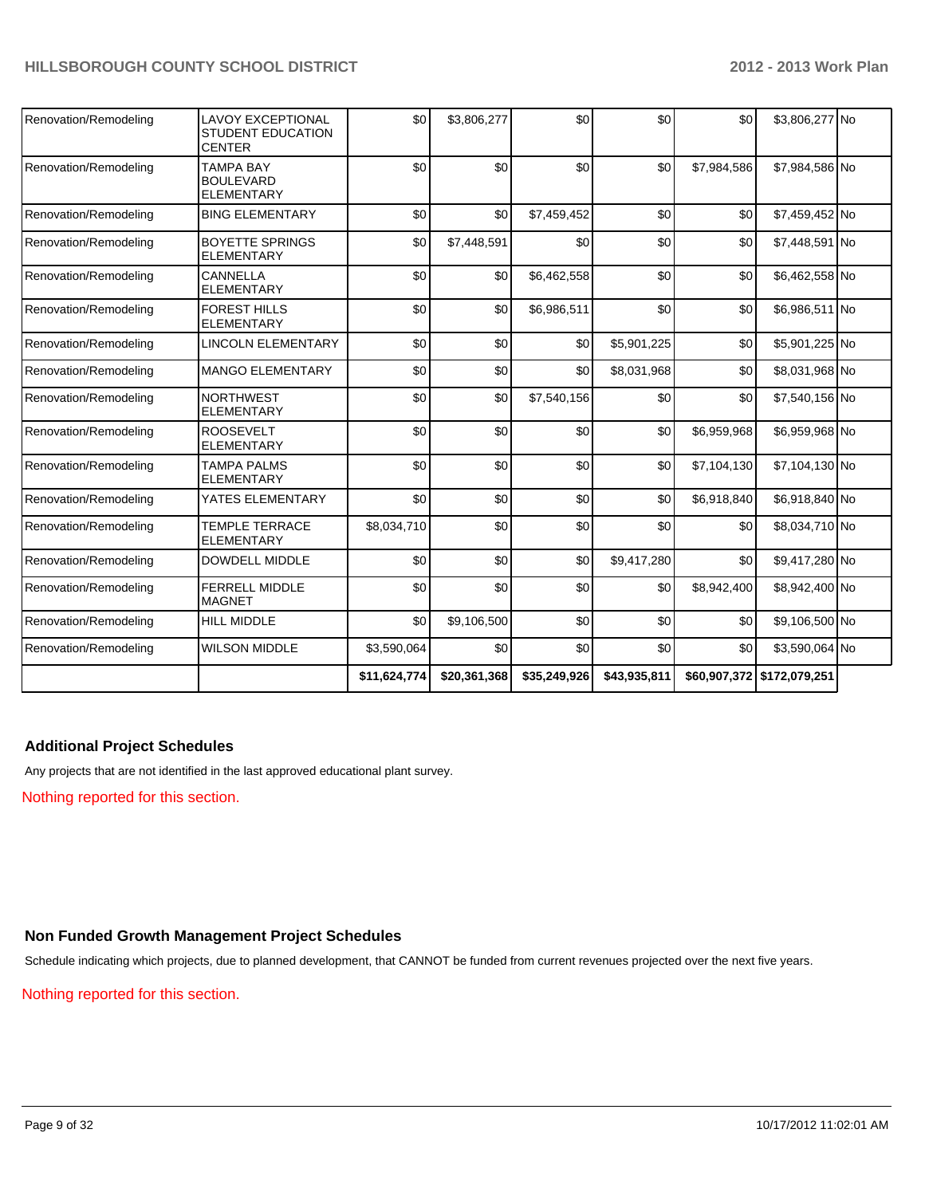| Renovation/Remodeling | <b>LAVOY EXCEPTIONAL</b><br><b>STUDENT EDUCATION</b><br><b>CENTER</b> | \$0          | \$3,806,277  | \$0          | \$0          | \$0         | \$3,806,277 No             |  |
|-----------------------|-----------------------------------------------------------------------|--------------|--------------|--------------|--------------|-------------|----------------------------|--|
| Renovation/Remodeling | <b>TAMPA BAY</b><br><b>BOULEVARD</b><br><b>ELEMENTARY</b>             | \$0          | \$0          | \$0          | \$0          | \$7,984,586 | \$7,984,586 No             |  |
| Renovation/Remodeling | <b>BING ELEMENTARY</b>                                                | \$0          | \$0          | \$7,459,452  | \$0          | \$0         | \$7,459,452 No             |  |
| Renovation/Remodeling | <b>BOYETTE SPRINGS</b><br><b>ELEMENTARY</b>                           | \$0          | \$7,448,591  | \$0          | \$0          | \$0         | \$7,448,591 No             |  |
| Renovation/Remodeling | CANNELLA<br><b>ELEMENTARY</b>                                         | \$0          | \$0          | \$6,462,558  | \$0          | \$0         | \$6,462,558 No             |  |
| Renovation/Remodeling | <b>FOREST HILLS</b><br><b>ELEMENTARY</b>                              | \$0          | \$0          | \$6,986,511  | \$0          | \$0         | \$6,986,511 No             |  |
| Renovation/Remodeling | <b>LINCOLN ELEMENTARY</b>                                             | \$0          | \$0          | \$0          | \$5,901,225  | \$0         | \$5,901,225 No             |  |
| Renovation/Remodeling | <b>MANGO ELEMENTARY</b>                                               | \$0          | \$0          | \$0          | \$8,031,968  | \$0         | \$8,031,968 No             |  |
| Renovation/Remodeling | <b>NORTHWEST</b><br><b>ELEMENTARY</b>                                 | \$0          | \$0          | \$7,540,156  | \$0          | \$0         | \$7,540,156 No             |  |
| Renovation/Remodeling | <b>ROOSEVELT</b><br><b>ELEMENTARY</b>                                 | \$0          | \$0          | \$0          | \$0          | \$6,959,968 | \$6,959,968 No             |  |
| Renovation/Remodeling | <b>TAMPA PALMS</b><br><b>ELEMENTARY</b>                               | \$0          | \$0          | \$0          | \$0          | \$7,104,130 | \$7,104,130 No             |  |
| Renovation/Remodeling | YATES ELEMENTARY                                                      | \$0          | 30           | \$0          | \$0          | \$6,918,840 | \$6,918,840 No             |  |
| Renovation/Remodeling | <b>TEMPLE TERRACE</b><br><b>ELEMENTARY</b>                            | \$8,034,710  | \$0          | \$0          | \$0          | \$0         | \$8,034,710 No             |  |
| Renovation/Remodeling | <b>DOWDELL MIDDLE</b>                                                 | \$0          | \$0          | \$0          | \$9,417,280  | \$0         | \$9,417,280 No             |  |
| Renovation/Remodeling | <b>FERRELL MIDDLE</b><br><b>MAGNET</b>                                | \$0          | \$0          | \$0          | \$0          | \$8,942,400 | \$8,942,400 No             |  |
| Renovation/Remodeling | <b>HILL MIDDLE</b>                                                    | \$0          | \$9,106,500  | \$0          | \$0          | \$0         | \$9,106,500 No             |  |
| Renovation/Remodeling | <b>WILSON MIDDLE</b>                                                  | \$3,590,064  | \$0          | \$0          | \$0          | \$0         | \$3,590,064 No             |  |
|                       |                                                                       | \$11,624,774 | \$20,361,368 | \$35,249,926 | \$43,935,811 |             | \$60,907,372 \$172,079,251 |  |

#### **Additional Project Schedules**

Any projects that are not identified in the last approved educational plant survey.

Nothing reported for this section.

## **Non Funded Growth Management Project Schedules**

Schedule indicating which projects, due to planned development, that CANNOT be funded from current revenues projected over the next five years.

Nothing reported for this section.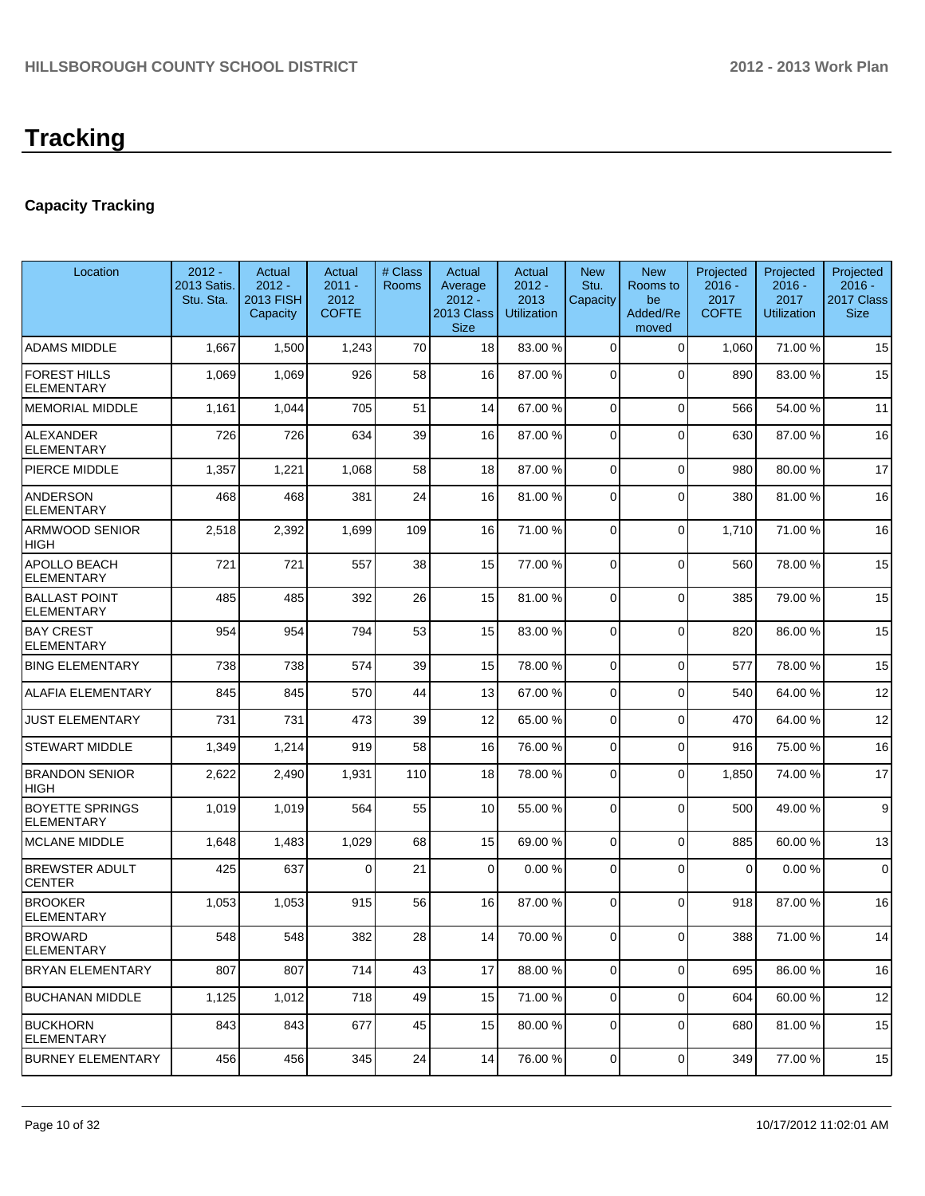## **Capacity Tracking**

| Location                                    | $2012 -$<br>2013 Satis.<br>Stu. Sta. | Actual<br>$2012 -$<br>2013 FISH<br>Capacity | Actual<br>$2011 -$<br>2012<br><b>COFTE</b> | # Class<br>Rooms | Actual<br>Average<br>$2012 -$<br>2013 Class<br><b>Size</b> | Actual<br>$2012 -$<br>2013<br><b>Utilization</b> | <b>New</b><br>Stu.<br>Capacity | <b>New</b><br>Rooms to<br>be<br>Added/Re<br>moved | Projected<br>$2016 -$<br>2017<br><b>COFTE</b> | Projected<br>$2016 -$<br>2017<br><b>Utilization</b> | Projected<br>$2016 -$<br>2017 Class<br><b>Size</b> |
|---------------------------------------------|--------------------------------------|---------------------------------------------|--------------------------------------------|------------------|------------------------------------------------------------|--------------------------------------------------|--------------------------------|---------------------------------------------------|-----------------------------------------------|-----------------------------------------------------|----------------------------------------------------|
| <b>ADAMS MIDDLE</b>                         | 1,667                                | 1,500                                       | 1,243                                      | 70               | 18                                                         | 83.00 %                                          | 0                              | $\Omega$                                          | 1,060                                         | 71.00 %                                             | 15                                                 |
| <b>FOREST HILLS</b><br><b>ELEMENTARY</b>    | 1,069                                | 1,069                                       | 926                                        | 58               | 16                                                         | 87.00 %                                          | $\Omega$                       | $\Omega$                                          | 890                                           | 83.00 %                                             | 15                                                 |
| <b>MEMORIAL MIDDLE</b>                      | 1,161                                | 1,044                                       | 705                                        | 51               | 14                                                         | 67.00 %                                          | 0                              | $\Omega$                                          | 566                                           | 54.00%                                              | 11                                                 |
| <b>ALEXANDER</b><br><b>ELEMENTARY</b>       | 726                                  | 726                                         | 634                                        | 39               | 16                                                         | 87.00 %                                          | 0                              | $\Omega$                                          | 630                                           | 87.00 %                                             | 16                                                 |
| PIERCE MIDDLE                               | 1,357                                | 1,221                                       | 1,068                                      | 58               | 18                                                         | 87.00 %                                          | 0                              | $\Omega$                                          | 980                                           | 80.00%                                              | 17                                                 |
| <b>ANDERSON</b><br><b>ELEMENTARY</b>        | 468                                  | 468                                         | 381                                        | 24               | 16                                                         | 81.00 %                                          | 0                              | $\Omega$                                          | 380                                           | 81.00%                                              | 16                                                 |
| ARMWOOD SENIOR<br>HIGH                      | 2,518                                | 2,392                                       | 1,699                                      | 109              | 16                                                         | 71.00 %                                          | 0                              | $\Omega$                                          | 1,710                                         | 71.00%                                              | 16                                                 |
| APOLLO BEACH<br><b>ELEMENTARY</b>           | 721                                  | 721                                         | 557                                        | 38               | 15                                                         | 77.00 %                                          | 0                              | $\Omega$                                          | 560                                           | 78.00%                                              | 15                                                 |
| <b>BALLAST POINT</b><br><b>ELEMENTARY</b>   | 485                                  | 485                                         | 392                                        | 26               | 15                                                         | 81.00 %                                          | 0                              | $\Omega$                                          | 385                                           | 79.00 %                                             | 15                                                 |
| <b>BAY CREST</b><br><b>ELEMENTARY</b>       | 954                                  | 954                                         | 794                                        | 53               | 15                                                         | 83.00 %                                          | 0                              | $\Omega$                                          | 820                                           | 86.00 %                                             | 15                                                 |
| <b>BING ELEMENTARY</b>                      | 738                                  | 738                                         | 574                                        | 39               | 15                                                         | 78.00 %                                          | 0                              | $\Omega$                                          | 577                                           | 78.00%                                              | 15                                                 |
| ALAFIA ELEMENTARY                           | 845                                  | 845                                         | 570                                        | 44               | 13                                                         | 67.00 %                                          | 0                              | $\Omega$                                          | 540                                           | 64.00 %                                             | 12                                                 |
| <b>JUST ELEMENTARY</b>                      | 731                                  | 731                                         | 473                                        | 39               | 12                                                         | 65.00 %                                          | 0                              | $\Omega$                                          | 470                                           | 64.00 %                                             | 12                                                 |
| <b>STEWART MIDDLE</b>                       | 1,349                                | 1,214                                       | 919                                        | 58               | 16                                                         | 76.00 %                                          | 0                              | $\Omega$                                          | 916                                           | 75.00 %                                             | 16                                                 |
| <b>BRANDON SENIOR</b><br>HIGH               | 2,622                                | 2,490                                       | 1,931                                      | 110              | 18                                                         | 78.00 %                                          | 0                              | $\Omega$                                          | 1,850                                         | 74.00 %                                             | 17                                                 |
| <b>BOYETTE SPRINGS</b><br><b>ELEMENTARY</b> | 1,019                                | 1,019                                       | 564                                        | 55               | 10 <sup>1</sup>                                            | 55.00 %                                          | $\overline{0}$                 | $\Omega$                                          | 500                                           | 49.00 %                                             | 9                                                  |
| <b>MCLANE MIDDLE</b>                        | 1,648                                | 1,483                                       | 1,029                                      | 68               | 15                                                         | 69.00 %                                          | $\mathbf 0$                    | $\Omega$                                          | 885                                           | 60.00%                                              | 13                                                 |
| <b>BREWSTER ADULT</b><br><b>CENTER</b>      | 425                                  | 637                                         | $\Omega$                                   | 21               | $\Omega$                                                   | 0.00%                                            | 0                              | $\Omega$                                          | $\Omega$                                      | 0.00%                                               | $\mathbf 0$                                        |
| <b>BROOKER</b><br><b>ELEMENTARY</b>         | 1,053                                | 1,053                                       | 915                                        | 56               | 16                                                         | 87.00 %                                          | 0                              | $\Omega$                                          | 918                                           | 87.00 %                                             | 16                                                 |
| <b>BROWARD</b><br><b>ELEMENTARY</b>         | 548                                  | 548                                         | 382                                        | 28               | 14 I                                                       | 70.00 %                                          | 01                             | $\overline{O}$                                    | 388                                           | 71.00 %                                             | 14                                                 |
| <b>BRYAN ELEMENTARY</b>                     | 807                                  | 807                                         | 714                                        | 43               | 17                                                         | 88.00 %                                          | $\overline{0}$                 | $\overline{0}$                                    | 695                                           | 86.00%                                              | 16                                                 |
| <b>BUCHANAN MIDDLE</b>                      | 1,125                                | 1,012                                       | 718                                        | 49               | 15                                                         | 71.00 %                                          | $\overline{0}$                 | $\overline{0}$                                    | 604                                           | 60.00%                                              | 12                                                 |
| <b>BUCKHORN</b><br><b>ELEMENTARY</b>        | 843                                  | 843                                         | 677                                        | 45               | 15                                                         | 80.00 %                                          | $\overline{0}$                 | $\Omega$                                          | 680                                           | 81.00%                                              | 15                                                 |
| <b>BURNEY ELEMENTARY</b>                    | 456                                  | 456                                         | 345                                        | 24               | 14                                                         | 76.00 %                                          | $\overline{0}$                 | $\overline{0}$                                    | 349                                           | 77.00 %                                             | 15                                                 |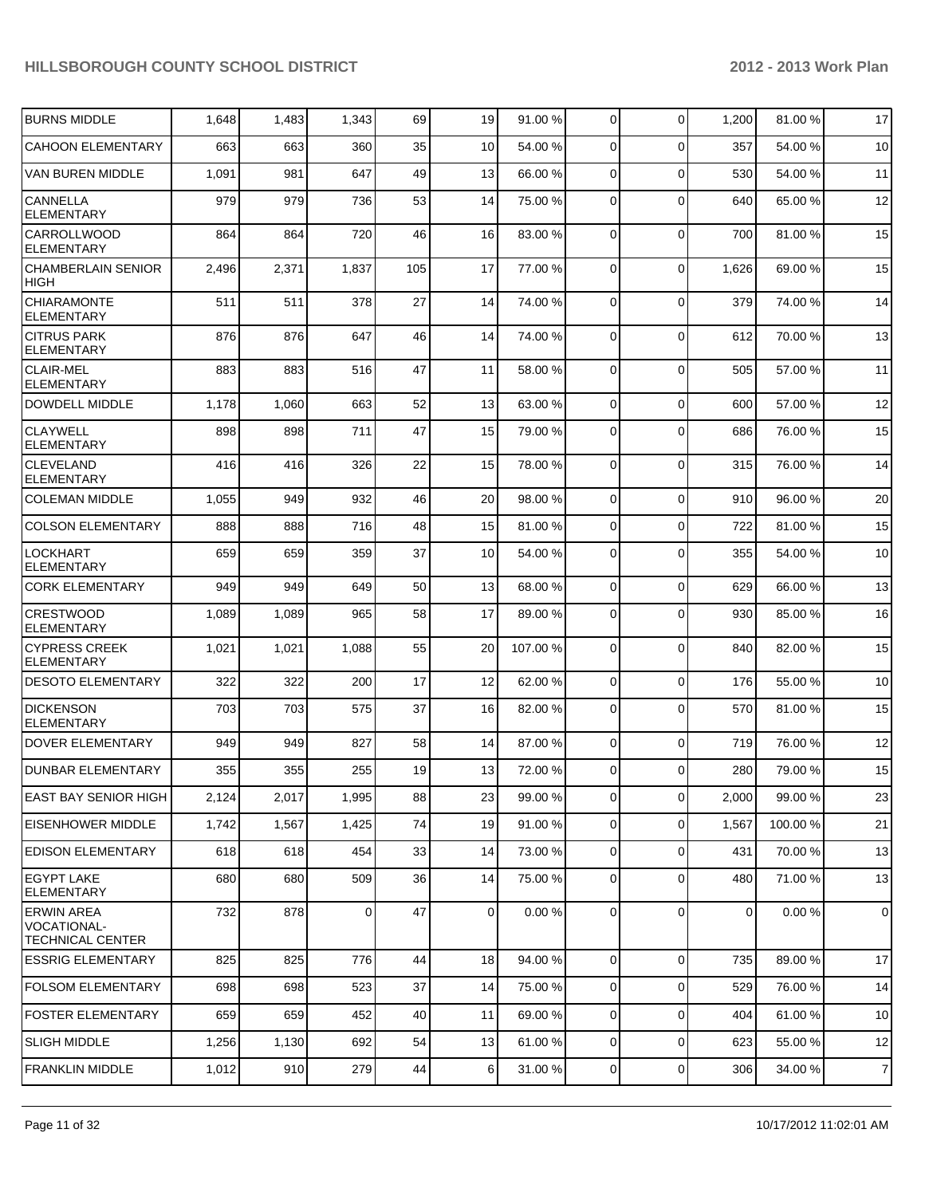| <b>BURNS MIDDLE</b>                                                | 1,648 | 1,483 | 1,343 | 69  | 19             | 91.00%   | $\overline{0}$ | $\Omega$       | 1,200          | 81.00%  | 17             |
|--------------------------------------------------------------------|-------|-------|-------|-----|----------------|----------|----------------|----------------|----------------|---------|----------------|
| <b>CAHOON ELEMENTARY</b>                                           | 663   | 663   | 360   | 35  | 10             | 54.00 %  | $\Omega$       | $\Omega$       | 357            | 54.00 % | 10             |
| VAN BUREN MIDDLE                                                   | 1,091 | 981   | 647   | 49  | 13             | 66.00 %  | $\overline{0}$ | $\Omega$       | 530            | 54.00 % | 11             |
| <b>CANNELLA</b><br><b>ELEMENTARY</b>                               | 979   | 979   | 736   | 53  | 14             | 75.00 %  | $\Omega$       | $\Omega$       | 640            | 65.00 % | 12             |
| <b>CARROLLWOOD</b><br><b>ELEMENTARY</b>                            | 864   | 864   | 720   | 46  | 16             | 83.00 %  | $\overline{0}$ | $\Omega$       | 700            | 81.00%  | 15             |
| <b>CHAMBERLAIN SENIOR</b><br><b>HIGH</b>                           | 2,496 | 2,371 | 1,837 | 105 | 17             | 77.00 %  | $\Omega$       | $\Omega$       | 1,626          | 69.00 % | 15             |
| <b>CHIARAMONTE</b><br><b>ELEMENTARY</b>                            | 511   | 511   | 378   | 27  | 14             | 74.00 %  | $\Omega$       | $\Omega$       | 379            | 74.00%  | 14             |
| <b>CITRUS PARK</b><br><b>ELEMENTARY</b>                            | 876   | 876   | 647   | 46  | 14             | 74.00 %  | $\Omega$       | $\Omega$       | 612            | 70.00%  | 13             |
| <b>CLAIR-MEL</b><br><b>ELEMENTARY</b>                              | 883   | 883   | 516   | 47  | 11             | 58.00 %  | 0              | $\Omega$       | 505            | 57.00 % | 11             |
| DOWDELL MIDDLE                                                     | 1,178 | 1,060 | 663   | 52  | 13             | 63.00 %  | 0              | $\Omega$       | 600            | 57.00 % | 12             |
| <b>CLAYWELL</b><br><b>ELEMENTARY</b>                               | 898   | 898   | 711   | 47  | 15             | 79.00 %  | $\Omega$       | $\Omega$       | 686            | 76.00 % | 15             |
| <b>CLEVELAND</b><br><b>ELEMENTARY</b>                              | 416   | 416   | 326   | 22  | 15             | 78.00 %  | 0              | $\Omega$       | 315            | 76.00 % | 14             |
| <b>COLEMAN MIDDLE</b>                                              | 1,055 | 949   | 932   | 46  | 20             | 98.00 %  | $\overline{0}$ | $\Omega$       | 910            | 96.00%  | 20             |
| <b>COLSON ELEMENTARY</b>                                           | 888   | 888   | 716   | 48  | 15             | 81.00 %  | $\overline{0}$ | $\Omega$       | 722            | 81.00%  | 15             |
| <b>LOCKHART</b><br><b>ELEMENTARY</b>                               | 659   | 659   | 359   | 37  | 10             | 54.00 %  | $\Omega$       | $\Omega$       | 355            | 54.00 % | 10             |
| <b>CORK ELEMENTARY</b>                                             | 949   | 949   | 649   | 50  | 13             | 68.00 %  | 0              | $\Omega$       | 629            | 66.00 % | 13             |
| <b>CRESTWOOD</b><br><b>ELEMENTARY</b>                              | 1,089 | 1,089 | 965   | 58  | 17             | 89.00 %  | 0              | $\Omega$       | 930            | 85.00 % | 16             |
| <b>CYPRESS CREEK</b><br><b>ELEMENTARY</b>                          | 1,021 | 1,021 | 1,088 | 55  | 20             | 107.00 % | 0              | $\Omega$       | 840            | 82.00%  | 15             |
| <b>DESOTO ELEMENTARY</b>                                           | 322   | 322   | 200   | 17  | 12             | 62.00 %  | 0              | $\Omega$       | 176            | 55.00 % | 10             |
| <b>DICKENSON</b><br><b>ELEMENTARY</b>                              | 703   | 703   | 575   | 37  | 16             | 82.00 %  | 0              | $\Omega$       | 570            | 81.00%  | 15             |
| <b>DOVER ELEMENTARY</b>                                            | 949   | 949   | 827   | 58  | 14             | 87.00 %  | 0              | $\Omega$       | 719            | 76.00 % | 12             |
| <b>DUNBAR ELEMENTARY</b>                                           | 355   | 355   | 255   | 19  | 13             | 72.00 %  | $\Omega$       | $\Omega$       | 280            | 79.00 % | 15             |
| <b>EAST BAY SENIOR HIGH</b>                                        | 2,124 | 2,017 | 1,995 | 88  | 23             | 99.00 %  | $\overline{0}$ | $\overline{0}$ | 2,000          | 99.00 % | 23             |
| <b>EISENHOWER MIDDLE</b>                                           | 1,742 | 1,567 | 1,425 | 74  | 19             | 91.00 %  | $\overline{0}$ | $\overline{0}$ | 1,567          | 100.00% | 21             |
| <b>EDISON ELEMENTARY</b>                                           | 618   | 618   | 454   | 33  | 14             | 73.00 %  | 0              | $\overline{0}$ | 431            | 70.00%  | 13             |
| <b>EGYPT LAKE</b><br>ELEMENTARY                                    | 680   | 680   | 509   | 36  | 14             | 75.00 %  | 0              | $\Omega$       | 480            | 71.00 % | 13             |
| <b>ERWIN AREA</b><br><b>VOCATIONAL-</b><br><b>TECHNICAL CENTER</b> | 732   | 878   | 0     | 47  | $\overline{0}$ | 0.00%    | $\overline{0}$ | $\Omega$       | $\overline{0}$ | 0.00%   | 0              |
| <b>ESSRIG ELEMENTARY</b>                                           | 825   | 825   | 776   | 44  | 18             | 94.00 %  | $\overline{0}$ | $\overline{0}$ | 735            | 89.00 % | 17             |
| <b>FOLSOM ELEMENTARY</b>                                           | 698   | 698   | 523   | 37  | 14             | 75.00 %  | 0              | $\mathbf 0$    | 529            | 76.00 % | 14             |
| <b>FOSTER ELEMENTARY</b>                                           | 659   | 659   | 452   | 40  | 11             | 69.00 %  | 0              | $\mathbf 0$    | 404            | 61.00%  | 10             |
| <b>SLIGH MIDDLE</b>                                                | 1,256 | 1,130 | 692   | 54  | 13             | 61.00 %  | $\overline{0}$ | $\mathbf 0$    | 623            | 55.00 % | 12             |
| <b>FRANKLIN MIDDLE</b>                                             | 1,012 | 910   | 279   | 44  | $6 \mid$       | 31.00 %  | $\overline{0}$ | $\overline{0}$ | 306            | 34.00 % | $\overline{7}$ |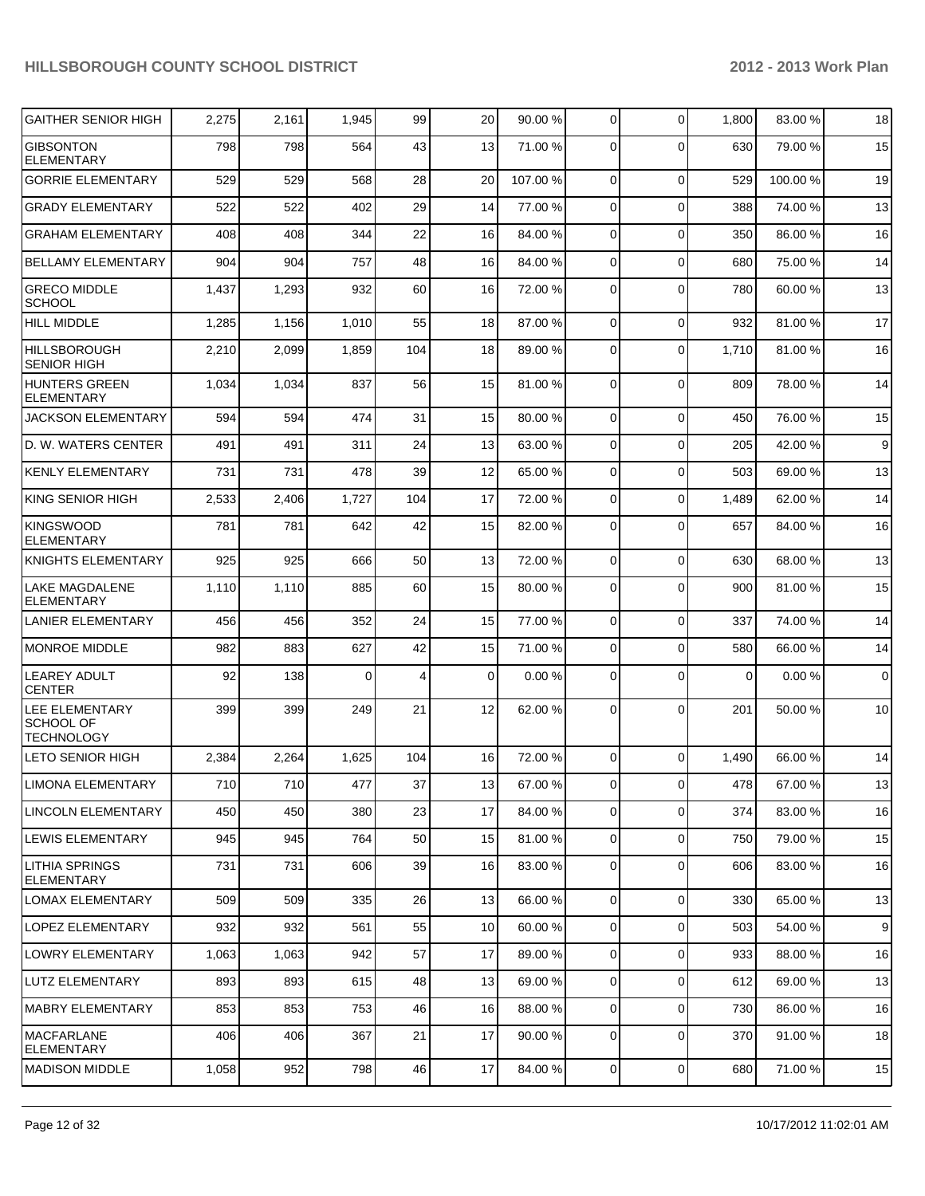| <b>GAITHER SENIOR HIGH</b>                                     | 2,275 | 2,161 | 1,945    | 99  | 20       | 90.00 % | $\overline{0}$ | $\Omega$       | 1,800    | 83.00 % | 18 |
|----------------------------------------------------------------|-------|-------|----------|-----|----------|---------|----------------|----------------|----------|---------|----|
| <b>GIBSONTON</b><br><b>ELEMENTARY</b>                          | 798   | 798   | 564      | 43  | 13       | 71.00 % | $\Omega$       | $\Omega$       | 630      | 79.00 % | 15 |
| <b>GORRIE ELEMENTARY</b>                                       | 529   | 529   | 568      | 28  | 20       | 107.00% | $\overline{0}$ | $\Omega$       | 529      | 100.00% | 19 |
| <b>GRADY ELEMENTARY</b>                                        | 522   | 522   | 402      | 29  | 14       | 77.00 % | $\overline{0}$ | $\Omega$       | 388      | 74.00%  | 13 |
| <b>GRAHAM ELEMENTARY</b>                                       | 408   | 408   | 344      | 22  | 16       | 84.00 % | $\overline{0}$ | $\Omega$       | 350      | 86.00 % | 16 |
| <b>BELLAMY ELEMENTARY</b>                                      | 904   | 904   | 757      | 48  | 16       | 84.00 % | $\overline{0}$ | $\Omega$       | 680      | 75.00 % | 14 |
| <b>GRECO MIDDLE</b><br><b>SCHOOL</b>                           | 1,437 | 1,293 | 932      | 60  | 16       | 72.00 % | $\Omega$       | $\Omega$       | 780      | 60.00 % | 13 |
| <b>HILL MIDDLE</b>                                             | 1,285 | 1,156 | 1,010    | 55  | 18       | 87.00 % | $\overline{0}$ | $\Omega$       | 932      | 81.00%  | 17 |
| <b>HILLSBOROUGH</b><br><b>SENIOR HIGH</b>                      | 2,210 | 2,099 | 1,859    | 104 | 18       | 89.00 % | $\overline{0}$ | $\Omega$       | 1,710    | 81.00%  | 16 |
| <b>HUNTERS GREEN</b><br><b>ELEMENTARY</b>                      | 1,034 | 1,034 | 837      | 56  | 15       | 81.00 % | $\overline{0}$ | $\Omega$       | 809      | 78.00 % | 14 |
| JACKSON ELEMENTARY                                             | 594   | 594   | 474      | 31  | 15       | 80.00 % | $\overline{0}$ | $\Omega$       | 450      | 76.00%  | 15 |
| D. W. WATERS CENTER                                            | 491   | 491   | 311      | 24  | 13       | 63.00 % | $\overline{0}$ | $\Omega$       | 205      | 42.00 % | 9  |
| <b>KENLY ELEMENTARY</b>                                        | 731   | 731   | 478      | 39  | 12       | 65.00 % | $\overline{0}$ | $\Omega$       | 503      | 69.00 % | 13 |
| <b>KING SENIOR HIGH</b>                                        | 2,533 | 2,406 | 1,727    | 104 | 17       | 72.00 % | $\overline{0}$ | $\Omega$       | 1,489    | 62.00 % | 14 |
| <b>KINGSWOOD</b><br><b>ELEMENTARY</b>                          | 781   | 781   | 642      | 42  | 15       | 82.00 % | $\Omega$       | $\Omega$       | 657      | 84.00 % | 16 |
| <b>KNIGHTS ELEMENTARY</b>                                      | 925   | 925   | 666      | 50  | 13       | 72.00 % | $\overline{0}$ | $\Omega$       | 630      | 68.00 % | 13 |
| LAKE MAGDALENE<br><b>ELEMENTARY</b>                            | 1,110 | 1,110 | 885      | 60  | 15       | 80.00 % | $\Omega$       | $\Omega$       | 900      | 81.00%  | 15 |
| LANIER ELEMENTARY                                              | 456   | 456   | 352      | 24  | 15       | 77.00 % | $\overline{0}$ | $\Omega$       | 337      | 74.00 % | 14 |
| <b>MONROE MIDDLE</b>                                           | 982   | 883   | 627      | 42  | 15       | 71.00 % | $\overline{0}$ | $\Omega$       | 580      | 66.00 % | 14 |
| <b>LEAREY ADULT</b><br><b>CENTER</b>                           | 92    | 138   | $\Omega$ | 4   | $\Omega$ | 0.00 %  | $\overline{0}$ | $\Omega$       | $\Omega$ | 0.00%   | 0  |
| <b>LEE ELEMENTARY</b><br><b>SCHOOL OF</b><br><b>TECHNOLOGY</b> | 399   | 399   | 249      | 21  | 12       | 62.00 % | $\Omega$       | $\Omega$       | 201      | 50.00 % | 10 |
| <b>LETO SENIOR HIGH</b>                                        | 2,384 | 2,264 | 1,625    | 104 | 16       | 72.00 % | $\overline{0}$ | $\Omega$       | 1,490    | 66.00 % | 14 |
| <b>LIMONA ELEMENTARY</b>                                       | 710   | 710   | 477      | 37  | 13       | 67.00 % | $\overline{0}$ | 0              | 478      | 67.00%  | 13 |
| LINCOLN ELEMENTARY                                             | 450   | 450   | 380      | 23  | 17       | 84.00 % | $\overline{0}$ | $\overline{0}$ | 374      | 83.00 % | 16 |
| LEWIS ELEMENTARY                                               | 945   | 945   | 764      | 50  | 15       | 81.00 % | $\overline{0}$ | $\overline{0}$ | 750      | 79.00 % | 15 |
| <b>LITHIA SPRINGS</b><br><b>ELEMENTARY</b>                     | 731   | 731   | 606      | 39  | 16       | 83.00 % | $\overline{0}$ | $\overline{0}$ | 606      | 83.00 % | 16 |
| <b>LOMAX ELEMENTARY</b>                                        | 509   | 509   | 335      | 26  | 13       | 66.00 % | $\overline{0}$ | $\mathbf 0$    | 330      | 65.00 % | 13 |
| <b>LOPEZ ELEMENTARY</b>                                        | 932   | 932   | 561      | 55  | 10       | 60.00 % | $\overline{0}$ | $\mathbf 0$    | 503      | 54.00 % | 9  |
| <b>LOWRY ELEMENTARY</b>                                        | 1,063 | 1,063 | 942      | 57  | 17       | 89.00 % | $\overline{0}$ | $\Omega$       | 933      | 88.00 % | 16 |
| LUTZ ELEMENTARY                                                | 893   | 893   | 615      | 48  | 13       | 69.00 % | $\overline{0}$ | 0              | 612      | 69.00 % | 13 |
| <b>MABRY ELEMENTARY</b>                                        | 853   | 853   | 753      | 46  | 16       | 88.00 % | $\overline{0}$ | $\mathbf 0$    | 730      | 86.00 % | 16 |
| <b>MACFARLANE</b><br><b>ELEMENTARY</b>                         | 406   | 406   | 367      | 21  | 17       | 90.00 % | $\mathbf 0$    | 0              | 370      | 91.00%  | 18 |
| <b>MADISON MIDDLE</b>                                          | 1,058 | 952   | 798      | 46  | 17       | 84.00 % | $\overline{0}$ | $\overline{0}$ | 680      | 71.00%  | 15 |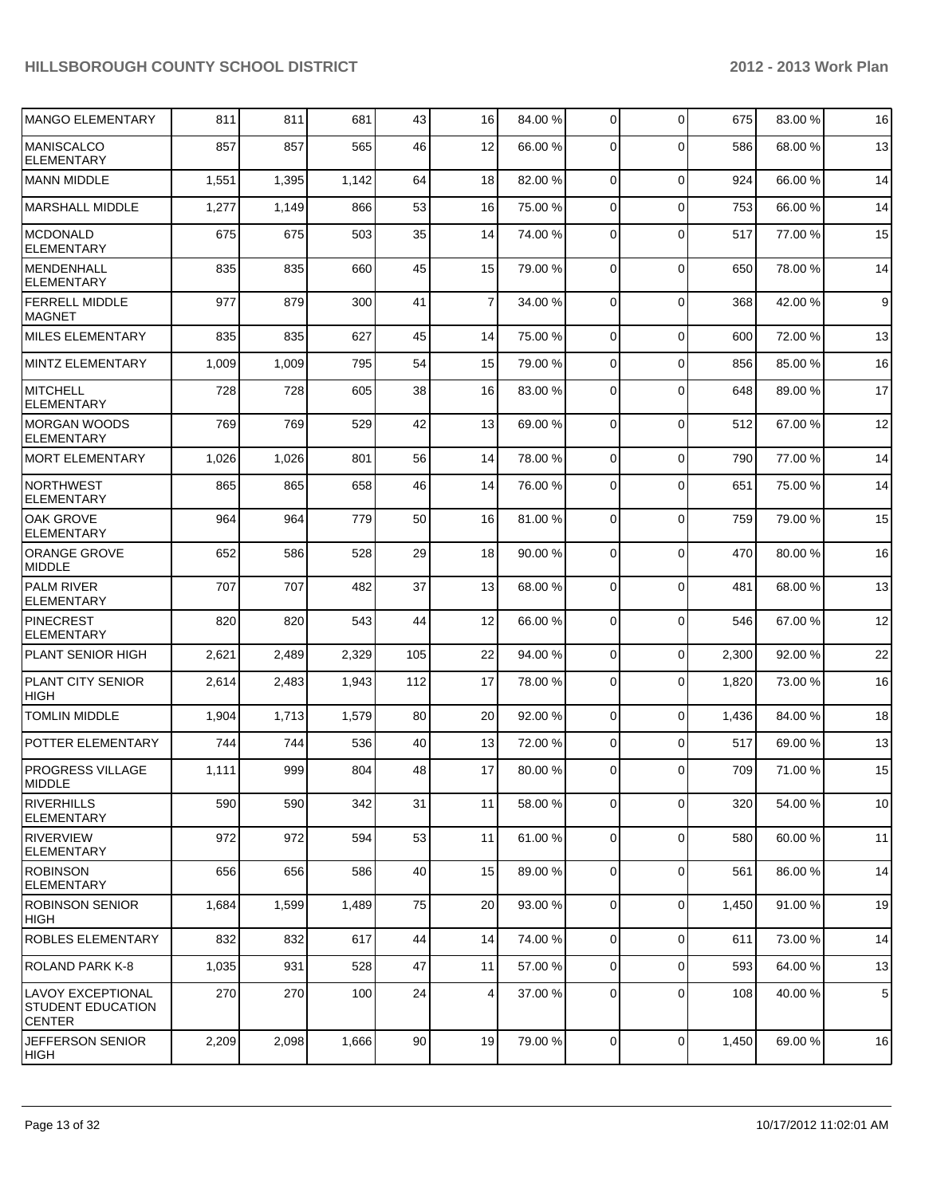| <b>MANGO ELEMENTARY</b>                                        | 811   | 811   | 681   | 43              | 16             | 84.00 % | 0              | $\Omega$    | 675   | 83.00 % | 16 |
|----------------------------------------------------------------|-------|-------|-------|-----------------|----------------|---------|----------------|-------------|-------|---------|----|
| <b>MANISCALCO</b><br><b>ELEMENTARY</b>                         | 857   | 857   | 565   | 46              | 12             | 66.00 % | $\Omega$       | $\Omega$    | 586   | 68.00 % | 13 |
| <b>MANN MIDDLE</b>                                             | 1,551 | 1,395 | 1,142 | 64              | 18             | 82.00 % | 0              | $\mathbf 0$ | 924   | 66.00 % | 14 |
| <b>MARSHALL MIDDLE</b>                                         | 1,277 | 1,149 | 866   | 53              | 16             | 75.00 % | 0              | $\Omega$    | 753   | 66.00 % | 14 |
| <b>MCDONALD</b><br><b>ELEMENTARY</b>                           | 675   | 675   | 503   | 35              | 14             | 74.00 % | $\Omega$       | $\Omega$    | 517   | 77.00 % | 15 |
| MENDENHALL<br><b>ELEMENTARY</b>                                | 835   | 835   | 660   | 45              | 15             | 79.00 % | 0              | $\Omega$    | 650   | 78.00 % | 14 |
| <b>FERRELL MIDDLE</b><br><b>MAGNET</b>                         | 977   | 879   | 300   | 41              | $\overline{7}$ | 34.00 % | 0              | $\mathbf 0$ | 368   | 42.00%  | 9  |
| MILES ELEMENTARY                                               | 835   | 835   | 627   | 45              | 14             | 75.00 % | 0              | $\mathbf 0$ | 600   | 72.00 % | 13 |
| MINTZ ELEMENTARY                                               | 1,009 | 1,009 | 795   | 54              | 15             | 79.00 % | 0              | $\Omega$    | 856   | 85.00 % | 16 |
| <b>MITCHELL</b><br>ELEMENTARY                                  | 728   | 728   | 605   | 38              | 16             | 83.00 % | 0              | $\Omega$    | 648   | 89.00 % | 17 |
| <b>MORGAN WOODS</b><br><b>ELEMENTARY</b>                       | 769   | 769   | 529   | 42              | 13             | 69.00 % | $\mathbf 0$    | $\mathbf 0$ | 512   | 67.00 % | 12 |
| MORT ELEMENTARY                                                | 1,026 | 1,026 | 801   | 56              | 14             | 78.00 % | $\Omega$       | $\Omega$    | 790   | 77.00 % | 14 |
| NORTHWEST<br><b>ELEMENTARY</b>                                 | 865   | 865   | 658   | 46              | 14             | 76.00 % | $\mathbf 0$    | $\Omega$    | 651   | 75.00 % | 14 |
| <b>OAK GROVE</b><br><b>ELEMENTARY</b>                          | 964   | 964   | 779   | 50              | 16             | 81.00%  | 0              | $\Omega$    | 759   | 79.00 % | 15 |
| <b>ORANGE GROVE</b><br><b>MIDDLE</b>                           | 652   | 586   | 528   | 29              | 18             | 90.00 % | $\Omega$       | $\Omega$    | 470   | 80.00%  | 16 |
| <b>PALM RIVER</b><br><b>ELEMENTARY</b>                         | 707   | 707   | 482   | 37              | 13             | 68.00 % | $\mathbf 0$    | $\Omega$    | 481   | 68.00 % | 13 |
| PINECREST<br><b>ELEMENTARY</b>                                 | 820   | 820   | 543   | 44              | 12             | 66.00 % | $\mathbf 0$    | $\Omega$    | 546   | 67.00%  | 12 |
| <b>PLANT SENIOR HIGH</b>                                       | 2,621 | 2,489 | 2,329 | 105             | 22             | 94.00 % | 0              | $\Omega$    | 2,300 | 92.00 % | 22 |
| PLANT CITY SENIOR<br><b>HIGH</b>                               | 2,614 | 2,483 | 1,943 | 112             | 17             | 78.00 % | $\Omega$       | $\Omega$    | 1,820 | 73.00 % | 16 |
| <b>TOMLIN MIDDLE</b>                                           | 1,904 | 1,713 | 1,579 | 80              | 20             | 92.00 % | $\mathbf 0$    | $\Omega$    | 1,436 | 84.00%  | 18 |
| POTTER ELEMENTARY                                              | 744   | 744   | 536   | 40              | 13             | 72.00 % | 0              | $\Omega$    | 517   | 69.00 % | 13 |
| <b>PROGRESS VILLAGE</b><br>MIDDLE                              | 1,111 | 999   | 804   | 48              | 17             | 80.00 % | $\Omega$       | $\Omega$    | 709   | 71.00%  | 15 |
| <b>RIVERHILLS</b><br>ELEMENTARY                                | 590   | 590   | 342   | 31              | 11             | 58.00 % | $\mathbf 0$    | $\mathbf 0$ | 320   | 54.00 % | 10 |
| RIVERVIEW<br><b>IELEMENTARY</b>                                | 972   | 972   | 594   | 53              | 11             | 61.00 % | $\mathbf 0$    | $\Omega$    | 580   | 60.00%  | 11 |
| <b>IROBINSON</b><br><b>ELEMENTARY</b>                          | 656   | 656   | 586   | 40              | 15             | 89.00 % | 0              | 0           | 561   | 86.00 % | 14 |
| <b>ROBINSON SENIOR</b><br> HIGH                                | 1,684 | 1,599 | 1,489 | 75              | 20             | 93.00 % | $\mathbf 0$    | 0           | 1,450 | 91.00 % | 19 |
| <b>ROBLES ELEMENTARY</b>                                       | 832   | 832   | 617   | 44              | 14             | 74.00 % | $\overline{0}$ | $\mathbf 0$ | 611   | 73.00 % | 14 |
| ROLAND PARK K-8                                                | 1,035 | 931   | 528   | 47              | 11             | 57.00 % | 0              | $\mathbf 0$ | 593   | 64.00 % | 13 |
| LAVOY EXCEPTIONAL<br><b>STUDENT EDUCATION</b><br><b>CENTER</b> | 270   | 270   | 100   | 24              | 4 <sup>1</sup> | 37.00 % | 0              | 0           | 108   | 40.00 % | 5  |
| <b>JEFFERSON SENIOR</b><br>HIGH                                | 2,209 | 2,098 | 1,666 | 90 <sub>0</sub> | 19             | 79.00 % | $\overline{0}$ | $\mathbf 0$ | 1,450 | 69.00 % | 16 |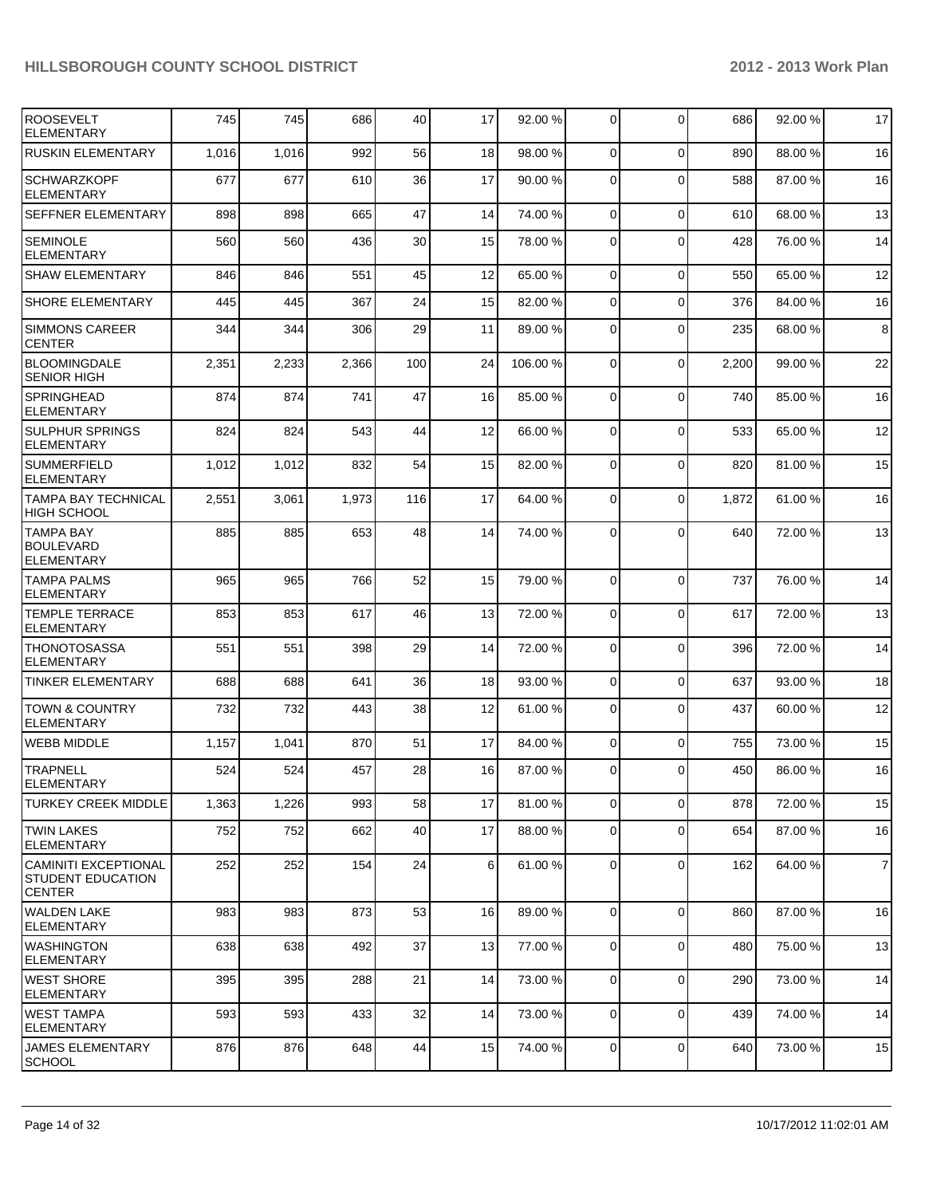| <b>ROOSEVELT</b><br><b>ELEMENTARY</b>                                    | 745   | 745   | 686   | 40  | 17             | 92.00 %  | 0              | $\mathbf 0$ | 686   | 92.00%  | 17             |
|--------------------------------------------------------------------------|-------|-------|-------|-----|----------------|----------|----------------|-------------|-------|---------|----------------|
| <b>RUSKIN ELEMENTARY</b>                                                 | 1,016 | 1,016 | 992   | 56  | 18             | 98.00 %  | $\overline{0}$ | $\Omega$    | 890   | 88.00 % | 16             |
| <b>SCHWARZKOPF</b><br><b>ELEMENTARY</b>                                  | 677   | 677   | 610   | 36  | 17             | 90.00 %  | 0              | $\Omega$    | 588   | 87.00 % | 16             |
| <b>SEFFNER ELEMENTARY</b>                                                | 898   | 898   | 665   | 47  | 14             | 74.00 %  | $\overline{0}$ | $\mathbf 0$ | 610   | 68.00 % | 13             |
| <b>SEMINOLE</b><br><b>ELEMENTARY</b>                                     | 560   | 560   | 436   | 30  | 15             | 78.00 %  | 0              | $\Omega$    | 428   | 76.00 % | 14             |
| <b>SHAW ELEMENTARY</b>                                                   | 846   | 846   | 551   | 45  | 12             | 65.00 %  | 0              | $\Omega$    | 550   | 65.00 % | 12             |
| <b>SHORE ELEMENTARY</b>                                                  | 445   | 445   | 367   | 24  | 15             | 82.00 %  | 0              | $\Omega$    | 376   | 84.00%  | 16             |
| <b>SIMMONS CAREER</b><br><b>CENTER</b>                                   | 344   | 344   | 306   | 29  | 11             | 89.00 %  | 0              | $\Omega$    | 235   | 68.00 % | 8              |
| <b>BLOOMINGDALE</b><br><b>SENIOR HIGH</b>                                | 2,351 | 2,233 | 2,366 | 100 | 24             | 106.00 % | 0              | $\Omega$    | 2,200 | 99.00 % | 22             |
| <b>SPRINGHEAD</b><br><b>ELEMENTARY</b>                                   | 874   | 874   | 741   | 47  | 16             | 85.00 %  | $\Omega$       | $\Omega$    | 740   | 85.00 % | 16             |
| <b>SULPHUR SPRINGS</b><br><b>ELEMENTARY</b>                              | 824   | 824   | 543   | 44  | 12             | 66.00 %  | 0              | $\Omega$    | 533   | 65.00 % | 12             |
| <b>SUMMERFIELD</b><br><b>ELEMENTARY</b>                                  | 1,012 | 1,012 | 832   | 54  | 15             | 82.00 %  | 0              | $\Omega$    | 820   | 81.00%  | 15             |
| <b>TAMPA BAY TECHNICAL</b><br><b>HIGH SCHOOL</b>                         | 2,551 | 3,061 | 1,973 | 116 | 17             | 64.00 %  | 0              | $\Omega$    | 1,872 | 61.00%  | 16             |
| <b>TAMPA BAY</b><br><b>BOULEVARD</b><br><b>ELEMENTARY</b>                | 885   | 885   | 653   | 48  | 14             | 74.00 %  | $\Omega$       | $\Omega$    | 640   | 72.00%  | 13             |
| <b>TAMPA PALMS</b><br><b>ELEMENTARY</b>                                  | 965   | 965   | 766   | 52  | 15             | 79.00 %  | $\Omega$       | $\Omega$    | 737   | 76.00 % | 14             |
| <b>TEMPLE TERRACE</b><br><b>ELEMENTARY</b>                               | 853   | 853   | 617   | 46  | 13             | 72.00 %  | $\Omega$       | $\Omega$    | 617   | 72.00 % | 13             |
| <b>THONOTOSASSA</b><br><b>ELEMENTARY</b>                                 | 551   | 551   | 398   | 29  | 14             | 72.00 %  | $\overline{0}$ | $\Omega$    | 396   | 72.00 % | 14             |
| <b>TINKER ELEMENTARY</b>                                                 | 688   | 688   | 641   | 36  | 18             | 93.00 %  | 0              | $\Omega$    | 637   | 93.00 % | 18             |
| <b>TOWN &amp; COUNTRY</b><br><b>ELEMENTARY</b>                           | 732   | 732   | 443   | 38  | 12             | 61.00%   | 0              | $\Omega$    | 437   | 60.00%  | 12             |
| <b>WEBB MIDDLE</b>                                                       | 1,157 | 1,041 | 870   | 51  | 17             | 84.00 %  | 0              | $\Omega$    | 755   | 73.00 % | 15             |
| <b>TRAPNELL</b><br><b>ELEMENTARY</b>                                     | 524   | 524   | 457   | 28  | 16             | 87.00 %  | 0              | $\Omega$    | 450   | 86.00 % | 16             |
| <b>TURKEY CREEK MIDDLE</b>                                               | 1,363 | 1,226 | 993   | 58  | 17             | 81.00 %  | $\overline{0}$ | $\mathbf 0$ | 878   | 72.00 % | 15             |
| <b>TWIN LAKES</b><br><b>ELEMENTARY</b>                                   | 752   | 752   | 662   | 40  | 17             | 88.00 %  | $\overline{0}$ | $\mathbf 0$ | 654   | 87.00%  | 16             |
| <b>CAMINITI EXCEPTIONAL</b><br><b>STUDENT EDUCATION</b><br><b>CENTER</b> | 252   | 252   | 154   | 24  | 6 <sup>1</sup> | 61.00 %  | $\overline{0}$ | $\mathbf 0$ | 162   | 64.00 % | $\overline{7}$ |
| <b>WALDEN LAKE</b><br><b>ELEMENTARY</b>                                  | 983   | 983   | 873   | 53  | 16             | 89.00 %  | $\Omega$       | $\Omega$    | 860   | 87.00%  | 16             |
| <b>WASHINGTON</b><br><b>ELEMENTARY</b>                                   | 638   | 638   | 492   | 37  | 13             | 77.00 %  | $\overline{0}$ | $\mathbf 0$ | 480   | 75.00 % | 13             |
| <b>WEST SHORE</b><br><b>ELEMENTARY</b>                                   | 395   | 395   | 288   | 21  | 14             | 73.00 %  | 0              | $\mathbf 0$ | 290   | 73.00 % | 14             |
| <b>WEST TAMPA</b><br><b>ELEMENTARY</b>                                   | 593   | 593   | 433   | 32  | 14             | 73.00 %  | 0              | $\mathbf 0$ | 439   | 74.00 % | 14             |
| <b>JAMES ELEMENTARY</b><br><b>SCHOOL</b>                                 | 876   | 876   | 648   | 44  | 15             | 74.00 %  | $\overline{0}$ | $\mathbf 0$ | 640   | 73.00 % | 15             |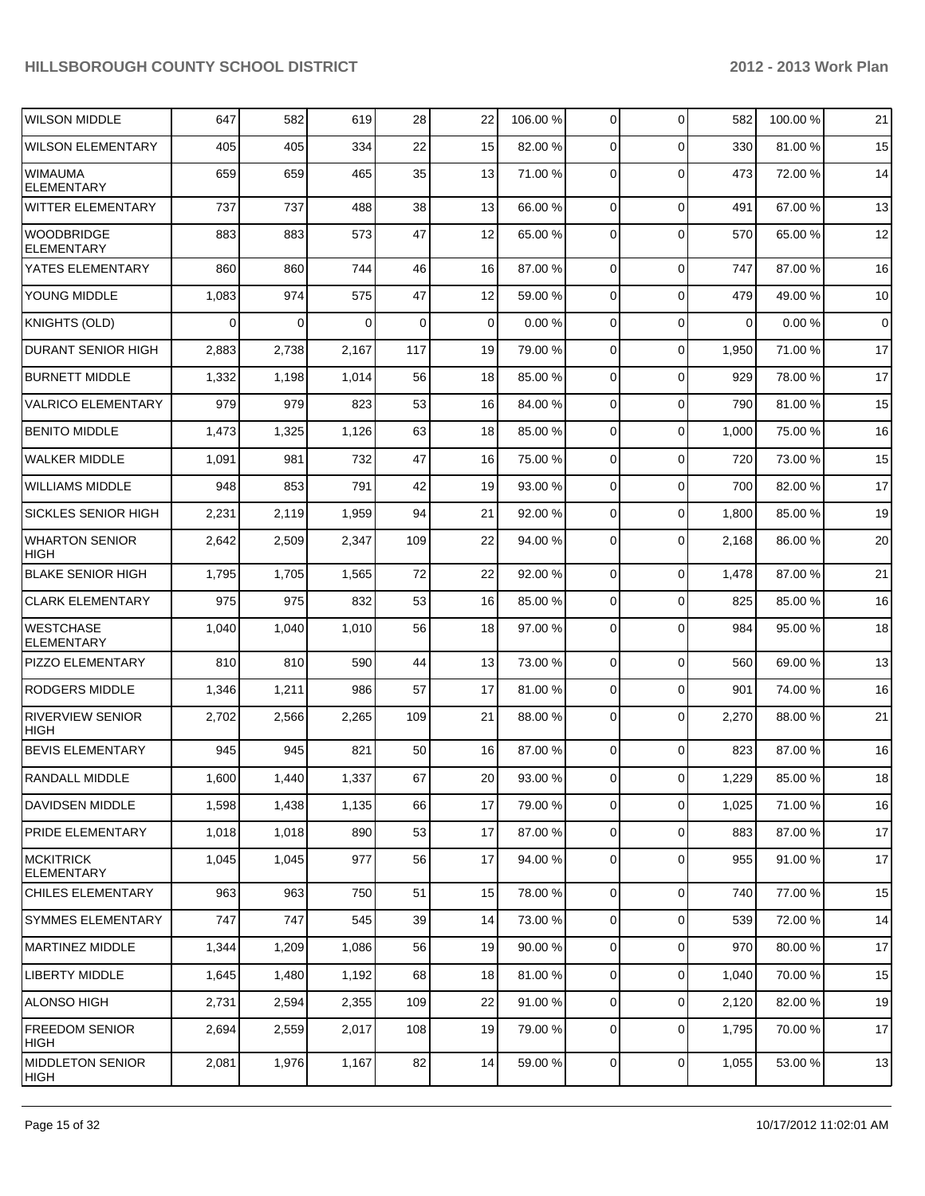| <b>WILSON MIDDLE</b>                   | 647      | 582   | 619      | 28  | 22              | 106.00 % | $\overline{0}$ | $\Omega$    | 582         | 100.00 % | 21          |
|----------------------------------------|----------|-------|----------|-----|-----------------|----------|----------------|-------------|-------------|----------|-------------|
| <b>WILSON ELEMENTARY</b>               | 405      | 405   | 334      | 22  | 15              | 82.00 %  | 0              | $\Omega$    | 330         | 81.00%   | 15          |
| <b>WIMAUMA</b><br><b>ELEMENTARY</b>    | 659      | 659   | 465      | 35  | 13              | 71.00 %  | 0              | $\Omega$    | 473         | 72.00 %  | 14          |
| <b>WITTER ELEMENTARY</b>               | 737      | 737   | 488      | 38  | 13              | 66.00 %  | $\overline{0}$ | $\mathbf 0$ | 491         | 67.00 %  | 13          |
| <b>WOODBRIDGE</b><br><b>ELEMENTARY</b> | 883      | 883   | 573      | 47  | 12              | 65.00 %  | $\Omega$       | $\Omega$    | 570         | 65.00 %  | 12          |
| YATES ELEMENTARY                       | 860      | 860   | 744      | 46  | 16              | 87.00 %  | $\overline{0}$ | $\mathbf 0$ | 747         | 87.00 %  | 16          |
| YOUNG MIDDLE                           | 1,083    | 974   | 575      | 47  | 12              | 59.00 %  | $\overline{0}$ | $\mathbf 0$ | 479         | 49.00 %  | 10          |
| <b>KNIGHTS (OLD)</b>                   | $\Omega$ | 0     | $\Omega$ | 0   | $\overline{0}$  | 0.00%    | $\overline{0}$ | $\mathbf 0$ | $\mathbf 0$ | 0.00%    | $\mathsf 0$ |
| <b>DURANT SENIOR HIGH</b>              | 2,883    | 2,738 | 2,167    | 117 | 19              | 79.00 %  | $\overline{0}$ | $\mathbf 0$ | 1,950       | 71.00 %  | 17          |
| <b>BURNETT MIDDLE</b>                  | 1,332    | 1,198 | 1,014    | 56  | 18              | 85.00 %  | $\overline{0}$ | $\mathbf 0$ | 929         | 78.00 %  | 17          |
| <b>VALRICO ELEMENTARY</b>              | 979      | 979   | 823      | 53  | 16              | 84.00 %  | $\overline{0}$ | $\mathbf 0$ | 790         | 81.00%   | 15          |
| <b>BENITO MIDDLE</b>                   | 1,473    | 1,325 | 1,126    | 63  | 18              | 85.00 %  | $\overline{0}$ | $\mathbf 0$ | 1,000       | 75.00 %  | 16          |
| <b>WALKER MIDDLE</b>                   | 1,091    | 981   | 732      | 47  | 16              | 75.00 %  | $\overline{0}$ | $\mathbf 0$ | 720         | 73.00 %  | 15          |
| <b>WILLIAMS MIDDLE</b>                 | 948      | 853   | 791      | 42  | 19              | 93.00 %  | $\overline{0}$ | $\mathbf 0$ | 700         | 82.00 %  | 17          |
| <b>SICKLES SENIOR HIGH</b>             | 2,231    | 2,119 | 1,959    | 94  | 21              | 92.00 %  | $\overline{0}$ | $\mathbf 0$ | 1,800       | 85.00 %  | 19          |
| <b>WHARTON SENIOR</b><br><b>HIGH</b>   | 2,642    | 2,509 | 2,347    | 109 | 22              | 94.00 %  | $\overline{0}$ | $\mathbf 0$ | 2,168       | 86.00 %  | 20          |
| <b>BLAKE SENIOR HIGH</b>               | 1,795    | 1,705 | 1,565    | 72  | 22              | 92.00 %  | $\mathbf 0$    | $\mathbf 0$ | 1,478       | 87.00 %  | 21          |
| <b>CLARK ELEMENTARY</b>                | 975      | 975   | 832      | 53  | 16              | 85.00 %  | 0              | $\mathbf 0$ | 825         | 85.00 %  | 16          |
| <b>WESTCHASE</b><br><b>ELEMENTARY</b>  | 1,040    | 1,040 | 1,010    | 56  | 18              | 97.00 %  | 0              | $\mathbf 0$ | 984         | 95.00 %  | 18          |
| PIZZO ELEMENTARY                       | 810      | 810   | 590      | 44  | 13              | 73.00 %  | $\overline{0}$ | $\mathbf 0$ | 560         | 69.00 %  | 13          |
| RODGERS MIDDLE                         | 1,346    | 1,211 | 986      | 57  | 17              | 81.00 %  | 0              | $\mathbf 0$ | 901         | 74.00 %  | 16          |
| <b>RIVERVIEW SENIOR</b><br><b>HIGH</b> | 2,702    | 2,566 | 2,265    | 109 | 21              | 88.00 %  | 0              | $\mathbf 0$ | 2,270       | 88.00 %  | 21          |
| <b>BEVIS ELEMENTARY</b>                | 945      | 945   | 821      | 50  | 16              | 87.00 %  | $\overline{0}$ | $\mathbf 0$ | 823         | 87.00 %  | 16          |
| RANDALL MIDDLE                         | 1,600    | 1,440 | 1,337    | 67  | 20 <sub>2</sub> | 93.00 %  | $\overline{0}$ | $\mathbf 0$ | 1,229       | 85.00 %  | 18          |
| <b>DAVIDSEN MIDDLE</b>                 | 1,598    | 1,438 | 1,135    | 66  | 17              | 79.00 %  | $\overline{0}$ | $\pmb{0}$   | 1,025       | 71.00%   | 16          |
| <b>PRIDE ELEMENTARY</b>                | 1,018    | 1,018 | 890      | 53  | 17              | 87.00 %  | $\overline{0}$ | $\pmb{0}$   | 883         | 87.00 %  | 17          |
| <b>MCKITRICK</b><br><b>ELEMENTARY</b>  | 1,045    | 1,045 | 977      | 56  | 17              | 94.00 %  | $\overline{0}$ | $\mathbf 0$ | 955         | 91.00 %  | 17          |
| <b>CHILES ELEMENTARY</b>               | 963      | 963   | 750      | 51  | 15              | 78.00 %  | $\overline{0}$ | $\mathbf 0$ | 740         | 77.00 %  | 15          |
| <b>SYMMES ELEMENTARY</b>               | 747      | 747   | 545      | 39  | 14              | 73.00 %  | $\overline{0}$ | $\mathbf 0$ | 539         | 72.00 %  | 14          |
| MARTINEZ MIDDLE                        | 1,344    | 1,209 | 1,086    | 56  | 19              | 90.00 %  | $\overline{0}$ | $\mathbf 0$ | 970         | 80.00%   | 17          |
| <b>LIBERTY MIDDLE</b>                  | 1,645    | 1,480 | 1,192    | 68  | 18              | 81.00 %  | $\overline{0}$ | $\mathbf 0$ | 1,040       | 70.00 %  | 15          |
| ALONSO HIGH                            | 2,731    | 2,594 | 2,355    | 109 | 22              | 91.00 %  | $\overline{0}$ | 0           | 2,120       | 82.00 %  | 19          |
| <b>FREEDOM SENIOR</b><br>HIGH          | 2,694    | 2,559 | 2,017    | 108 | 19              | 79.00 %  | $\overline{0}$ | $\mathbf 0$ | 1,795       | 70.00%   | 17          |
| <b>MIDDLETON SENIOR</b><br> HIGH       | 2,081    | 1,976 | 1,167    | 82  | 14              | 59.00 %  | $\overline{0}$ | 0           | 1,055       | 53.00 %  | 13          |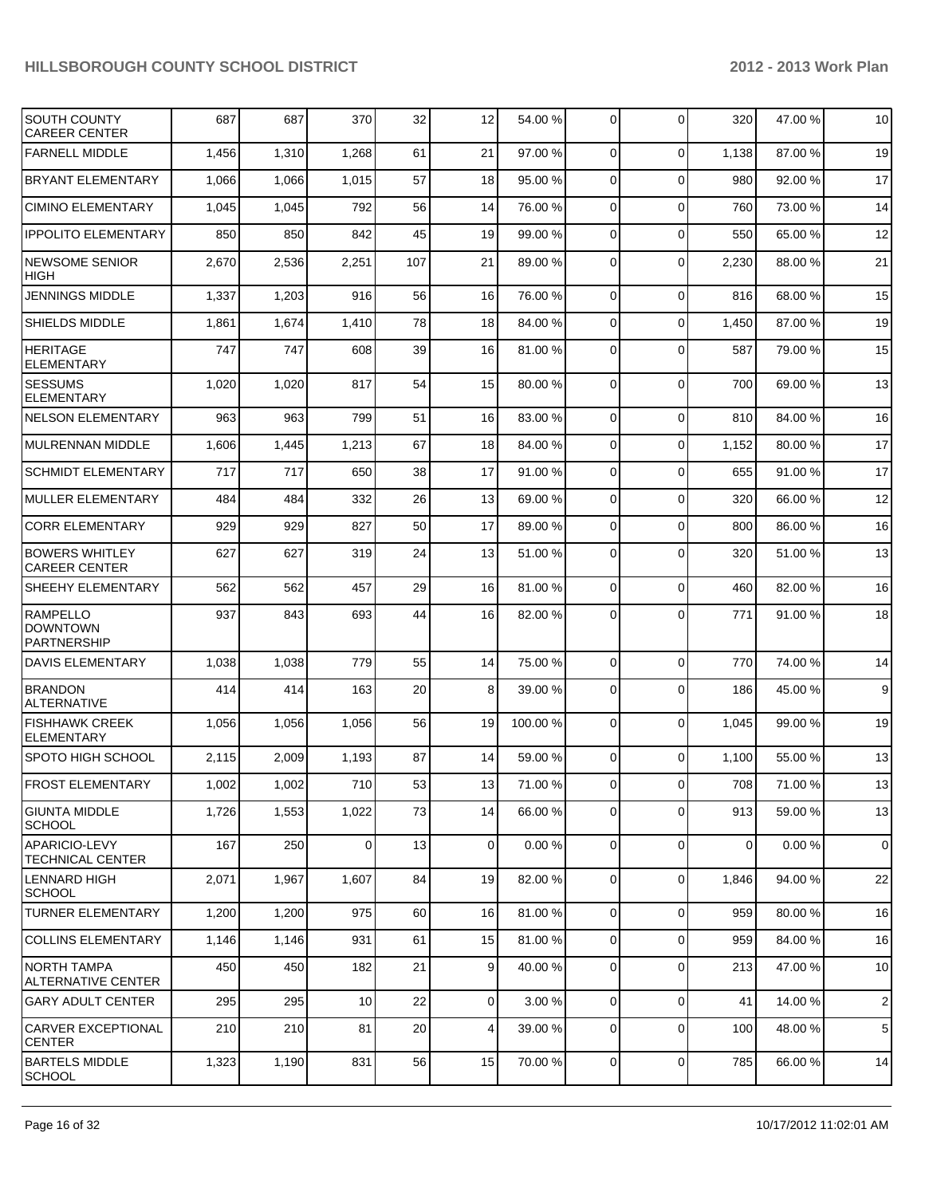| SOUTH COUNTY<br><b>CAREER CENTER</b>                     | 687   | 687   | 370             | 32  | 12              | 54.00 %  | $\overline{0}$ | $\Omega$       | 320         | 47.00 % | 10             |
|----------------------------------------------------------|-------|-------|-----------------|-----|-----------------|----------|----------------|----------------|-------------|---------|----------------|
| <b>FARNELL MIDDLE</b>                                    | 1,456 | 1,310 | 1,268           | 61  | 21              | 97.00 %  | 0              | $\Omega$       | 1,138       | 87.00 % | 19             |
| <b>BRYANT ELEMENTARY</b>                                 | 1,066 | 1,066 | 1,015           | 57  | 18              | 95.00 %  | 0              | $\Omega$       | 980         | 92.00 % | 17             |
| <b>CIMINO ELEMENTARY</b>                                 | 1,045 | 1,045 | 792             | 56  | 14              | 76.00 %  | 0              | $\Omega$       | 760         | 73.00 % | 14             |
| <b>IPPOLITO ELEMENTARY</b>                               | 850   | 850   | 842             | 45  | 19              | 99.00 %  | 0              | $\Omega$       | 550         | 65.00 % | 12             |
| NEWSOME SENIOR<br><b>HIGH</b>                            | 2,670 | 2,536 | 2,251           | 107 | 21              | 89.00 %  | 0              | $\Omega$       | 2,230       | 88.00 % | 21             |
| <b>JENNINGS MIDDLE</b>                                   | 1,337 | 1,203 | 916             | 56  | 16              | 76.00 %  | 0              | $\mathbf 0$    | 816         | 68.00%  | 15             |
| SHIELDS MIDDLE                                           | 1,861 | 1,674 | 1,410           | 78  | 18              | 84.00 %  | 0              | $\mathbf 0$    | 1,450       | 87.00 % | 19             |
| <b>HERITAGE</b><br><b>ELEMENTARY</b>                     | 747   | 747   | 608             | 39  | 16              | 81.00 %  | 0              | $\Omega$       | 587         | 79.00 % | 15             |
| <b>SESSUMS</b><br><b>ELEMENTARY</b>                      | 1,020 | 1,020 | 817             | 54  | 15              | 80.00 %  | 0              | $\Omega$       | 700         | 69.00 % | 13             |
| <b>NELSON ELEMENTARY</b>                                 | 963   | 963   | 799             | 51  | 16              | 83.00 %  | 0              | $\Omega$       | 810         | 84.00%  | 16             |
| MULRENNAN MIDDLE                                         | 1,606 | 1,445 | 1,213           | 67  | 18              | 84.00 %  | 0              | $\Omega$       | 1,152       | 80.00%  | 17             |
| <b>SCHMIDT ELEMENTARY</b>                                | 717   | 717   | 650             | 38  | 17              | 91.00 %  | 0              | $\Omega$       | 655         | 91.00 % | 17             |
| <b>MULLER ELEMENTARY</b>                                 | 484   | 484   | 332             | 26  | 13              | 69.00 %  | 0              | $\Omega$       | 320         | 66.00 % | 12             |
| <b>CORR ELEMENTARY</b>                                   | 929   | 929   | 827             | 50  | 17              | 89.00 %  | 0              | $\Omega$       | 800         | 86.00 % | 16             |
| <b>BOWERS WHITLEY</b><br><b>CAREER CENTER</b>            | 627   | 627   | 319             | 24  | 13              | 51.00 %  | 0              | $\Omega$       | 320         | 51.00 % | 13             |
| SHEEHY ELEMENTARY                                        | 562   | 562   | 457             | 29  | 16              | 81.00 %  | 0              | $\Omega$       | 460         | 82.00 % | 16             |
| <b>RAMPELLO</b><br><b>DOWNTOWN</b><br><b>PARTNERSHIP</b> | 937   | 843   | 693             | 44  | 16              | 82.00 %  | $\Omega$       | $\Omega$       | 771         | 91.00 % | 18             |
| <b>DAVIS ELEMENTARY</b>                                  | 1,038 | 1,038 | 779             | 55  | 14              | 75.00 %  | 0              | $\Omega$       | 770         | 74.00%  | 14             |
| <b>BRANDON</b><br><b>ALTERNATIVE</b>                     | 414   | 414   | 163             | 20  | 8               | 39.00 %  | 0              | $\Omega$       | 186         | 45.00 % | 9              |
| <b>FISHHAWK CREEK</b><br><b>ELEMENTARY</b>               | 1,056 | 1,056 | 1,056           | 56  | 19              | 100.00 % | 0              | $\Omega$       | 1,045       | 99.00 % | 19             |
| <b>SPOTO HIGH SCHOOL</b>                                 | 2,115 | 2,009 | 1,193           | 87  | 14              | 59.00 %  | 0              | $\Omega$       | 1,100       | 55.00 % | 13             |
| <b>FROST ELEMENTARY</b>                                  | 1,002 | 1,002 | 710             | 53  | 13              | 71.00 %  | $\overline{0}$ | $\overline{0}$ | 708         | 71.00%  | 13             |
| <b>GIUNTA MIDDLE</b><br><b>SCHOOL</b>                    | 1,726 | 1,553 | 1,022           | 73  | 14              | 66.00 %  | $\overline{0}$ | $\Omega$       | 913         | 59.00 % | 13             |
| APARICIO-LEVY<br><b>TECHNICAL CENTER</b>                 | 167   | 250   | $\overline{0}$  | 13  | $\overline{0}$  | 0.00%    | $\overline{0}$ | $\Omega$       | $\mathbf 0$ | 0.00%   | $\mathbf 0$    |
| <b>LENNARD HIGH</b><br>SCHOOL                            | 2,071 | 1,967 | 1,607           | 84  | 19              | 82.00 %  | 0              | $\Omega$       | 1,846       | 94.00 % | 22             |
| <b>TURNER ELEMENTARY</b>                                 | 1,200 | 1,200 | 975             | 60  | 16              | 81.00 %  | $\overline{0}$ | $\Omega$       | 959         | 80.00%  | 16             |
| <b>COLLINS ELEMENTARY</b>                                | 1,146 | 1,146 | 931             | 61  | 15              | 81.00 %  | $\overline{0}$ | $\Omega$       | 959         | 84.00 % | 16             |
| <b>NORTH TAMPA</b><br>ALTERNATIVE CENTER                 | 450   | 450   | 182             | 21  | $\vert$ 9       | 40.00 %  | $\overline{0}$ | $\Omega$       | 213         | 47.00 % | 10             |
| <b>GARY ADULT CENTER</b>                                 | 295   | 295   | 10 <sup>1</sup> | 22  | $\overline{0}$  | 3.00%    | $\overline{0}$ | $\Omega$       | 41          | 14.00%  | $\overline{2}$ |
| <b>CARVER EXCEPTIONAL</b><br><b>CENTER</b>               | 210   | 210   | 81              | 20  | $\vert 4 \vert$ | 39.00 %  | $\overline{0}$ | $\Omega$       | 100         | 48.00%  | 5              |
| <b>BARTELS MIDDLE</b><br><b>SCHOOL</b>                   | 1,323 | 1,190 | 831             | 56  | 15              | 70.00 %  | $\overline{0}$ | $\overline{0}$ | 785         | 66.00 % | 14             |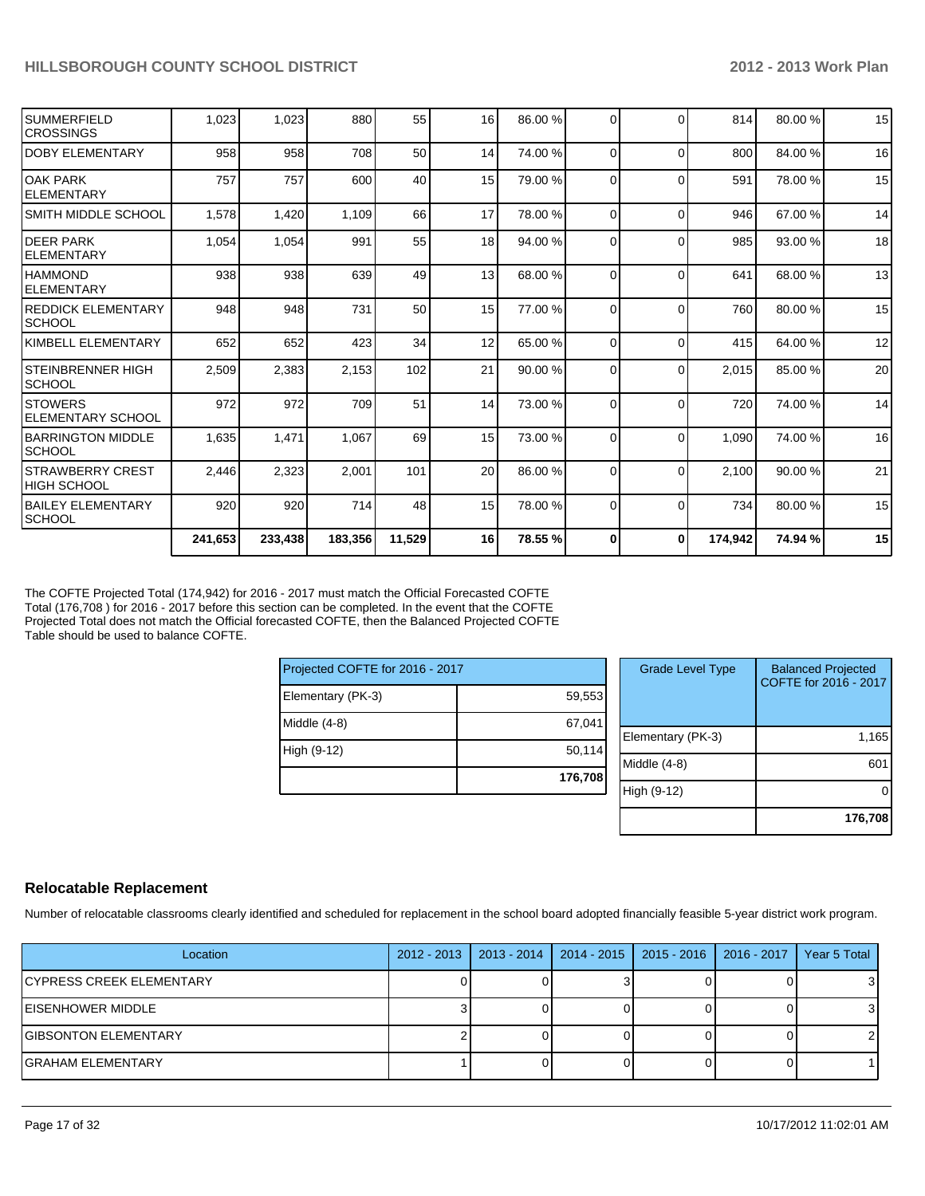| 2,509<br>972<br>1,635<br>2,446<br>920 | 2,383<br>972<br>1,471<br>2,323<br>920            | 2,153<br>709<br>1,067<br>2,001<br>714 | 102<br>51<br>69<br>101<br>48                 | 21<br>14<br>15<br>20 <sup>1</sup><br>15 | 90.00 %<br>73.00 %<br>73.00 %<br>86.00 %<br>78.00 %                               | $\Omega$<br>$\Omega$<br>$\Omega$<br>$\Omega$<br>$\Omega$ | $\Omega$<br>$\Omega$<br>$\Omega$<br>$\Omega$<br>$\Omega$ | 2,015<br>720<br>1,090<br>2.100<br>734 | 85.00 %<br>74.00%<br>74.00%<br>90.00 %<br>80.00 % | 20<br>14<br>16<br>21<br>15 |
|---------------------------------------|--------------------------------------------------|---------------------------------------|----------------------------------------------|-----------------------------------------|-----------------------------------------------------------------------------------|----------------------------------------------------------|----------------------------------------------------------|---------------------------------------|---------------------------------------------------|----------------------------|
|                                       |                                                  |                                       |                                              |                                         |                                                                                   |                                                          |                                                          |                                       |                                                   |                            |
|                                       |                                                  |                                       |                                              |                                         |                                                                                   |                                                          |                                                          |                                       |                                                   |                            |
|                                       |                                                  |                                       |                                              |                                         |                                                                                   |                                                          |                                                          |                                       |                                                   |                            |
|                                       |                                                  |                                       |                                              |                                         |                                                                                   |                                                          |                                                          |                                       |                                                   |                            |
|                                       |                                                  |                                       |                                              |                                         |                                                                                   |                                                          |                                                          |                                       |                                                   |                            |
| 652                                   | 652                                              | 423                                   | 34                                           | 12                                      | 65.00 %                                                                           | $\Omega$                                                 | $\Omega$                                                 | 415                                   | 64.00%                                            | 12                         |
|                                       |                                                  | 731                                   |                                              |                                         | 77.00 %                                                                           |                                                          | $\Omega$                                                 | 760                                   | 80.00%                                            | 15                         |
|                                       |                                                  | 639                                   |                                              |                                         | 68.00 %                                                                           | $\Omega$                                                 | $\Omega$                                                 | 641                                   | 68.00 %                                           | 13                         |
| 1,054                                 |                                                  | 991                                   |                                              |                                         | 94.00 %                                                                           | 0                                                        | $\Omega$                                                 | 985                                   | 93.00 %                                           | 18                         |
|                                       |                                                  |                                       |                                              | 17                                      | 78.00 %                                                                           | $\Omega$                                                 | $\Omega$                                                 | 946                                   | 67.00 %                                           | 14                         |
| 757                                   | 757                                              | 600                                   |                                              |                                         | 79.00 %                                                                           | $\Omega$                                                 | $\Omega$                                                 | 591                                   | 78.00 %                                           | 15                         |
|                                       |                                                  | 708                                   |                                              |                                         | 74.00 %                                                                           | $\Omega$                                                 | $\Omega$                                                 | 800                                   | 84.00%                                            | 16                         |
| 1.023                                 |                                                  | 880                                   |                                              | 16                                      | 86.00 %                                                                           | $\Omega$                                                 | $\Omega$                                                 | 814                                   | 80.00%                                            | 15                         |
|                                       | SMITH MIDDLE SCHOOL<br><b>REDDICK ELEMENTARY</b> | 958<br>1,578<br>938<br>948            | 1.023<br>958<br>1,420<br>1,054<br>938<br>948 | 1,109                                   | 55<br>50 <sub>1</sub><br>14<br>15<br>40<br>66<br>55<br>18<br>49<br>13<br>50<br>15 |                                                          |                                                          | $\overline{0}$                        |                                                   |                            |

The COFTE Projected Total (174,942) for 2016 - 2017 must match the Official Forecasted COFTE Total (176,708 ) for 2016 - 2017 before this section can be completed. In the event that the COFTE Projected Total does not match the Official forecasted COFTE, then the Balanced Projected COFTE Table should be used to balance COFTE.

| Projected COFTE for 2016 - 2017 |         |   |
|---------------------------------|---------|---|
| Elementary (PK-3)               | 59,553  |   |
| Middle $(4-8)$                  | 67,041  | F |
| High (9-12)                     | 50,114  | N |
|                                 | 176,708 |   |

| <b>Grade Level Type</b> | <b>Balanced Projected</b><br>COFTE for 2016 - 2017 |
|-------------------------|----------------------------------------------------|
| Elementary (PK-3)       | 1,165                                              |
| Middle (4-8)            | 60                                                 |
| High (9-12)             |                                                    |
|                         | 176,708                                            |

#### **Relocatable Replacement**

Number of relocatable classrooms clearly identified and scheduled for replacement in the school board adopted financially feasible 5-year district work program.

| Location                        | 2012 - 2013   2013 - 2014 | 2014 - 2015   2015 - 2016   2016 - 2017 | Year 5 Total |
|---------------------------------|---------------------------|-----------------------------------------|--------------|
| <b>CYPRESS CREEK ELEMENTARY</b> |                           |                                         | 31           |
| EISENHOWER MIDDLE               |                           |                                         | 31           |
| <b>GIBSONTON ELEMENTARY</b>     |                           |                                         |              |
| <b>GRAHAM ELEMENTARY</b>        |                           |                                         |              |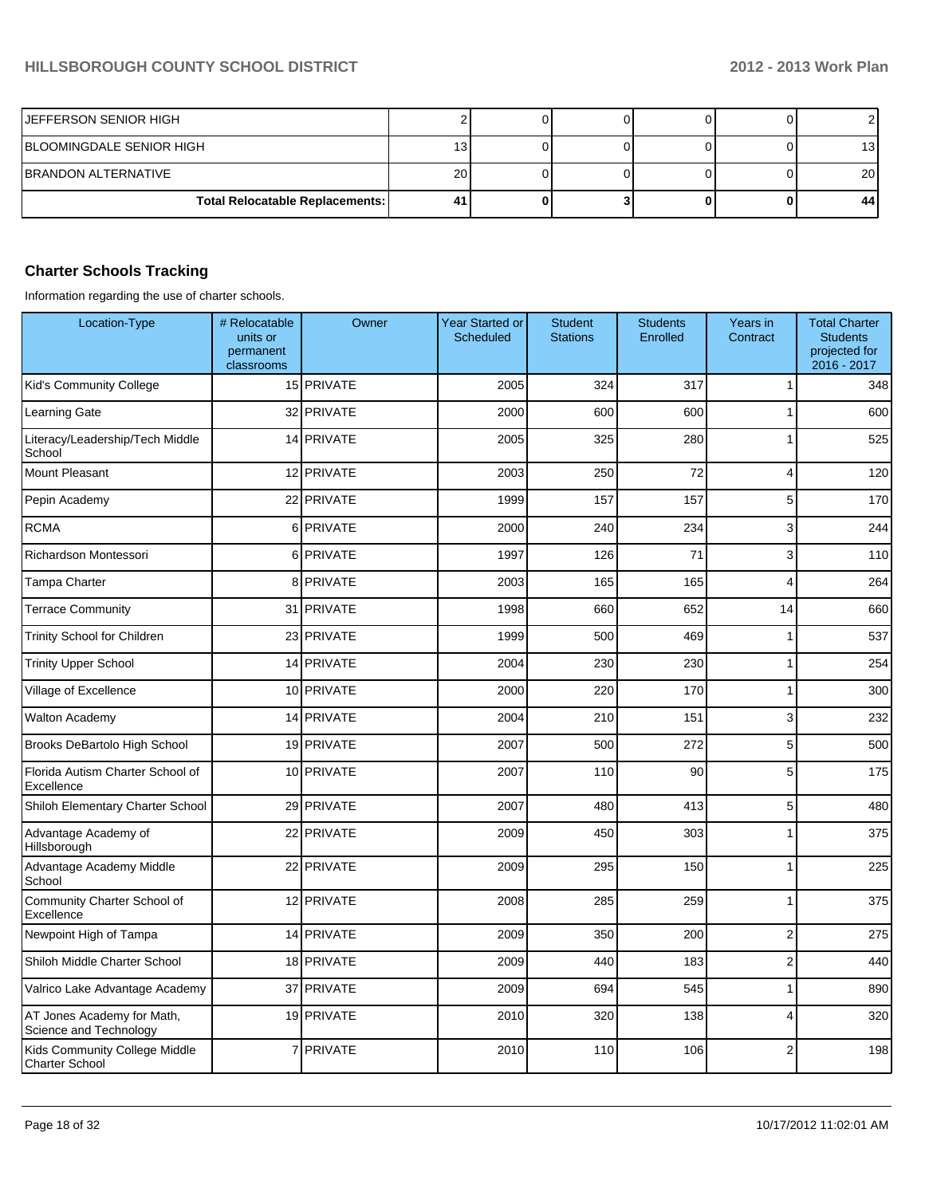| <b>JEFFERSON SENIOR HIGH</b>           |    |  |  |    |
|----------------------------------------|----|--|--|----|
| <b>BLOOMINGDALE SENIOR HIGH</b>        | 13 |  |  | 13 |
| IBRANDON ALTERNATIVE                   | 20 |  |  | 20 |
| <b>Total Relocatable Replacements:</b> | 41 |  |  | 44 |

## **Charter Schools Tracking**

Information regarding the use of charter schools.

| Location-Type                                          | # Relocatable<br>units or<br>permanent<br>classrooms | Owner          | <b>Year Started or</b><br>Scheduled | <b>Student</b><br><b>Stations</b> | <b>Students</b><br>Enrolled | Years in<br>Contract    | <b>Total Charter</b><br><b>Students</b><br>projected for<br>2016 - 2017 |
|--------------------------------------------------------|------------------------------------------------------|----------------|-------------------------------------|-----------------------------------|-----------------------------|-------------------------|-------------------------------------------------------------------------|
| Kid's Community College                                |                                                      | 15 PRIVATE     | 2005                                | 324                               | 317                         | 1                       | 348                                                                     |
| Learning Gate                                          |                                                      | 32 PRIVATE     | 2000                                | 600                               | 600                         | 1                       | 600                                                                     |
| Literacy/Leadership/Tech Middle<br>School              |                                                      | 14 PRIVATE     | 2005                                | 325                               | 280                         | 1                       | 525                                                                     |
| Mount Pleasant                                         |                                                      | 12 PRIVATE     | 2003                                | 250                               | 72                          | 4                       | 120                                                                     |
| Pepin Academy                                          |                                                      | 22 PRIVATE     | 1999                                | 157                               | 157                         | 5                       | 170                                                                     |
| <b>RCMA</b>                                            | 6                                                    | <b>PRIVATE</b> | 2000                                | 240                               | 234                         | 3                       | 244                                                                     |
| Richardson Montessori                                  |                                                      | 6 PRIVATE      | 1997                                | 126                               | 71                          | 3                       | 110                                                                     |
| Tampa Charter                                          | 8                                                    | <b>PRIVATE</b> | 2003                                | 165                               | 165                         | $\overline{\mathbf{4}}$ | 264                                                                     |
| <b>Terrace Community</b>                               |                                                      | 31 PRIVATE     | 1998                                | 660                               | 652                         | 14                      | 660                                                                     |
| Trinity School for Children                            |                                                      | 23 PRIVATE     | 1999                                | 500                               | 469                         | $\mathbf{1}$            | 537                                                                     |
| <b>Trinity Upper School</b>                            |                                                      | 14 PRIVATE     | 2004                                | 230                               | 230                         | 1                       | 254                                                                     |
| Village of Excellence                                  |                                                      | 10 PRIVATE     | 2000                                | 220                               | 170                         | 1                       | 300                                                                     |
| <b>Walton Academy</b>                                  |                                                      | 14 PRIVATE     | 2004                                | 210                               | 151                         | 3                       | 232                                                                     |
| Brooks DeBartolo High School                           |                                                      | 19 PRIVATE     | 2007                                | 500                               | 272                         | 5                       | 500                                                                     |
| Florida Autism Charter School of<br>Excellence         |                                                      | 10 PRIVATE     | 2007                                | 110                               | 90                          | 5                       | 175                                                                     |
| Shiloh Elementary Charter School                       |                                                      | 29 PRIVATE     | 2007                                | 480                               | 413                         | 5                       | 480                                                                     |
| Advantage Academy of<br>Hillsborough                   |                                                      | 22 PRIVATE     | 2009                                | 450                               | 303                         | 1                       | 375                                                                     |
| Advantage Academy Middle<br>School                     |                                                      | 22 PRIVATE     | 2009                                | 295                               | 150                         | $\mathbf{1}$            | 225                                                                     |
| Community Charter School of<br>Excellence              |                                                      | 12 PRIVATE     | 2008                                | 285                               | 259                         | $\mathbf{1}$            | 375                                                                     |
| Newpoint High of Tampa                                 |                                                      | 14 PRIVATE     | 2009                                | 350                               | 200                         | $\overline{2}$          | 275                                                                     |
| Shiloh Middle Charter School                           |                                                      | 18 PRIVATE     | 2009                                | 440                               | 183                         | $\overline{2}$          | 440                                                                     |
| Valrico Lake Advantage Academy                         | 37                                                   | <b>PRIVATE</b> | 2009                                | 694                               | 545                         | 1                       | 890                                                                     |
| AT Jones Academy for Math,<br>Science and Technology   |                                                      | 19 PRIVATE     | 2010                                | 320                               | 138                         | $\overline{4}$          | 320                                                                     |
| Kids Community College Middle<br><b>Charter School</b> |                                                      | 7 PRIVATE      | 2010                                | 110                               | 106                         | $\overline{2}$          | 198                                                                     |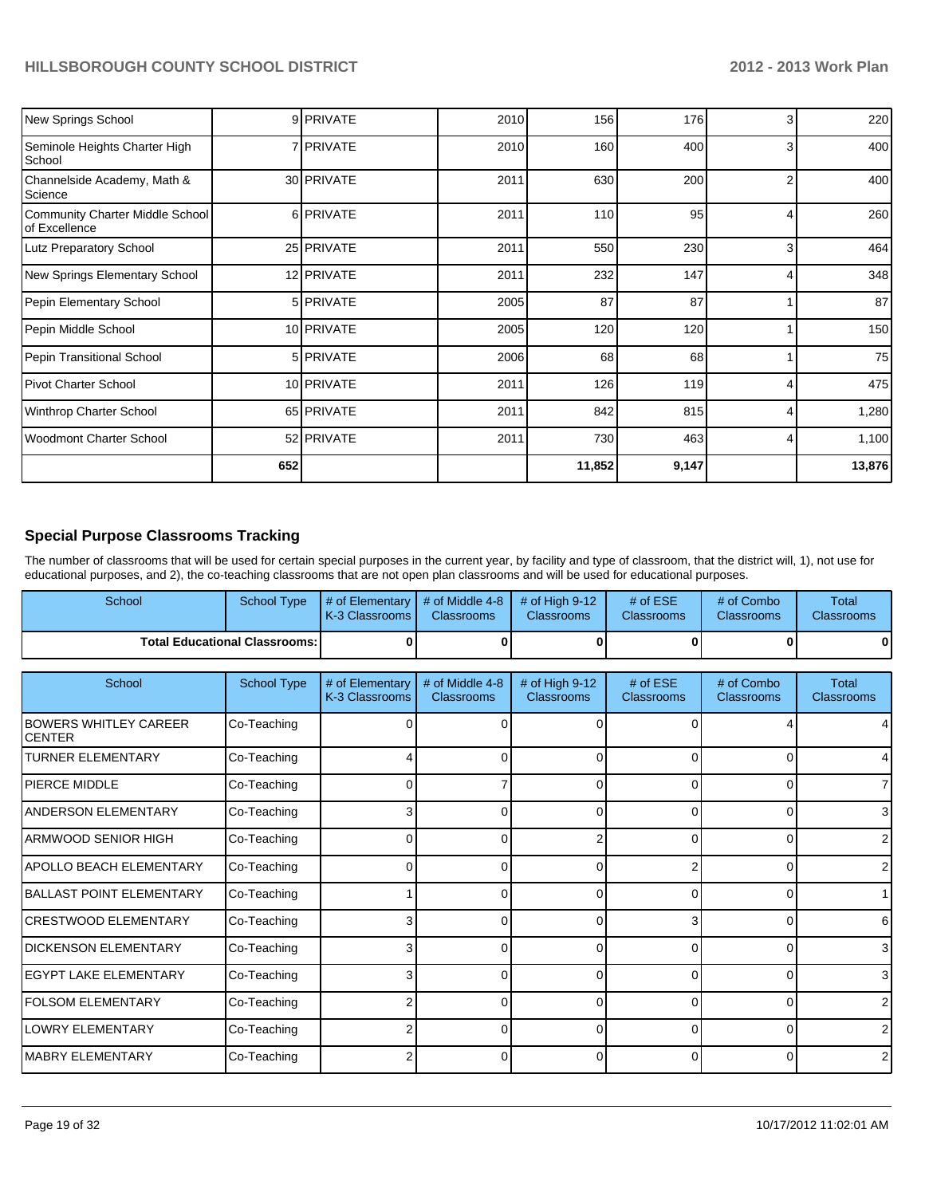| New Springs School                               |     | 9 PRIVATE   | 2010 | 156    | 176   | 3 | 220             |
|--------------------------------------------------|-----|-------------|------|--------|-------|---|-----------------|
| Seminole Heights Charter High<br>School          |     | 7 I PRIVATE | 2010 | 160    | 400   | 3 | 400             |
| Channelside Academy, Math &<br>Science           |     | 30 PRIVATE  | 2011 | 630    | 200   | 2 | 400             |
| Community Charter Middle School<br>of Excellence |     | 6 PRIVATE   | 2011 | 110    | 95    |   | 260             |
| <b>Lutz Preparatory School</b>                   |     | 25 PRIVATE  | 2011 | 550    | 230   | 3 | 464             |
| New Springs Elementary School                    |     | 12 PRIVATE  | 2011 | 232    | 147   | 4 | 348             |
| Pepin Elementary School                          |     | 5 PRIVATE   | 2005 | 87     | 87    |   | 87 <sup>l</sup> |
| Pepin Middle School                              |     | 10 PRIVATE  | 2005 | 120    | 120   |   | 150             |
| Pepin Transitional School                        |     | 5 PRIVATE   | 2006 | 68     | 68    |   | 75              |
| Pivot Charter School                             |     | 10 PRIVATE  | 2011 | 126    | 119   |   | 475             |
| Winthrop Charter School                          |     | 65 PRIVATE  | 2011 | 842    | 815   | 4 | 1,280           |
| <b>Woodmont Charter School</b>                   |     | 52 PRIVATE  | 2011 | 730    | 463   | 4 | 1,100           |
|                                                  | 652 |             |      | 11,852 | 9,147 |   | 13,876          |

## **Special Purpose Classrooms Tracking**

The number of classrooms that will be used for certain special purposes in the current year, by facility and type of classroom, that the district will, 1), not use for educational purposes, and 2), the co-teaching classrooms that are not open plan classrooms and will be used for educational purposes.

| School | School Type                            | $\parallel$ # of Elementary $\parallel$ # of Middle 4-8 $\parallel$ # of High 9-12<br><b>K-3 Classrooms L</b> | <b>Classrooms</b> | <b>Classrooms</b> | # of $ESE$<br><b>Classrooms</b> | # of Combo<br><b>Classrooms</b> | Total<br><b>Classrooms</b> |
|--------|----------------------------------------|---------------------------------------------------------------------------------------------------------------|-------------------|-------------------|---------------------------------|---------------------------------|----------------------------|
|        | <b>Total Educational Classrooms: I</b> |                                                                                                               |                   | 0                 |                                 |                                 | 01                         |
|        |                                        |                                                                                                               |                   |                   |                                 |                                 |                            |

| School                                        | <b>School Type</b> | # of Elementary<br>K-3 Classrooms | # of Middle 4-8<br><b>Classrooms</b> | # of High $9-12$<br><b>Classrooms</b> | # of $ESE$<br><b>Classrooms</b> | # of Combo<br><b>Classrooms</b> | <b>Total</b><br><b>Classrooms</b> |
|-----------------------------------------------|--------------------|-----------------------------------|--------------------------------------|---------------------------------------|---------------------------------|---------------------------------|-----------------------------------|
| <b>BOWERS WHITLEY CAREER</b><br><b>CENTER</b> | Co-Teaching        |                                   |                                      |                                       |                                 |                                 |                                   |
| <b>TURNER ELEMENTARY</b>                      | Co-Teaching        |                                   | 0                                    | 0                                     | $\Omega$                        | 0                               | 4                                 |
| <b>PIERCE MIDDLE</b>                          | Co-Teaching        |                                   |                                      |                                       | U                               | n                               | $\overline{7}$                    |
| <b>ANDERSON ELEMENTARY</b>                    | Co-Teaching        | 3                                 | 0                                    | 0                                     | $\Omega$                        | 0                               | $\overline{3}$                    |
| <b>ARMWOOD SENIOR HIGH</b>                    | Co-Teaching        |                                   | ∩                                    |                                       | 0                               | $\Omega$                        | $\overline{2}$                    |
| <b>APOLLO BEACH ELEMENTARY</b>                | Co-Teaching        | 0                                 | 0                                    | 0                                     |                                 | 0                               | $\overline{2}$                    |
| <b>BALLAST POINT ELEMENTARY</b>               | Co-Teaching        |                                   |                                      |                                       |                                 |                                 |                                   |
| <b>CRESTWOOD ELEMENTARY</b>                   | Co-Teaching        |                                   | 0                                    | 0                                     | 3                               | 0                               | 6                                 |
| DICKENSON ELEMENTARY                          | Co-Teaching        |                                   |                                      |                                       |                                 |                                 | $\overline{3}$                    |
| <b>IEGYPT LAKE ELEMENTARY</b>                 | Co-Teaching        | 3                                 | U                                    | 0                                     | $\Omega$                        | $\Omega$                        | $\overline{3}$                    |
| <b>FOLSOM ELEMENTARY</b>                      | Co-Teaching        |                                   | o                                    | 0                                     | 0                               | 0                               | $\overline{2}$                    |
| <b>LOWRY ELEMENTARY</b>                       | Co-Teaching        |                                   | 0                                    | <sup>0</sup>                          | $\Omega$                        | 0                               | $\overline{2}$                    |
| <b>MABRY ELEMENTARY</b>                       | Co-Teaching        |                                   | o                                    | 0                                     | $\Omega$                        | 0                               | $\overline{2}$                    |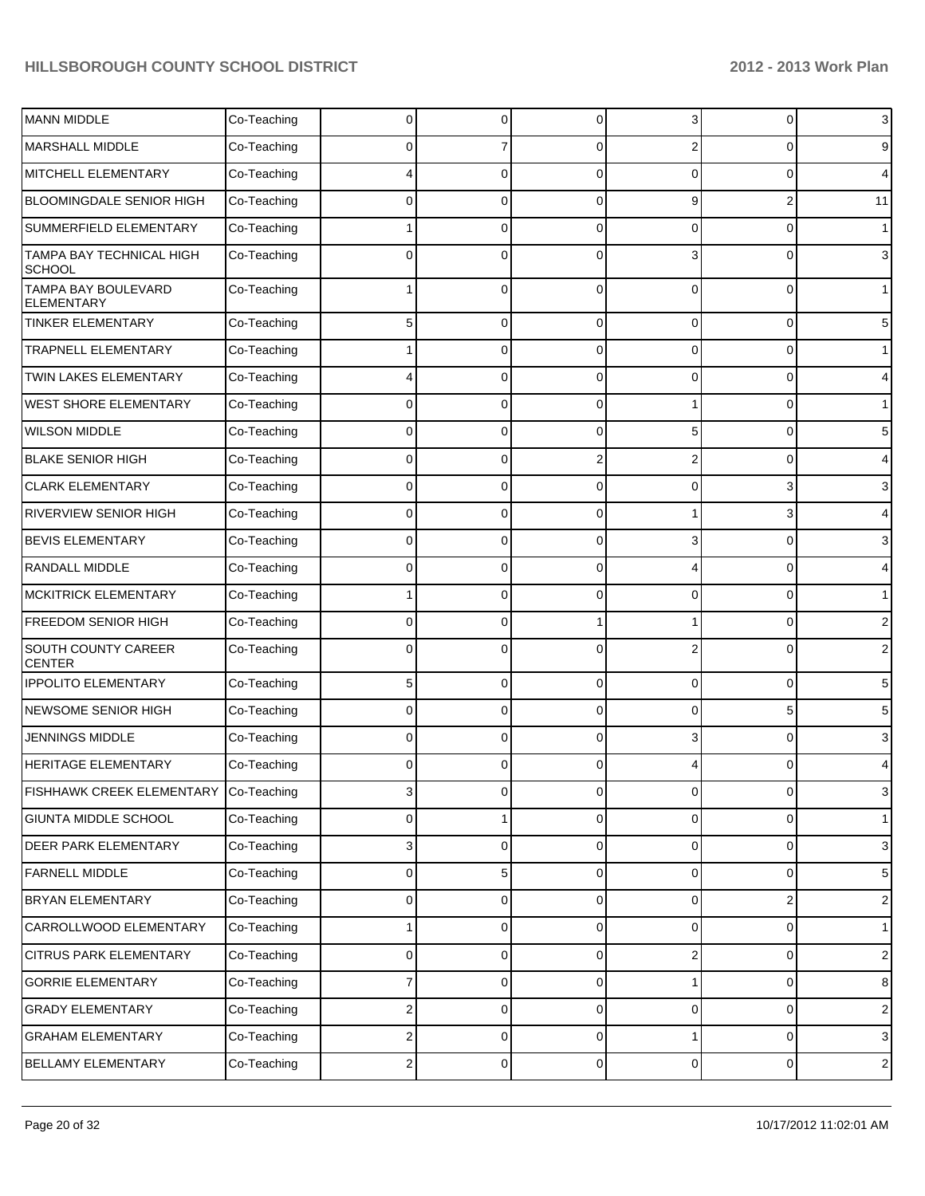| MANN MIDDLE                                     | Co-Teaching | 0                       |                | 0              | 3              | C              | 3              |
|-------------------------------------------------|-------------|-------------------------|----------------|----------------|----------------|----------------|----------------|
| <b>MARSHALL MIDDLE</b>                          | Co-Teaching | 0                       |                | 0              | 2              | C              | 9              |
| MITCHELL ELEMENTARY                             | Co-Teaching | 4                       | O              | $\Omega$       | $\Omega$       | C              | 4              |
| <b>BLOOMINGDALE SENIOR HIGH</b>                 | Co-Teaching | 0                       | $\Omega$       | 0              | 9              | 2              | 11             |
| SUMMERFIELD ELEMENTARY                          | Co-Teaching |                         | O              | 0              | 0              | $\Omega$       | $\mathbf{1}$   |
| TAMPA BAY TECHNICAL HIGH<br><b>SCHOOL</b>       | Co-Teaching | $\Omega$                | O              | 0              | 3              | C              | 3              |
| <b>TAMPA BAY BOULEVARD</b><br><b>ELEMENTARY</b> | Co-Teaching |                         | 0              | $\Omega$       | 0              | $\Omega$       | 1              |
| <b>TINKER ELEMENTARY</b>                        | Co-Teaching | 5                       | 0              | $\Omega$       | 0              | 0              | 5              |
| <b>TRAPNELL ELEMENTARY</b>                      | Co-Teaching | 1                       | 0              | $\Omega$       | 0              | 0              | 1              |
| TWIN LAKES ELEMENTARY                           | Co-Teaching | 4                       | 0              | $\Omega$       | 0              | 0              | 4              |
| <b>WEST SHORE ELEMENTARY</b>                    | Co-Teaching | 0                       | 0              | $\Omega$       |                | 0              | 1              |
| <b>WILSON MIDDLE</b>                            | Co-Teaching | $\mathbf 0$             | 0              | 0              | 5              | 0              | 5              |
| <b>BLAKE SENIOR HIGH</b>                        | Co-Teaching | $\mathbf 0$             | 0              | $\overline{2}$ | 2              | 0              | 4              |
| <b>CLARK ELEMENTARY</b>                         | Co-Teaching | $\mathbf 0$             | 0              | $\Omega$       | 0              | 3              | 3              |
| <b>RIVERVIEW SENIOR HIGH</b>                    | Co-Teaching | $\mathbf 0$             | 0              | $\Omega$       |                | 3              | 4              |
| <b>BEVIS ELEMENTARY</b>                         | Co-Teaching | $\mathbf 0$             | 0              | $\Omega$       | 3              | $\Omega$       | 3              |
| <b>RANDALL MIDDLE</b>                           | Co-Teaching | $\mathbf 0$             | 0              | $\Omega$       | 4              | 0              | 4              |
| <b>MCKITRICK ELEMENTARY</b>                     | Co-Teaching | 1                       | 0              | $\Omega$       | 0              | 0              | 1              |
| <b>FREEDOM SENIOR HIGH</b>                      | Co-Teaching | $\mathbf 0$             | $\Omega$       |                |                | 0              | $\overline{2}$ |
| SOUTH COUNTY CAREER<br><b>CENTER</b>            | Co-Teaching | $\mathbf 0$             | $\Omega$       | $\Omega$       | $\overline{2}$ | $\Omega$       | $\overline{2}$ |
| <b>IPPOLITO ELEMENTARY</b>                      | Co-Teaching | 5                       | $\Omega$       | 0              | $\Omega$       | 0              | 5              |
| NEWSOME SENIOR HIGH                             | Co-Teaching | 0                       | $\Omega$       | 0              | $\Omega$       | 5              | 5              |
| <b>JENNINGS MIDDLE</b>                          | Co-Teaching | 0                       | $\Omega$       | 0              | 3              | 0              | 3              |
| <b>HERITAGE ELEMENTARY</b>                      | Co-Teaching | $\Omega$                | $\Omega$       | 0              |                | 0              | 4              |
| FISHHAWK CREEK ELEMENTARY Co-Teaching           |             | 3                       | $\overline{0}$ | $\overline{0}$ | $\circ$        | $\overline{0}$ | 3              |
| GIUNTA MIDDLE SCHOOL                            | Co-Teaching | $\mathbf 0$             |                | $\Omega$       | 0              | 0              | $\mathbf{1}$   |
| DEER PARK ELEMENTARY                            | Co-Teaching | 3                       | 0              | $\overline{0}$ | 0              | 0              | 3              |
| <b>FARNELL MIDDLE</b>                           | Co-Teaching | $\mathbf 0$             | 5              | $\Omega$       | 0              | 0              | 5              |
| <b>BRYAN ELEMENTARY</b>                         | Co-Teaching | $\mathbf 0$             | 0              | $\Omega$       | $\mathbf 0$    | 2              | $\overline{c}$ |
| CARROLLWOOD ELEMENTARY                          | Co-Teaching |                         | 0              | $\Omega$       | 0              | 0              | $\mathbf{1}$   |
| <b>CITRUS PARK ELEMENTARY</b>                   | Co-Teaching | $\mathbf 0$             | 0              | $\Omega$       | 2              | 0              | $\overline{c}$ |
| <b>GORRIE ELEMENTARY</b>                        | Co-Teaching | 7                       | 0              | $\Omega$       |                | 0              | 8              |
| <b>GRADY ELEMENTARY</b>                         | Co-Teaching | $\overline{2}$          | 0              | $\Omega$       | $\mathbf 0$    | 0              | $\overline{2}$ |
| <b>GRAHAM ELEMENTARY</b>                        | Co-Teaching | $\overline{\mathbf{c}}$ | 0              | $\overline{0}$ |                | 0              | 3              |
| BELLAMY ELEMENTARY                              | Co-Teaching | $\sqrt{2}$              | 0              | $\overline{0}$ | $\overline{0}$ | $\mathbf 0$    | $\overline{c}$ |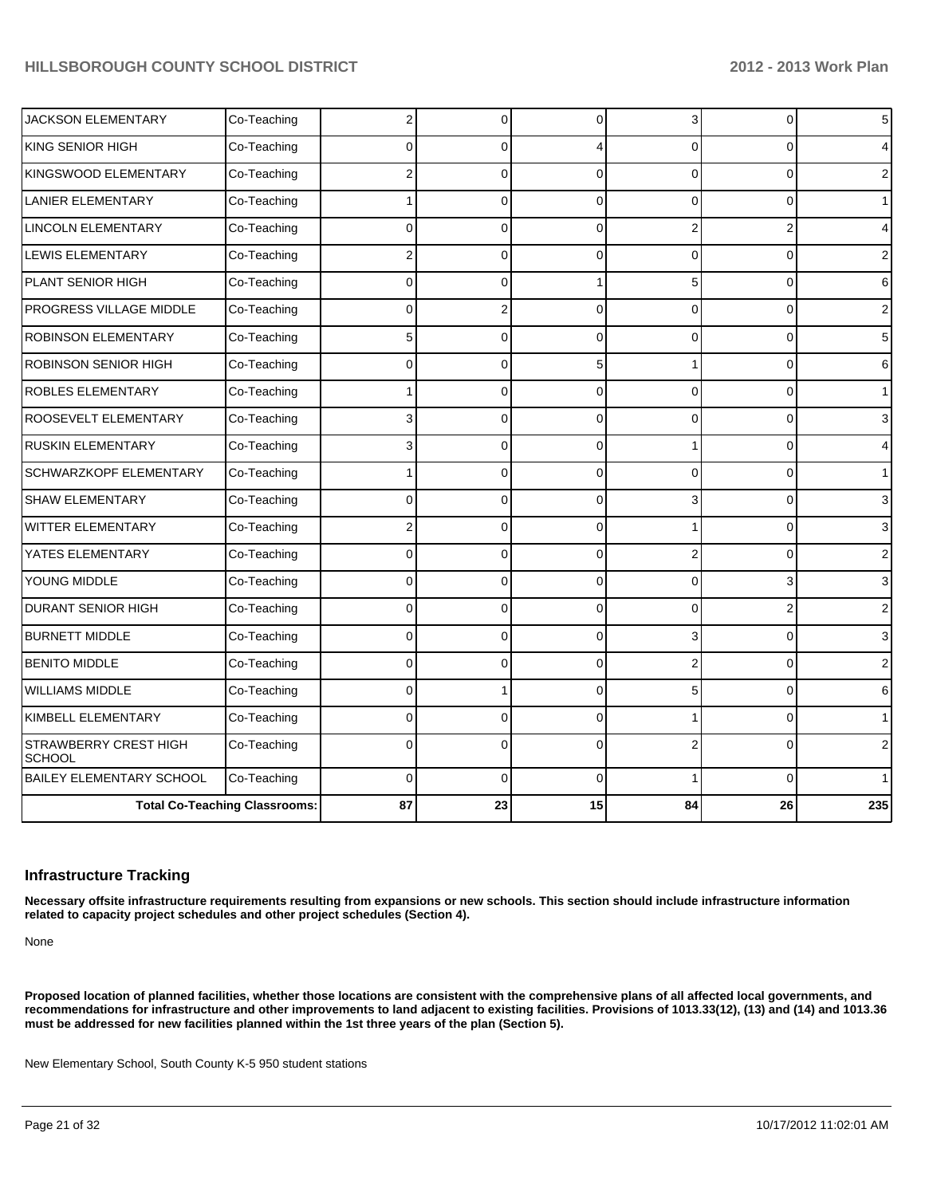|                                 | <b>Total Co-Teaching Classrooms:</b> | 87             | 23             | 15             | 84             | 26             | 235            |
|---------------------------------|--------------------------------------|----------------|----------------|----------------|----------------|----------------|----------------|
| BAILEY ELEMENTARY SCHOOL        | Co-Teaching                          | $\Omega$       | $\Omega$       | $\Omega$       |                | $\Omega$       |                |
| STRAWBERRY CREST HIGH<br>SCHOOL | Co-Teaching                          | $\mathbf 0$    | $\Omega$       | $\Omega$       | $\overline{2}$ | $\mathbf 0$    | $\overline{2}$ |
| KIMBELL ELEMENTARY              | Co-Teaching                          | $\Omega$       | $\Omega$       | $\Omega$       |                | $\Omega$       | 1              |
| <b>WILLIAMS MIDDLE</b>          | Co-Teaching                          | $\Omega$       |                | $\Omega$       | 5              | $\overline{0}$ | 6              |
| <b>BENITO MIDDLE</b>            | Co-Teaching                          | $\overline{0}$ | $\Omega$       | $\Omega$       | $\overline{2}$ | $\mathbf 0$    | $\overline{2}$ |
| <b>BURNETT MIDDLE</b>           | Co-Teaching                          | $\mathbf 0$    | $\Omega$       | $\Omega$       | 3              | $\mathbf 0$    | 3              |
| <b>DURANT SENIOR HIGH</b>       | Co-Teaching                          | $\Omega$       | $\Omega$       | $\Omega$       | $\mathbf 0$    | $\mathbf 2$    | $\overline{2}$ |
| YOUNG MIDDLE                    | Co-Teaching                          | $\mathbf 0$    | $\Omega$       | $\Omega$       | $\Omega$       | 3              | 3              |
| YATES ELEMENTARY                | Co-Teaching                          | $\overline{0}$ | $\overline{0}$ | $\Omega$       | 2              | 0              | $\overline{2}$ |
| WITTER ELEMENTARY               | Co-Teaching                          | $\overline{2}$ | $\Omega$       | $\Omega$       |                | 0              | 3              |
| <b>SHAW ELEMENTARY</b>          | Co-Teaching                          | $\Omega$       | $\Omega$       | $\Omega$       | 3              | 0              | 3              |
| SCHWARZKOPF ELEMENTARY          | Co-Teaching                          |                | $\Omega$       | $\Omega$       | 0              | $\mathbf 0$    | 1              |
| <b>RUSKIN ELEMENTARY</b>        | Co-Teaching                          | 3              | $\Omega$       | $\Omega$       | 1              | $\mathbf 0$    | 4              |
| ROOSEVELT ELEMENTARY            | Co-Teaching                          | 3              | $\Omega$       | $\Omega$       | $\Omega$       | $\Omega$       | 3              |
| ROBLES ELEMENTARY               | Co-Teaching                          | 1              | $\overline{0}$ | $\Omega$       | 0              | $\mathbf 0$    | 1              |
| ROBINSON SENIOR HIGH            | Co-Teaching                          | $\mathbf{0}$   | $\Omega$       | 5 <sub>1</sub> | 1              | 0              | 6              |
| ROBINSON ELEMENTARY             | Co-Teaching                          | 5              | $\Omega$       | $\Omega$       | $\Omega$       | 0              | 5              |
| PROGRESS VILLAGE MIDDLE         | Co-Teaching                          | $\Omega$       | $\overline{2}$ | $\Omega$       | $\Omega$       | $\overline{0}$ | $\overline{2}$ |
| PLANT SENIOR HIGH               | Co-Teaching                          | $\Omega$       | $\Omega$       |                | 5              | $\mathbf 0$    | 6              |
| <b>LEWIS ELEMENTARY</b>         | Co-Teaching                          | 2              | $\Omega$       | $\Omega$       | $\Omega$       | $\overline{0}$ | $\overline{2}$ |
| LINCOLN ELEMENTARY              | Co-Teaching                          | $\mathbf 0$    | $\Omega$       | $\Omega$       | 2              | $\mathbf 2$    | 4              |
| <b>LANIER ELEMENTARY</b>        | Co-Teaching                          |                | $\Omega$       | $\Omega$       | $\Omega$       | $\Omega$       | 1              |
| KINGSWOOD ELEMENTARY            | Co-Teaching                          | 2              | $\overline{0}$ | $\Omega$       | $\Omega$       | $\overline{0}$ | $\overline{2}$ |
| KING SENIOR HIGH                | Co-Teaching                          | $\Omega$       | $\Omega$       |                | $\Omega$       | 0              |                |
| <b>JACKSON ELEMENTARY</b>       | Co-Teaching                          | $\overline{c}$ | $\Omega$       | $\overline{0}$ | $\overline{3}$ | 0              | 5              |

#### **Infrastructure Tracking**

**Necessary offsite infrastructure requirements resulting from expansions or new schools. This section should include infrastructure information related to capacity project schedules and other project schedules (Section 4).**

None

**Proposed location of planned facilities, whether those locations are consistent with the comprehensive plans of all affected local governments, and recommendations for infrastructure and other improvements to land adjacent to existing facilities. Provisions of 1013.33(12), (13) and (14) and 1013.36 must be addressed for new facilities planned within the 1st three years of the plan (Section 5).**

New Elementary School, South County K-5 950 student stations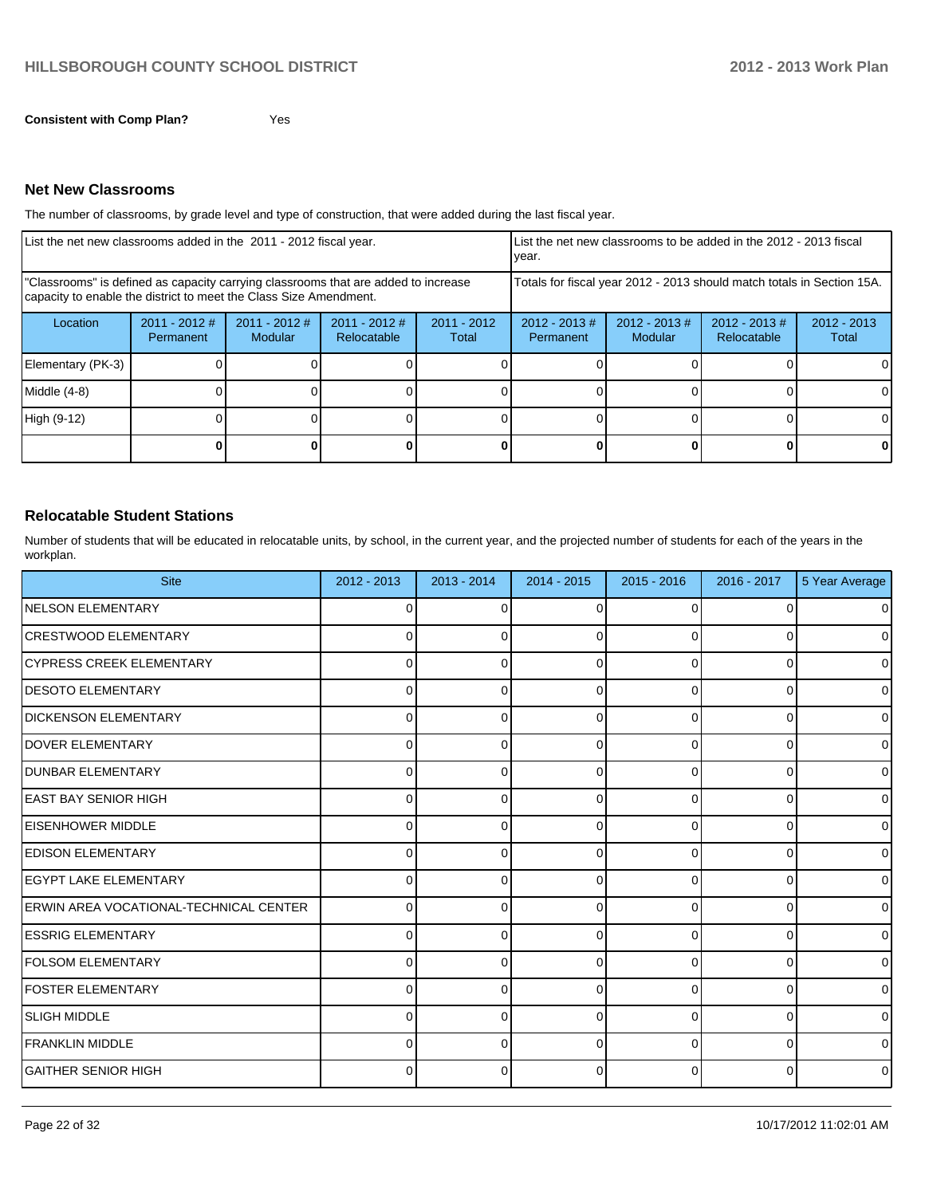**Consistent with Comp Plan?** Yes

#### **Net New Classrooms**

The number of classrooms, by grade level and type of construction, that were added during the last fiscal year.

| List the net new classrooms added in the 2011 - 2012 fiscal year.                                                                                       |                              |                            |                                |                                                                        | vear.                         |                                    | List the net new classrooms to be added in the 2012 - 2013 fiscal |                        |
|---------------------------------------------------------------------------------------------------------------------------------------------------------|------------------------------|----------------------------|--------------------------------|------------------------------------------------------------------------|-------------------------------|------------------------------------|-------------------------------------------------------------------|------------------------|
| "Classrooms" is defined as capacity carrying classrooms that are added to increase<br>capacity to enable the district to meet the Class Size Amendment. |                              |                            |                                | Totals for fiscal year 2012 - 2013 should match totals in Section 15A. |                               |                                    |                                                                   |                        |
| Location                                                                                                                                                | $2011 - 2012$ #<br>Permanent | $2011 - 2012$ #<br>Modular | $2011 - 2012$ #<br>Relocatable | $2011 - 2012$<br>Total                                                 | $2012 - 2013 \#$<br>Permanent | $2012 - 2013 \#$<br><b>Modular</b> | $2012 - 2013 \#$<br><b>Relocatable</b>                            | $2012 - 2013$<br>Total |
| Elementary (PK-3)                                                                                                                                       |                              |                            |                                |                                                                        |                               |                                    |                                                                   |                        |
| Middle (4-8)                                                                                                                                            |                              |                            |                                |                                                                        |                               |                                    |                                                                   |                        |
| High (9-12)                                                                                                                                             |                              |                            |                                |                                                                        |                               |                                    |                                                                   |                        |
|                                                                                                                                                         |                              |                            |                                |                                                                        |                               |                                    |                                                                   | ΟI                     |

#### **Relocatable Student Stations**

Number of students that will be educated in relocatable units, by school, in the current year, and the projected number of students for each of the years in the workplan.

| <b>Site</b>                                    | 2012 - 2013  | $2013 - 2014$ | $2014 - 2015$ | $2015 - 2016$ | $2016 - 2017$ | 5 Year Average |
|------------------------------------------------|--------------|---------------|---------------|---------------|---------------|----------------|
| <b>INELSON ELEMENTARY</b>                      | 0            | 0             | 0             | $\Omega$      |               | $\overline{0}$ |
| <b>ICRESTWOOD ELEMENTARY</b>                   | <sup>0</sup> | 0             |               | 0             |               | $\overline{0}$ |
| <b>ICYPRESS CREEK ELEMENTARY</b>               | <sup>0</sup> | <sup>0</sup>  |               | <sup>0</sup>  |               | $\overline{0}$ |
| <b>DESOTO ELEMENTARY</b>                       | 0            | ŋ             |               | $\Omega$      |               | $\overline{0}$ |
| <b>DICKENSON ELEMENTARY</b>                    | 0            | 0             |               | 0             | $\Omega$      | $\overline{0}$ |
| <b>DOVER ELEMENTARY</b>                        | 0            | 0             |               | $\Omega$      | 0             | $\overline{0}$ |
| <b>DUNBAR ELEMENTARY</b>                       | <sup>0</sup> | 0             |               | $\Omega$      | O             | $\overline{0}$ |
| <b>EAST BAY SENIOR HIGH</b>                    | U            | 0             |               | $\Omega$      | 0             | $\overline{0}$ |
| <b>EISENHOWER MIDDLE</b>                       | U            | U             | ŋ             | $\Omega$      | 0             | $\overline{0}$ |
| <b>EDISON ELEMENTARY</b>                       |              | 0             | O             | $\Omega$      | 0             | $\overline{0}$ |
| <b>EGYPT LAKE ELEMENTARY</b>                   |              | 0             | ŋ             | $\Omega$      | 0             | $\overline{0}$ |
| <b>IERWIN AREA VOCATIONAL-TECHNICAL CENTER</b> | n            | U             | ∩             | $\Omega$      | $\Omega$      | $\overline{0}$ |
| <b>ESSRIG ELEMENTARY</b>                       | <sup>0</sup> | 0             | ŋ             | 0             | O             | $\overline{0}$ |
| <b>FOLSOM ELEMENTARY</b>                       | 0            | $\Omega$      | ŋ             | 0             | 0             | $\overline{0}$ |
| <b>FOSTER ELEMENTARY</b>                       | 0            | $\Omega$      | U             | 0             | O             | $\overline{0}$ |
| ISLIGH MIDDLE                                  | 0            | $\Omega$      | U             | 0             | 0             | $\overline{0}$ |
| <b>FRANKLIN MIDDLE</b>                         | $\Omega$     | 0             | ŋ             | $\Omega$      | <sup>0</sup>  | $\overline{0}$ |
| ÍGAITHER SENIOR HIGH                           | 0            | 0             | ŋ             | $\Omega$      | 0             | $\overline{0}$ |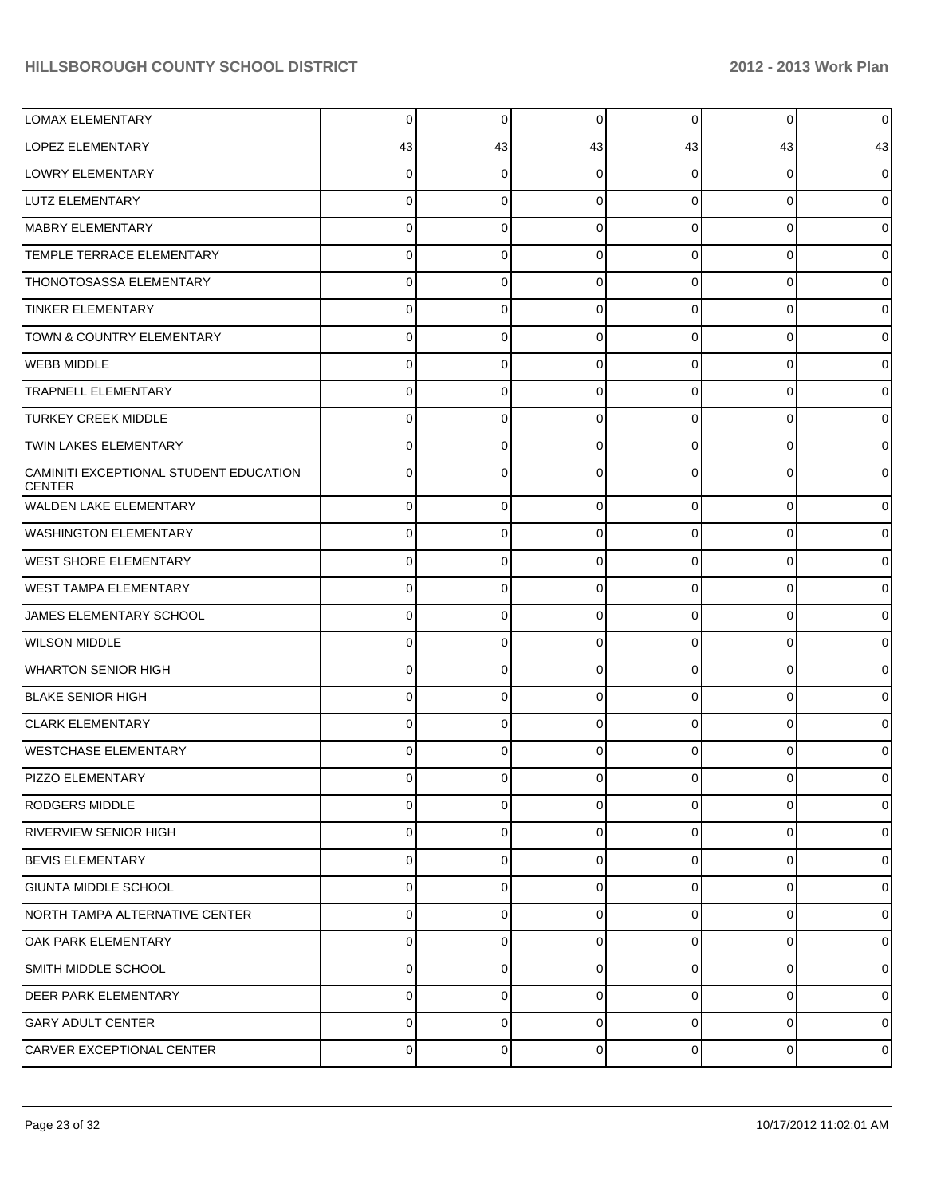| <b>LOMAX ELEMENTARY</b>                                 | $\overline{0}$ | $\Omega$ | 0              | $\overline{0}$ | $\overline{0}$ | $\overline{0}$ |
|---------------------------------------------------------|----------------|----------|----------------|----------------|----------------|----------------|
| LOPEZ ELEMENTARY                                        | 43             | 43       | 43             | 43             | 43             | 43             |
| LOWRY ELEMENTARY                                        | 0              | 0        | ∩              | 0              | 0              | $\mathbf 0$    |
| LUTZ ELEMENTARY                                         | 0              | 0        | $\Omega$       | $\Omega$       | 0              | $\mathbf 0$    |
| MABRY ELEMENTARY                                        | 0              | 0        | $\Omega$       | $\Omega$       | 0              | $\mathbf 0$    |
| TEMPLE TERRACE ELEMENTARY                               | 0              | 0        | $\Omega$       | 0              | 0              | $\mathbf 0$    |
| <b>THONOTOSASSA ELEMENTARY</b>                          | 0              | 0        | $\Omega$       | $\Omega$       | 0              | $\mathbf 0$    |
| <b>TINKER ELEMENTARY</b>                                | 0              | 0        | $\Omega$       | 0              | 0              | $\overline{0}$ |
| <b>TOWN &amp; COUNTRY ELEMENTARY</b>                    | 0              | 0        | $\Omega$       | $\Omega$       | 0              | $\mathbf 0$    |
| <b>WEBB MIDDLE</b>                                      | 0              | 0        | $\Omega$       | $\Omega$       | 0              | $\overline{0}$ |
| <b>TRAPNELL ELEMENTARY</b>                              | 0              | 0        | $\Omega$       | 0              | 0              | $\mathbf 0$    |
| <b>TURKEY CREEK MIDDLE</b>                              | 0              | 0        | $\Omega$       | 0              | 0              | $\mathbf 0$    |
| <b>TWIN LAKES ELEMENTARY</b>                            | 0              | 0        | $\Omega$       | $\Omega$       | 0              | $\mathbf 0$    |
| CAMINITI EXCEPTIONAL STUDENT EDUCATION<br><b>CENTER</b> | 0              | 0        | ∩              | 0              | 0              | $\mathbf 0$    |
| WALDEN LAKE ELEMENTARY                                  | $\overline{0}$ | 0        | $\mathbf 0$    | $\overline{0}$ | $\overline{0}$ | $\mathbf 0$    |
| <b>WASHINGTON ELEMENTARY</b>                            | $\overline{0}$ | $\Omega$ | $\Omega$       | $\overline{0}$ | $\overline{0}$ | $\mathbf 0$    |
| WEST SHORE ELEMENTARY                                   | $\overline{0}$ | 0        | $\mathbf 0$    | $\overline{0}$ | $\overline{0}$ | $\mathbf 0$    |
| <b>WEST TAMPA ELEMENTARY</b>                            | $\overline{0}$ | 0        | $\Omega$       | $\overline{0}$ | $\overline{0}$ | $\mathbf 0$    |
| JAMES ELEMENTARY SCHOOL                                 | $\overline{0}$ | 0        | $\mathbf 0$    | $\overline{0}$ | $\overline{0}$ | $\mathbf 0$    |
| <b>WILSON MIDDLE</b>                                    | $\overline{0}$ | $\Omega$ | $\Omega$       | $\overline{0}$ | $\overline{0}$ | $\mathbf 0$    |
| WHARTON SENIOR HIGH                                     | $\overline{0}$ | 0        | 0              | $\overline{0}$ | $\overline{0}$ | $\mathbf 0$    |
| <b>BLAKE SENIOR HIGH</b>                                | $\overline{0}$ | $\Omega$ | $\Omega$       | $\Omega$       | $\overline{0}$ | $\mathbf 0$    |
| <b>CLARK ELEMENTARY</b>                                 | $\overline{0}$ | 0        | 0              | $\overline{0}$ | $\overline{0}$ | $\mathbf 0$    |
| WESTCHASE ELEMENTARY                                    | $\Omega$       | $\Omega$ | $\Omega$       | $\overline{0}$ | $\overline{0}$ | $\overline{0}$ |
| PIZZO ELEMENTARY                                        | $\overline{0}$ | $\Omega$ | $\Omega$       | $\overline{0}$ | $\overline{0}$ | $\overline{0}$ |
| RODGERS MIDDLE                                          | $\overline{0}$ | $\Omega$ | $\Omega$       | $\overline{0}$ | $\overline{0}$ | $\mathbf 0$    |
| RIVERVIEW SENIOR HIGH                                   | $\overline{0}$ | $\Omega$ | $\overline{0}$ | $\overline{0}$ | $\overline{0}$ | $\overline{0}$ |
| <b>BEVIS ELEMENTARY</b>                                 | $\overline{0}$ | $\Omega$ | $\overline{0}$ | $\overline{0}$ | $\overline{0}$ | $\overline{0}$ |
| <b>GIUNTA MIDDLE SCHOOL</b>                             | $\overline{0}$ | $\Omega$ | $\overline{0}$ | $\overline{0}$ | $\overline{0}$ | $\overline{0}$ |
| NORTH TAMPA ALTERNATIVE CENTER                          | $\overline{0}$ | $\Omega$ | $\overline{0}$ | $\overline{0}$ | $\overline{0}$ | $\overline{0}$ |
| <b>OAK PARK ELEMENTARY</b>                              | $\overline{0}$ | $\Omega$ | $\overline{0}$ | $\overline{0}$ | $\overline{0}$ | $\overline{0}$ |
| SMITH MIDDLE SCHOOL                                     | $\overline{0}$ | $\Omega$ | $\overline{0}$ | $\overline{0}$ | $\overline{0}$ | $\overline{0}$ |
| <b>DEER PARK ELEMENTARY</b>                             | $\Omega$       | $\Omega$ | $\overline{0}$ | $\overline{0}$ | $\overline{0}$ | $\overline{0}$ |
| <b>GARY ADULT CENTER</b>                                | $\overline{0}$ | $\Omega$ | 0              | $\overline{0}$ | $\overline{0}$ | $\overline{0}$ |
| CARVER EXCEPTIONAL CENTER                               | $\overline{0}$ | 0        | $\overline{0}$ | $\overline{0}$ | $\overline{0}$ | $\mathbf 0$    |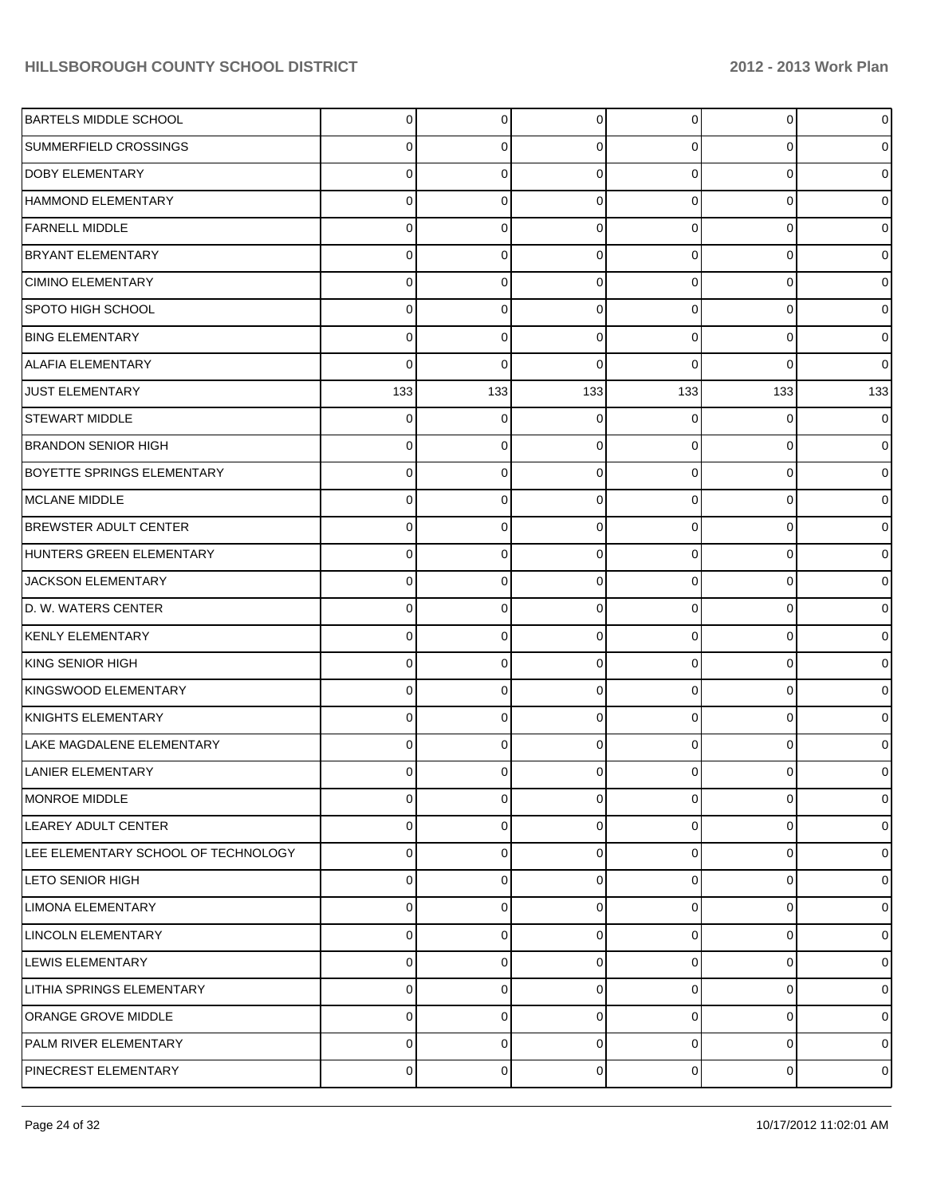| <b>BARTELS MIDDLE SCHOOL</b>        | $\Omega$ | $\overline{0}$ | $\Omega$       | 0              | 0              | $\mathbf 0$    |
|-------------------------------------|----------|----------------|----------------|----------------|----------------|----------------|
| SUMMERFIELD CROSSINGS               | 0        | 0              | $\Omega$       | 0              | $\overline{0}$ | $\mathbf 0$    |
| <b>DOBY ELEMENTARY</b>              | $\Omega$ | $\Omega$       | $\Omega$       | $\Omega$       | $\overline{0}$ | $\mathbf 0$    |
| HAMMOND ELEMENTARY                  | $\Omega$ | $\Omega$       | $\Omega$       | $\Omega$       | $\overline{0}$ | $\mathbf 0$    |
| <b>FARNELL MIDDLE</b>               | $\Omega$ | $\Omega$       | $\Omega$       | $\Omega$       | $\overline{0}$ | $\mathbf 0$    |
| <b>BRYANT ELEMENTARY</b>            | $\Omega$ | 0              | $\Omega$       | $\Omega$       | $\overline{0}$ | $\mathbf 0$    |
| <b>CIMINO ELEMENTARY</b>            | $\Omega$ | 0              | $\Omega$       | $\Omega$       | $\overline{0}$ | $\mathbf 0$    |
| <b>SPOTO HIGH SCHOOL</b>            | $\Omega$ | $\Omega$       | $\Omega$       | $\Omega$       | $\overline{0}$ | $\mathbf 0$    |
| <b>BING ELEMENTARY</b>              | $\Omega$ | 0              | $\Omega$       | $\Omega$       | $\overline{0}$ | $\mathbf 0$    |
| <b>ALAFIA ELEMENTARY</b>            | $\Omega$ | $\Omega$       | $\Omega$       | $\Omega$       | $\Omega$       | $\overline{0}$ |
| <b>JUST ELEMENTARY</b>              | 133      | 133            | 133            | 133            | 133            | 133            |
| <b>STEWART MIDDLE</b>               | $\Omega$ | $\Omega$       | $\Omega$       | 0              | $\mathbf{0}$   | $\mathbf 0$    |
| <b>BRANDON SENIOR HIGH</b>          | 0        | 0              | $\Omega$       | $\Omega$       | $\overline{0}$ | $\mathbf 0$    |
| <b>BOYETTE SPRINGS ELEMENTARY</b>   | $\Omega$ | 0              | $\Omega$       | $\Omega$       | $\overline{0}$ | $\mathbf 0$    |
| MCLANE MIDDLE                       | $\Omega$ | 0              | $\Omega$       | $\Omega$       | $\overline{0}$ | $\mathbf 0$    |
| <b>BREWSTER ADULT CENTER</b>        | $\Omega$ | $\Omega$       | $\Omega$       | $\Omega$       | $\overline{0}$ | $\mathbf 0$    |
| HUNTERS GREEN ELEMENTARY            | 0        | 0              | $\Omega$       | $\Omega$       | $\overline{0}$ | $\mathbf 0$    |
| JACKSON ELEMENTARY                  | $\Omega$ | $\Omega$       | $\Omega$       | $\Omega$       | $\overline{0}$ | $\mathbf 0$    |
| D. W. WATERS CENTER                 | $\Omega$ | 0              | $\Omega$       | $\Omega$       | $\overline{0}$ | $\overline{0}$ |
| <b>KENLY ELEMENTARY</b>             | $\Omega$ | $\Omega$       | $\Omega$       | $\Omega$       | $\overline{0}$ | $\mathbf 0$    |
| KING SENIOR HIGH                    | 0        | 0              | $\Omega$       | $\Omega$       | $\overline{0}$ | $\mathbf 0$    |
| KINGSWOOD ELEMENTARY                | $\Omega$ | 0              | $\Omega$       | $\Omega$       | $\overline{0}$ | $\mathbf 0$    |
| KNIGHTS ELEMENTARY                  | $\Omega$ | 0              | $\Omega$       | $\Omega$       | $\Omega$       | $\overline{0}$ |
| LAKE MAGDALENE ELEMENTARY           | $\Omega$ | 0              | $\Omega$       | 0              | $\overline{0}$ | $\overline{0}$ |
| LANIER ELEMENTARY                   |          | ŋ              |                |                | 0              | $\overline{0}$ |
| MONROE MIDDLE                       | 0        | $\overline{0}$ | $\overline{0}$ | $\overline{0}$ | 0              | $\mathbf 0$    |
| LEAREY ADULT CENTER                 | $\Omega$ | $\Omega$       | $\Omega$       | 0              | $\mathbf 0$    | $\mathbf 0$    |
| LEE ELEMENTARY SCHOOL OF TECHNOLOGY | $\Omega$ | $\Omega$       | $\Omega$       | $\mathbf 0$    | $\overline{0}$ | $\mathbf 0$    |
| LETO SENIOR HIGH                    | $\Omega$ | $\Omega$       | $\Omega$       | $\mathbf 0$    | $\overline{0}$ | $\mathbf 0$    |
| LIMONA ELEMENTARY                   | $\Omega$ | $\Omega$       | $\Omega$       | 0              | $\mathbf 0$    | $\mathbf 0$    |
| LINCOLN ELEMENTARY                  | $\Omega$ | $\Omega$       | $\Omega$       | $\mathbf 0$    | $\overline{0}$ | $\mathbf 0$    |
| <b>LEWIS ELEMENTARY</b>             | $\Omega$ | $\Omega$       | $\Omega$       | $\mathbf 0$    | $\mathbf 0$    | $\mathbf 0$    |
| <b>LITHIA SPRINGS ELEMENTARY</b>    | $\Omega$ | $\Omega$       | $\Omega$       | $\mathbf 0$    | $\overline{0}$ | $\mathbf 0$    |
| ORANGE GROVE MIDDLE                 | 0        | $\Omega$       | $\Omega$       | 0              | 0              | $\mathbf 0$    |
| PALM RIVER ELEMENTARY               | $\Omega$ | 0              | $\Omega$       | 0              | $\mathbf 0$    | $\mathbf 0$    |
| PINECREST ELEMENTARY                | 0        | 0              | 0              | 0              | $\overline{0}$ | $\mathbf 0$    |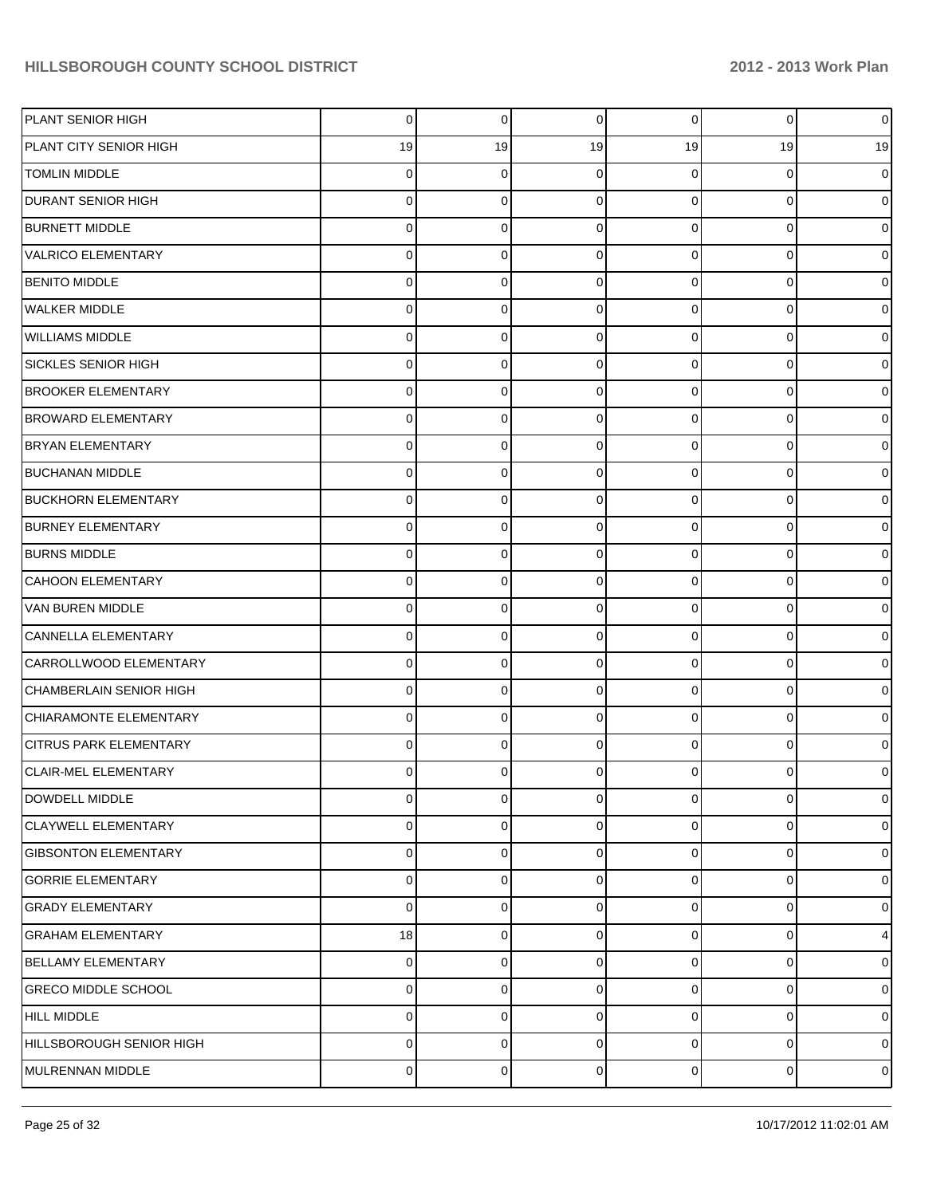| PLANT SENIOR HIGH              | 0  | $\Omega$ | $\mathbf 0$ | $\overline{0}$ | $\overline{0}$ | $\mathbf 0$    |
|--------------------------------|----|----------|-------------|----------------|----------------|----------------|
| PLANT CITY SENIOR HIGH         | 19 | 19       | 19          | 19             | 19             | 19             |
| <b>TOMLIN MIDDLE</b>           | 0  | 0        | $\Omega$    | 0              | 0              | $\mathbf 0$    |
| DURANT SENIOR HIGH             | 0  | 0        | $\Omega$    | 0              | 0              | $\mathbf 0$    |
| <b>BURNETT MIDDLE</b>          | 0  | 0        | $\Omega$    | $\Omega$       | 0              | $\mathbf 0$    |
| VALRICO ELEMENTARY             | 0  | 0        | $\Omega$    | 0              | $\overline{0}$ | $\mathbf 0$    |
| <b>BENITO MIDDLE</b>           | 0  | 0        | $\Omega$    | $\Omega$       | 0              | $\mathbf 0$    |
| WALKER MIDDLE                  | 0  | 0        | $\Omega$    | $\Omega$       | 0              | $\mathbf 0$    |
| <b>WILLIAMS MIDDLE</b>         | 0  | 0        | $\Omega$    | $\Omega$       | 0              | $\mathbf 0$    |
| <b>SICKLES SENIOR HIGH</b>     | 0  | 0        | $\Omega$    | 0              | $\overline{0}$ | $\mathbf 0$    |
| <b>BROOKER ELEMENTARY</b>      | 0  | 0        | $\Omega$    | $\Omega$       | 0              | $\mathbf 0$    |
| <b>BROWARD ELEMENTARY</b>      | 0  | 0        | $\Omega$    | 0              | 0              | $\mathbf 0$    |
| <b>BRYAN ELEMENTARY</b>        | 0  | 0        | $\Omega$    | $\Omega$       | 0              | $\mathbf 0$    |
| <b>BUCHANAN MIDDLE</b>         | 0  | 0        | $\Omega$    | 0              | $\overline{0}$ | $\mathbf 0$    |
| <b>BUCKHORN ELEMENTARY</b>     | 0  | 0        | $\Omega$    | $\Omega$       | 0              | $\mathbf 0$    |
| <b>BURNEY ELEMENTARY</b>       | 0  | 0        | $\Omega$    | 0              | 0              | $\mathbf 0$    |
| <b>BURNS MIDDLE</b>            | 0  | 0        | $\Omega$    | $\Omega$       | 0              | $\mathbf 0$    |
| <b>CAHOON ELEMENTARY</b>       | 0  | 0        | $\Omega$    | $\Omega$       | $\overline{0}$ | $\mathbf 0$    |
| VAN BUREN MIDDLE               | 0  | 0        | $\Omega$    | 0              | 0              | $\mathbf 0$    |
| CANNELLA ELEMENTARY            | 0  | 0        | $\Omega$    | 0              | 0              | $\mathbf 0$    |
| CARROLLWOOD ELEMENTARY         | 0  | 0        | $\Omega$    | $\Omega$       | 0              | $\mathbf 0$    |
| <b>CHAMBERLAIN SENIOR HIGH</b> | 0  | 0        | $\Omega$    | $\Omega$       | 0              | $\mathbf 0$    |
| CHIARAMONTE ELEMENTARY         | 0  | 0        | $\Omega$    | 0              | 0              | $\mathbf 0$    |
| <b>CITRUS PARK ELEMENTARY</b>  | 0  | 0        | $\Omega$    | 0              | $\overline{0}$ | $\mathbf 0$    |
| <b>CLAIR-MEL ELEMENTARY</b>    | 0  | 0        | $\Omega$    | 0              | 0              | $\mathbf 0$    |
| DOWDELL MIDDLE                 | 0  | 0        | 0           | $\overline{0}$ | 0              | $\mathbf 0$    |
| <b>CLAYWELL ELEMENTARY</b>     | 0  | 0        | 0           | $\overline{0}$ | $\overline{0}$ | $\mathbf 0$    |
| <b>GIBSONTON ELEMENTARY</b>    | 0  | 0        | $\Omega$    | $\overline{0}$ | 0              | $\mathbf 0$    |
| <b>GORRIE ELEMENTARY</b>       | 0  | 0        | $\mathbf 0$ | $\overline{0}$ | 0              | $\mathbf 0$    |
| <b>GRADY ELEMENTARY</b>        | 0  | 0        | $\Omega$    | 0              | 0              | $\mathbf 0$    |
| <b>GRAHAM ELEMENTARY</b>       | 18 | 0        | $\Omega$    | $\overline{0}$ | $\overline{0}$ | $\overline{4}$ |
| <b>BELLAMY ELEMENTARY</b>      | 0  | 0        | $\Omega$    | 0              | 0              | $\mathbf 0$    |
| <b>GRECO MIDDLE SCHOOL</b>     | 0  | 0        | $\Omega$    | $\overline{0}$ | 0              | $\mathbf 0$    |
| <b>HILL MIDDLE</b>             | 0  | 0        | $\Omega$    | 0              | 0              | $\mathbf 0$    |
| HILLSBOROUGH SENIOR HIGH       | 0  | 0        | 0           | 0              | 0              | $\mathbf 0$    |
| MULRENNAN MIDDLE               | 0  | 0        | 0           | $\overline{0}$ | $\overline{0}$ | $\mathbf 0$    |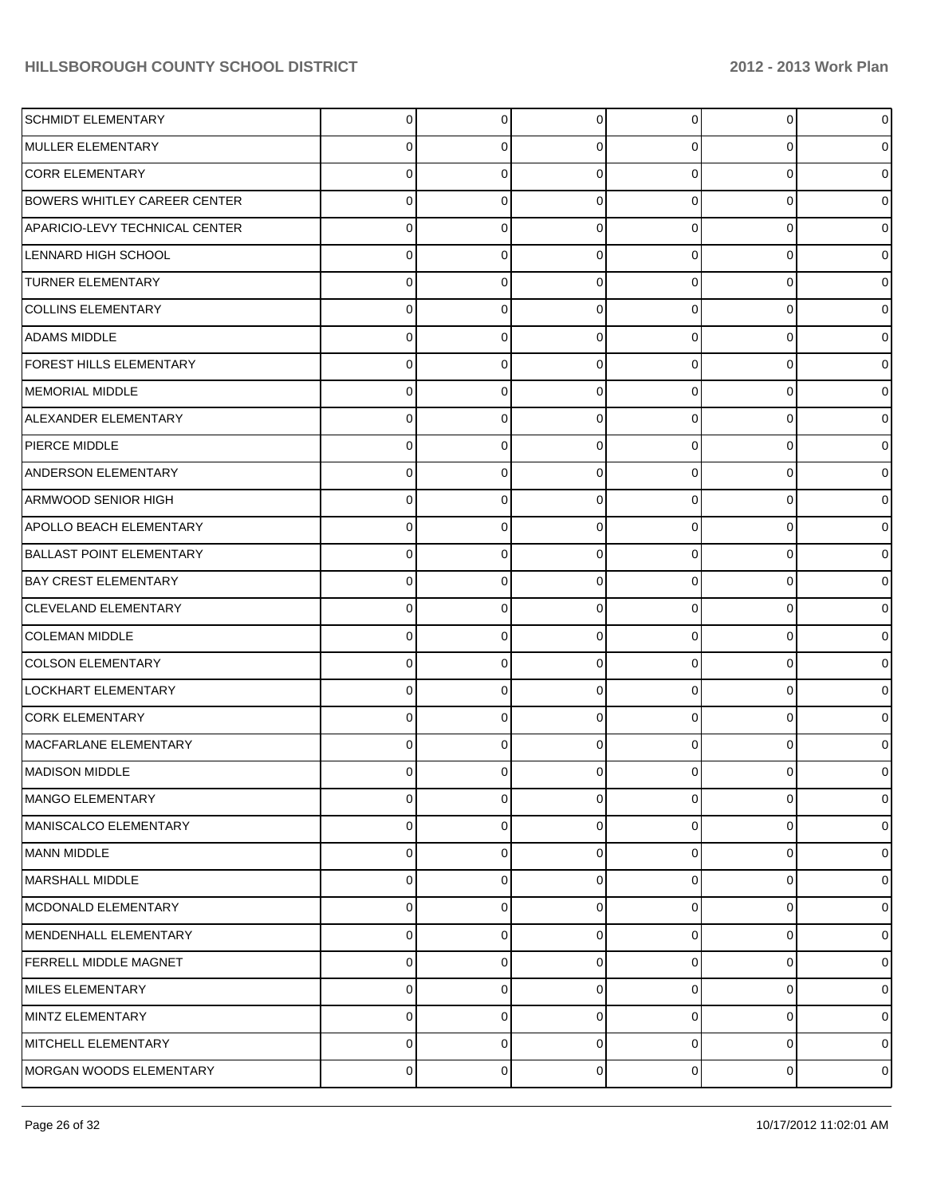| <b>SCHMIDT ELEMENTARY</b>           | $\Omega$       | $\overline{0}$ | $\Omega$    | 0              | $\overline{0}$ | $\mathbf 0$ |
|-------------------------------------|----------------|----------------|-------------|----------------|----------------|-------------|
| MULLER ELEMENTARY                   | 0              | 0              | $\Omega$    | 0              | $\mathbf{0}$   | $\mathbf 0$ |
| <b>CORR ELEMENTARY</b>              | 0              | 0              | $\Omega$    | 0              | $\overline{0}$ | $\mathbf 0$ |
| <b>BOWERS WHITLEY CAREER CENTER</b> | 0              | 0              | $\Omega$    | 0              | $\mathbf 0$    | $\mathbf 0$ |
| APARICIO-LEVY TECHNICAL CENTER      | 0              | 0              | $\Omega$    | 0              | $\overline{0}$ | $\mathbf 0$ |
| LENNARD HIGH SCHOOL                 | 0              | 0              | $\Omega$    | 0              | $\mathbf 0$    | $\mathbf 0$ |
| <b>TURNER ELEMENTARY</b>            | 0              | 0              | $\Omega$    | 0              | $\overline{0}$ | $\mathbf 0$ |
| <b>COLLINS ELEMENTARY</b>           | 0              | 0              | $\Omega$    | 0              | $\mathbf 0$    | $\mathbf 0$ |
| <b>ADAMS MIDDLE</b>                 | 0              | 0              | $\Omega$    | 0              | $\overline{0}$ | $\mathbf 0$ |
| FOREST HILLS ELEMENTARY             | 0              | 0              | $\Omega$    | 0              | $\mathbf{0}$   | $\mathbf 0$ |
| MEMORIAL MIDDLE                     | 0              | 0              | $\Omega$    | 0              | $\overline{0}$ | $\mathbf 0$ |
| ALEXANDER ELEMENTARY                | 0              | 0              | $\Omega$    | 0              | $\mathbf 0$    | $\mathbf 0$ |
| <b>PIERCE MIDDLE</b>                | 0              | 0              | $\Omega$    | 0              | $\overline{0}$ | $\mathbf 0$ |
| ANDERSON ELEMENTARY                 | 0              | 0              | $\Omega$    | 0              | $\mathbf 0$    | $\mathbf 0$ |
| ARMWOOD SENIOR HIGH                 | 0              | 0              | $\Omega$    | 0              | $\overline{0}$ | $\mathbf 0$ |
| <b>APOLLO BEACH ELEMENTARY</b>      | 0              | 0              | $\Omega$    | 0              | $\mathbf 0$    | $\mathbf 0$ |
| <b>BALLAST POINT ELEMENTARY</b>     | 0              | 0              | $\Omega$    | 0              | $\overline{0}$ | $\mathbf 0$ |
| <b>BAY CREST ELEMENTARY</b>         | 0              | 0              | $\Omega$    | 0              | $\mathbf 0$    | $\mathbf 0$ |
| <b>CLEVELAND ELEMENTARY</b>         | 0              | 0              | $\Omega$    | 0              | $\overline{0}$ | $\mathbf 0$ |
| <b>COLEMAN MIDDLE</b>               | 0              | 0              | $\Omega$    | 0              | $\mathbf 0$    | $\mathbf 0$ |
| <b>COLSON ELEMENTARY</b>            | 0              | 0              | $\Omega$    | 0              | $\overline{0}$ | $\mathbf 0$ |
| LOCKHART ELEMENTARY                 | 0              | 0              | $\Omega$    | 0              | $\mathbf 0$    | $\mathbf 0$ |
| <b>CORK ELEMENTARY</b>              | 0              | 0              | $\Omega$    | 0              | $\overline{0}$ | $\mathbf 0$ |
| MACFARLANE ELEMENTARY               | 0              | 0              | $\Omega$    | 0              | $\overline{0}$ | $\mathbf 0$ |
| <b>MADISON MIDDLE</b>               | 0              | o              | ∩           |                | 0              | $\mathbf 0$ |
| MANGO ELEMENTARY                    | $\overline{0}$ | $\overline{0}$ | $\mathbf 0$ | $\overline{0}$ | 0              | $\mathbf 0$ |
| MANISCALCO ELEMENTARY               | 0              | 0              | 0           | $\overline{0}$ | $\mathbf 0$    | $\mathbf 0$ |
| MANN MIDDLE                         | 0              | 0              | 0           | $\overline{0}$ | $\mathbf 0$    | $\mathbf 0$ |
| MARSHALL MIDDLE                     | 0              | 0              | 0           | $\overline{0}$ | $\mathbf 0$    | $\mathbf 0$ |
| MCDONALD ELEMENTARY                 | 0              | 0              | $\Omega$    | 0              | $\mathbf 0$    | $\mathbf 0$ |
| MENDENHALL ELEMENTARY               | 0              | 0              | 0           | $\overline{0}$ | $\mathbf 0$    | $\mathbf 0$ |
| <b>FERRELL MIDDLE MAGNET</b>        | 0              | 0              | $\Omega$    | 0              | 0              | $\mathbf 0$ |
| MILES ELEMENTARY                    | 0              | 0              | 0           | $\overline{0}$ | $\mathbf 0$    | $\mathbf 0$ |
| MINTZ ELEMENTARY                    | 0              | 0              | $\Omega$    | 0              | 0              | $\mathbf 0$ |
| MITCHELL ELEMENTARY                 | 0              | 0              | 0           | 0              | $\mathbf 0$    | $\mathbf 0$ |
| MORGAN WOODS ELEMENTARY             | 0              | 0              | 0           | $\overline{0}$ | $\overline{0}$ | $\mathbf 0$ |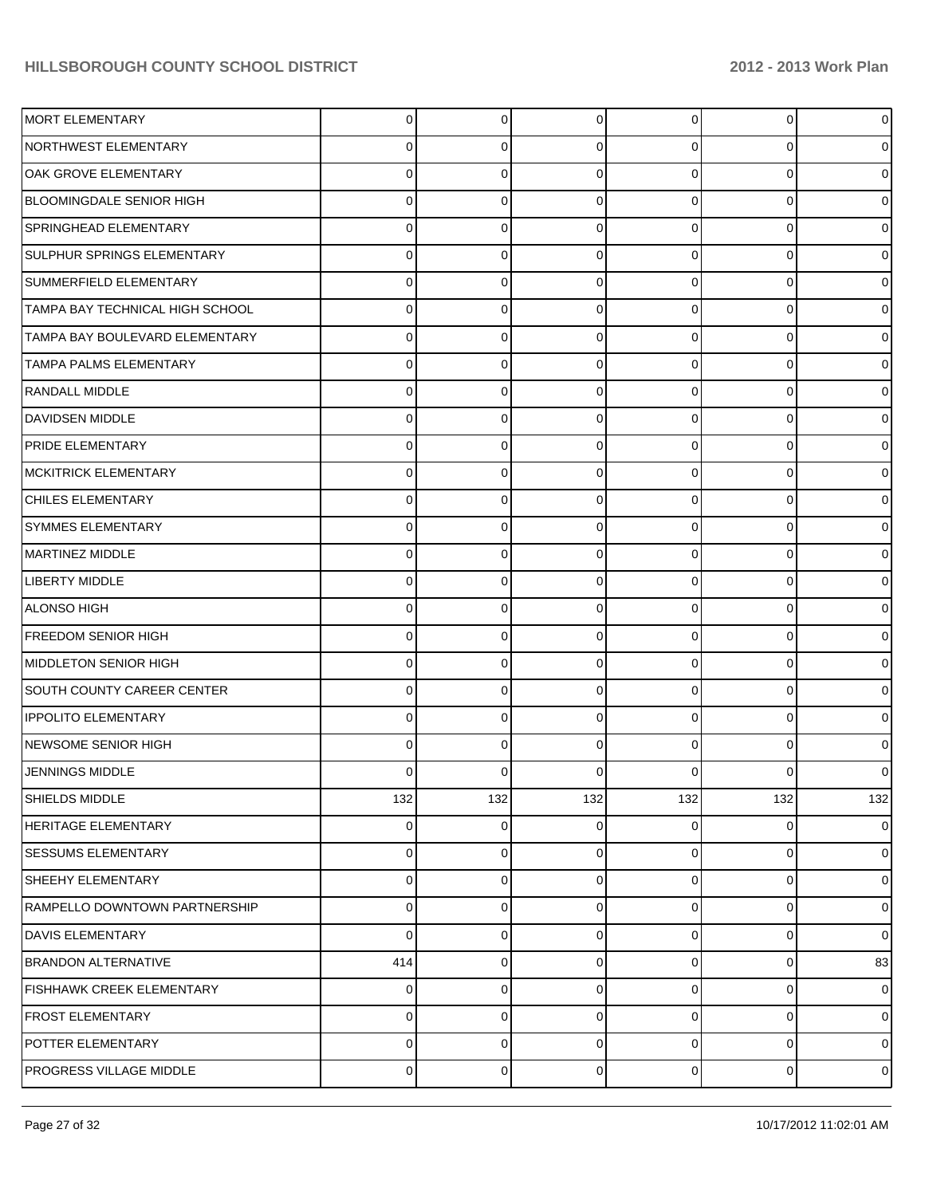| MORT ELEMENTARY                   | $\overline{0}$ | $\Omega$       | $\Omega$       | $\overline{0}$ | $\overline{0}$ | $\mathbf 0$    |
|-----------------------------------|----------------|----------------|----------------|----------------|----------------|----------------|
| NORTHWEST ELEMENTARY              | 0              | 0              | 0              | 0              | 0              | $\mathbf 0$    |
| OAK GROVE ELEMENTARY              | 0              | 0              | $\Omega$       | $\Omega$       | 0              | $\mathbf 0$    |
| BLOOMINGDALE SENIOR HIGH          | 0              | 0              | 0              | $\Omega$       | 0              | $\mathbf 0$    |
| <b>SPRINGHEAD ELEMENTARY</b>      | 0              | 0              | $\Omega$       | $\Omega$       | 0              | $\mathbf 0$    |
| SULPHUR SPRINGS ELEMENTARY        | 0              | 0              | $\Omega$       | $\Omega$       | 0              | $\mathbf 0$    |
| SUMMERFIELD ELEMENTARY            | 0              | 0              | $\Omega$       | $\Omega$       | 0              | $\mathbf 0$    |
| TAMPA BAY TECHNICAL HIGH SCHOOL   | 0              | 0              | $\Omega$       | $\Omega$       | 0              | $\mathbf 0$    |
| TAMPA BAY BOULEVARD ELEMENTARY    | 0              | 0              | $\Omega$       | $\Omega$       | 0              | $\mathbf 0$    |
| <b>TAMPA PALMS ELEMENTARY</b>     | 0              | 0              | $\Omega$       | $\Omega$       | 0              | $\mathbf 0$    |
| <b>RANDALL MIDDLE</b>             | 0              | 0              | $\Omega$       | $\Omega$       | 0              | $\mathbf 0$    |
| DAVIDSEN MIDDLE                   | 0              | 0              | $\Omega$       | $\Omega$       | $\overline{0}$ | $\mathbf 0$    |
| <b>PRIDE ELEMENTARY</b>           | 0              | 0              | $\Omega$       | $\Omega$       | 0              | $\mathbf 0$    |
| <b>IMCKITRICK ELEMENTARY</b>      | 0              | 0              | $\Omega$       | $\Omega$       | 0              | $\mathbf 0$    |
| <b>CHILES ELEMENTARY</b>          | 0              | 0              | $\Omega$       | $\Omega$       | 0              | $\mathbf 0$    |
| <b>SYMMES ELEMENTARY</b>          | 0              | 0              | $\Omega$       | $\Omega$       | 0              | $\mathbf 0$    |
| <b>MARTINEZ MIDDLE</b>            | 0              | 0              | $\Omega$       | 0              | 0              | $\mathbf 0$    |
| LIBERTY MIDDLE                    | 0              | 0              | $\Omega$       | $\Omega$       | $\overline{0}$ | $\mathbf 0$    |
| <b>ALONSO HIGH</b>                | 0              | 0              | $\Omega$       | $\Omega$       | 0              | $\mathbf 0$    |
| <b>FREEDOM SENIOR HIGH</b>        | 0              | 0              | $\Omega$       | $\Omega$       | 0              | $\overline{0}$ |
| MIDDLETON SENIOR HIGH             | 0              | 0              | $\Omega$       | 0              | 0              | $\mathbf 0$    |
| <b>SOUTH COUNTY CAREER CENTER</b> | 0              | 0              | $\Omega$       | $\Omega$       | 0              | $\overline{0}$ |
| <b>IPPOLITO ELEMENTARY</b>        | 0              | 0              | $\Omega$       | 0              | 0              | $\mathbf 0$    |
| NEWSOME SENIOR HIGH               | 0              | 0              | $\Omega$       | 0              | 0              | $\overline{0}$ |
| JENNINGS MIDDLE                   | 0              | 0              |                | 0              | 0              | $\overline{0}$ |
| SHIELDS MIDDLE                    | 132            | 132            | 132            | 132            | 132            | 132            |
| <b>HERITAGE ELEMENTARY</b>        | $\overline{0}$ | 0              | 0              | $\overline{0}$ | $\overline{0}$ | $\mathbf 0$    |
| <b>SESSUMS ELEMENTARY</b>         | 0              | 0              | $\mathbf 0$    | $\overline{0}$ | 0              | $\mathbf 0$    |
| <b>SHEEHY ELEMENTARY</b>          | 0              | 0              | 0              | $\overline{0}$ | 0              | $\overline{0}$ |
| RAMPELLO DOWNTOWN PARTNERSHIP     | 0              | 0              | $\Omega$       | $\overline{0}$ | 0              | $\mathbf 0$    |
| <b>DAVIS ELEMENTARY</b>           | 0              | 0              | $\mathbf 0$    | $\overline{0}$ | $\overline{0}$ | $\mathbf 0$    |
| <b>BRANDON ALTERNATIVE</b>        | 414            | 0              | $\Omega$       | $\overline{0}$ | 0              | 83             |
| FISHHAWK CREEK ELEMENTARY         | 0              | 0              | $\mathbf 0$    | $\overline{0}$ | $\overline{0}$ | $\overline{0}$ |
| <b>FROST ELEMENTARY</b>           | 0              | 0              | $\Omega$       | 0              | 0              | $\mathbf 0$    |
| POTTER ELEMENTARY                 | 0              | 0              | $\mathbf 0$    | 0              | 0              | $\mathbf 0$    |
| PROGRESS VILLAGE MIDDLE           | 0              | $\overline{0}$ | $\overline{0}$ | $\overline{0}$ | $\overline{0}$ | $\mathbf 0$    |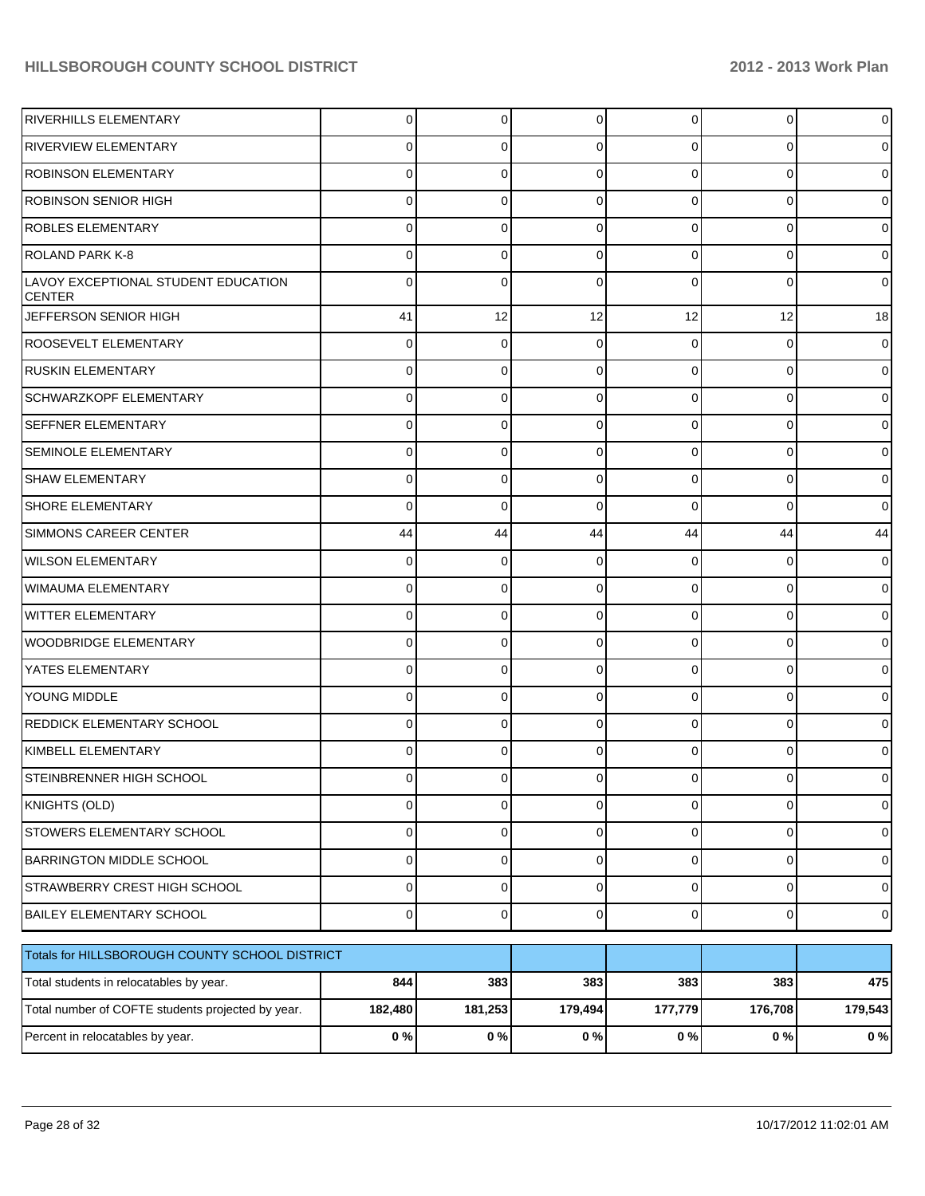| <b>RIVERHILLS ELEMENTARY</b>                         | 0              | 0           | 0           | $\Omega$       | 0              | $\mathbf 0$    |
|------------------------------------------------------|----------------|-------------|-------------|----------------|----------------|----------------|
| <b>RIVERVIEW ELEMENTARY</b>                          |                | 0           |             | 0              | 0              | 0              |
| <b>ROBINSON ELEMENTARY</b>                           |                | 0           |             | 0              | 0              | 0              |
| <b>ROBINSON SENIOR HIGH</b>                          |                | 0           | 0           | 0              | 0              | 0              |
| <b>ROBLES ELEMENTARY</b>                             |                | 0           |             | 0              | 0              | $\mathbf 0$    |
| <b>ROLAND PARK K-8</b>                               |                | 0           | 0           | 0              | 0              | 0              |
| LAVOY EXCEPTIONAL STUDENT EDUCATION<br><b>CENTER</b> |                | 0           | 0           | $\Omega$       | 0              | $\mathbf 0$    |
| JEFFERSON SENIOR HIGH                                | 41             | 12          | 12          | 12             | 12             | 18             |
| ROOSEVELT ELEMENTARY                                 | 0              | 0           | 0           | $\Omega$       | 0              | $\overline{0}$ |
| <b>RUSKIN ELEMENTARY</b>                             | 0              | 0           | 0           | $\Omega$       | $\Omega$       | $\overline{0}$ |
| <b>SCHWARZKOPF ELEMENTARY</b>                        | 0              | 0           | 0           | $\Omega$       | $\Omega$       | $\overline{0}$ |
| <b>SEFFNER ELEMENTARY</b>                            | 0              | 0           | 0           | $\Omega$       | $\Omega$       | $\overline{0}$ |
| <b>SEMINOLE ELEMENTARY</b>                           | 0              | 0           | 0           | $\Omega$       | $\Omega$       | $\overline{0}$ |
| <b>SHAW ELEMENTARY</b>                               | 0              | 0           | 0           | $\Omega$       | $\Omega$       | $\overline{0}$ |
| <b>SHORE ELEMENTARY</b>                              | 0              | 0           | $\Omega$    | $\Omega$       | $\Omega$       | $\overline{0}$ |
| <b>SIMMONS CAREER CENTER</b>                         | 44             | 44          | 44          | 44             | 44             | 44             |
| WILSON ELEMENTARY                                    | 0              | 0           | 0           | $\Omega$       | 0              | $\overline{0}$ |
| WIMAUMA ELEMENTARY                                   | 0              | 0           | 0           | $\Omega$       | $\Omega$       | $\overline{0}$ |
| <b>WITTER ELEMENTARY</b>                             | 0              | 0           | $\Omega$    | $\Omega$       | 0              | $\overline{0}$ |
| <b>WOODBRIDGE ELEMENTARY</b>                         | 0              | 0           | 0           | $\Omega$       | $\Omega$       | $\overline{0}$ |
| YATES ELEMENTARY                                     | 0              | 0           | $\Omega$    | $\Omega$       | $\Omega$       | $\overline{0}$ |
| <b>YOUNG MIDDLE</b>                                  | 0              | 0           | 0           | $\Omega$       | $\Omega$       | $\overline{0}$ |
| <b>REDDICK ELEMENTARY SCHOOL</b>                     | 0              | 0           | $\Omega$    | $\Omega$       | 0              | $\overline{0}$ |
| KIMBELL ELEMENTARY                                   | 0              | 0           | $\Omega$    | 0              | $\Omega$       | $\overline{0}$ |
| <b>STEINBRENNER HIGH SCHOOL</b>                      | $\Omega$       | 0           | $\Omega$    | $\Omega$       | $\overline{0}$ | $\overline{0}$ |
| KNIGHTS (OLD)                                        | $\Omega$       | 0           | 0           | $\overline{0}$ | $\mathbf 0$    | $\overline{0}$ |
| STOWERS ELEMENTARY SCHOOL                            | $\Omega$       | 0           | 0           | $\overline{0}$ | $\mathbf 0$    | $\overline{0}$ |
| <b>BARRINGTON MIDDLE SCHOOL</b>                      | $\overline{0}$ | 0           | $\mathbf 0$ | $\overline{0}$ | $\mathbf 0$    | $\overline{0}$ |
| STRAWBERRY CREST HIGH SCHOOL                         | $\Omega$       | 0           | $\mathbf 0$ | $\overline{0}$ | $\mathbf 0$    | $\overline{0}$ |
| <b>BAILEY ELEMENTARY SCHOOL</b>                      | $\overline{0}$ | $\mathbf 0$ | $\mathbf 0$ | $\overline{0}$ | $\mathbf{0}$   | $\overline{0}$ |
| Totals for HILLSBOROUGH COUNTY SCHOOL DISTRICT       |                |             |             |                |                |                |
| Total students in relocatables by year.              | 844            | 383         | 383         | 383            | 383            | 475            |
| Total number of COFTE students projected by year.    | 182,480        | 181,253     | 179,494     | 177,779        | 176,708        | 179,543        |
| Percent in relocatables by year.                     | 0%             | 0%          | 0%          | 0%             | $0\%$          | 0%             |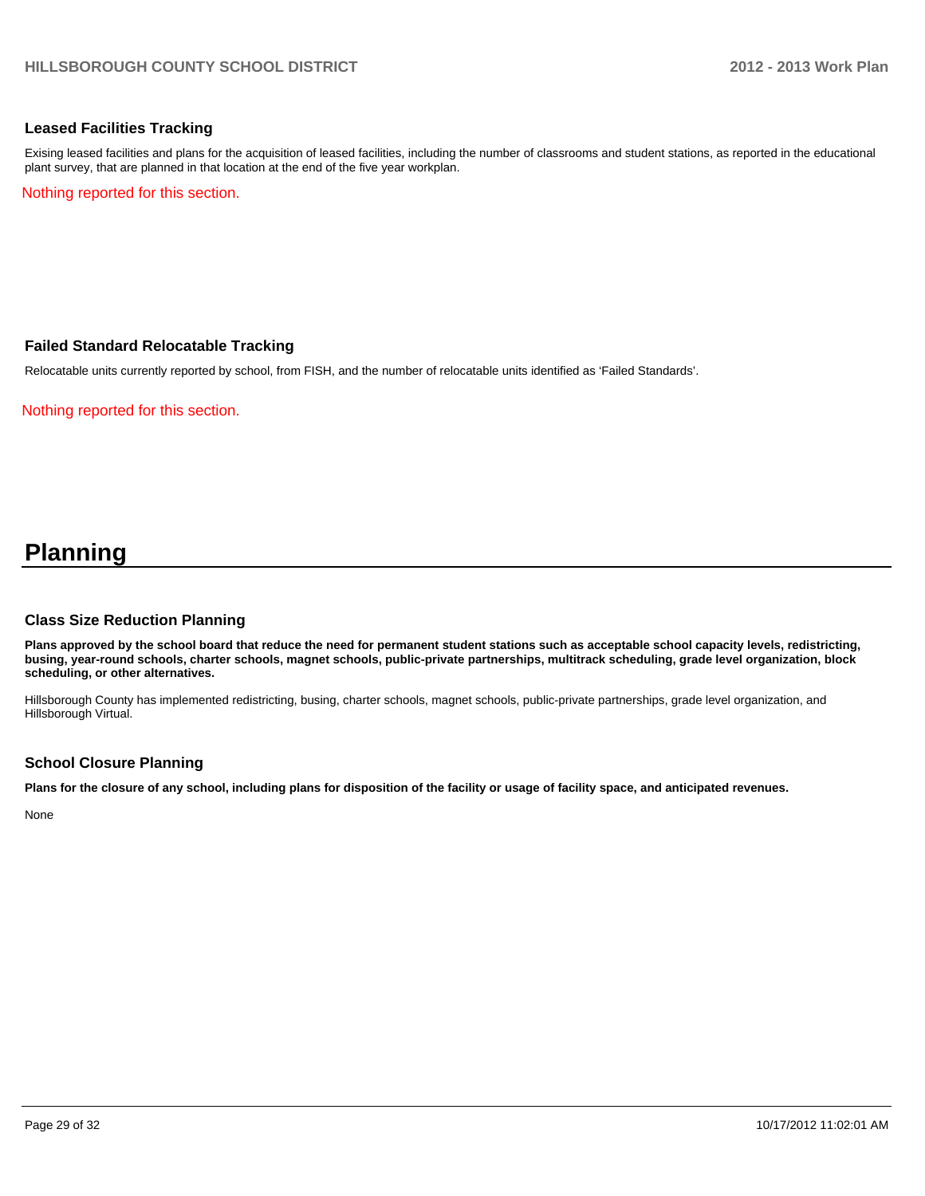#### **Leased Facilities Tracking**

Exising leased facilities and plans for the acquisition of leased facilities, including the number of classrooms and student stations, as reported in the educational plant survey, that are planned in that location at the end of the five year workplan.

Nothing reported for this section.

#### **Failed Standard Relocatable Tracking**

Relocatable units currently reported by school, from FISH, and the number of relocatable units identified as 'Failed Standards'.

Nothing reported for this section.

## **Planning**

#### **Class Size Reduction Planning**

**Plans approved by the school board that reduce the need for permanent student stations such as acceptable school capacity levels, redistricting, busing, year-round schools, charter schools, magnet schools, public-private partnerships, multitrack scheduling, grade level organization, block scheduling, or other alternatives.**

Hillsborough County has implemented redistricting, busing, charter schools, magnet schools, public-private partnerships, grade level organization, and Hillsborough Virtual.

#### **School Closure Planning**

**Plans for the closure of any school, including plans for disposition of the facility or usage of facility space, and anticipated revenues.**

None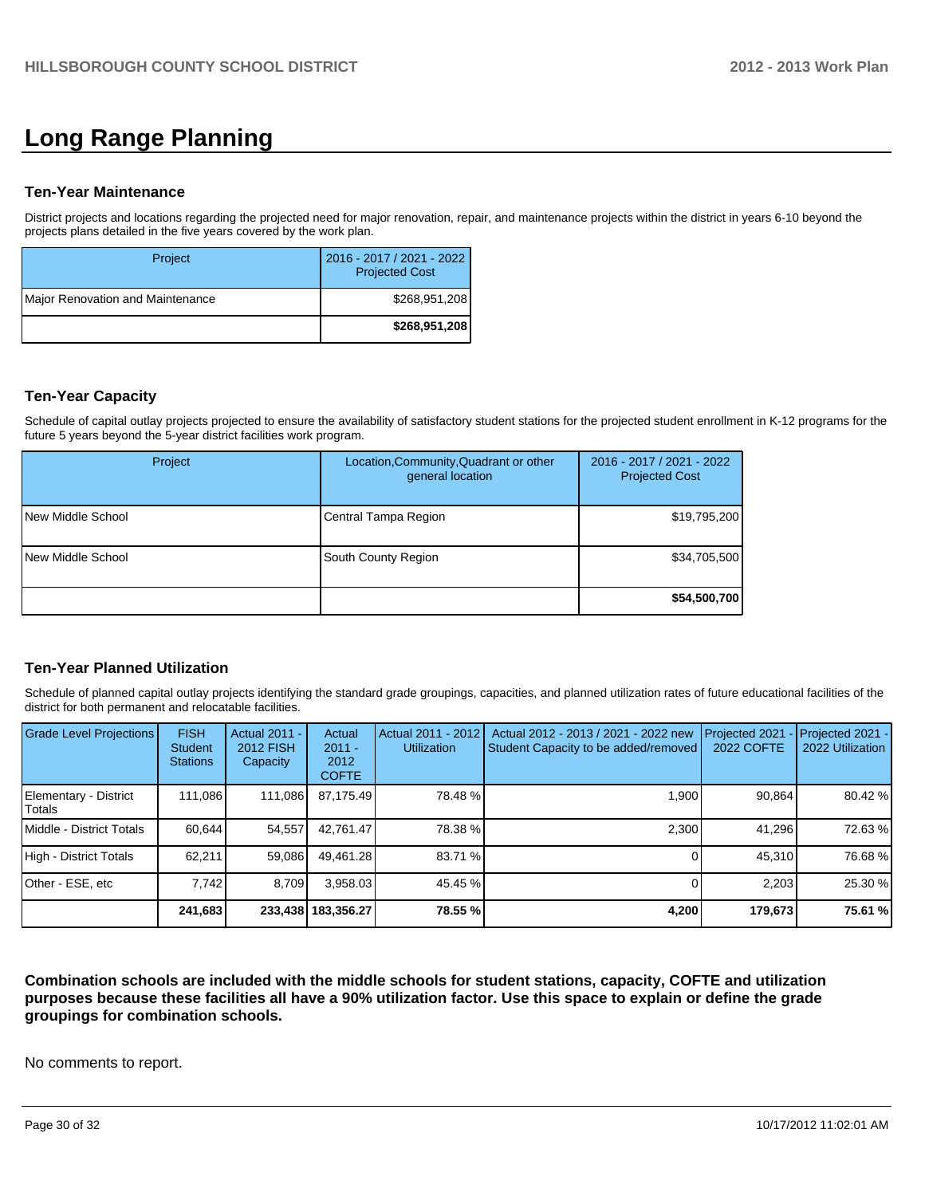# **Long Range Planning**

#### **Ten-Year Maintenance**

District projects and locations regarding the projected need for major renovation, repair, and maintenance projects within the district in years 6-10 beyond the projects plans detailed in the five years covered by the work plan.

| Project                          | 2016 - 2017 / 2021 - 2022<br><b>Projected Cost</b> |
|----------------------------------|----------------------------------------------------|
| Major Renovation and Maintenance | \$268,951,208                                      |
|                                  | \$268,951,208                                      |

#### **Ten-Year Capacity**

Schedule of capital outlay projects projected to ensure the availability of satisfactory student stations for the projected student enrollment in K-12 programs for the future 5 years beyond the 5-year district facilities work program.

| Project           | Location, Community, Quadrant or other<br>general location | 2016 - 2017 / 2021 - 2022<br><b>Projected Cost</b> |
|-------------------|------------------------------------------------------------|----------------------------------------------------|
| New Middle School | Central Tampa Region                                       | \$19,795,200                                       |
| New Middle School | South County Region                                        | \$34,705,500                                       |
|                   |                                                            | \$54,500,700                                       |

## **Ten-Year Planned Utilization**

Schedule of planned capital outlay projects identifying the standard grade groupings, capacities, and planned utilization rates of future educational facilities of the district for both permanent and relocatable facilities.

| <b>Grade Level Projections</b>   | <b>FISH</b><br><b>Student</b><br><b>Stations</b> | Actual 2011 -<br>2012 FISH<br>Capacity | Actual<br>$2011 -$<br>2012<br><b>COFTE</b> | Actual 2011 - 2012<br><b>Utilization</b> | Actual 2012 - 2013 / 2021 - 2022 new<br>Student Capacity to be added/removed | Projected 2021<br>2022 COFTE | Projected 2021 -<br>2022 Utilization |
|----------------------------------|--------------------------------------------------|----------------------------------------|--------------------------------------------|------------------------------------------|------------------------------------------------------------------------------|------------------------------|--------------------------------------|
| Elementary - District<br> Totals | 111.086                                          | 111,086                                | 87,175.49                                  | 78.48 %                                  | 1.900                                                                        | 90.864                       | 80.42 %                              |
| Middle - District Totals         | 60.644                                           | 54.557                                 | 42.761.47                                  | 78.38 %                                  | 2,300                                                                        | 41.296                       | 72.63 %                              |
| High - District Totals           | 62.211                                           | 59,086                                 | 49.461.28                                  | 83.71 %                                  |                                                                              | 45,310                       | 76.68 %                              |
| Other - ESE, etc                 | 7.742                                            | 8.709                                  | 3,958.03                                   | 45.45 %                                  |                                                                              | 2.203                        | 25.30 %                              |
|                                  | 241,683                                          |                                        | 233,438 183,356.27                         | 78.55 %                                  | 4,200                                                                        | 179,673                      | 75.61 %                              |

**Combination schools are included with the middle schools for student stations, capacity, COFTE and utilization purposes because these facilities all have a 90% utilization factor. Use this space to explain or define the grade groupings for combination schools.**

No comments to report.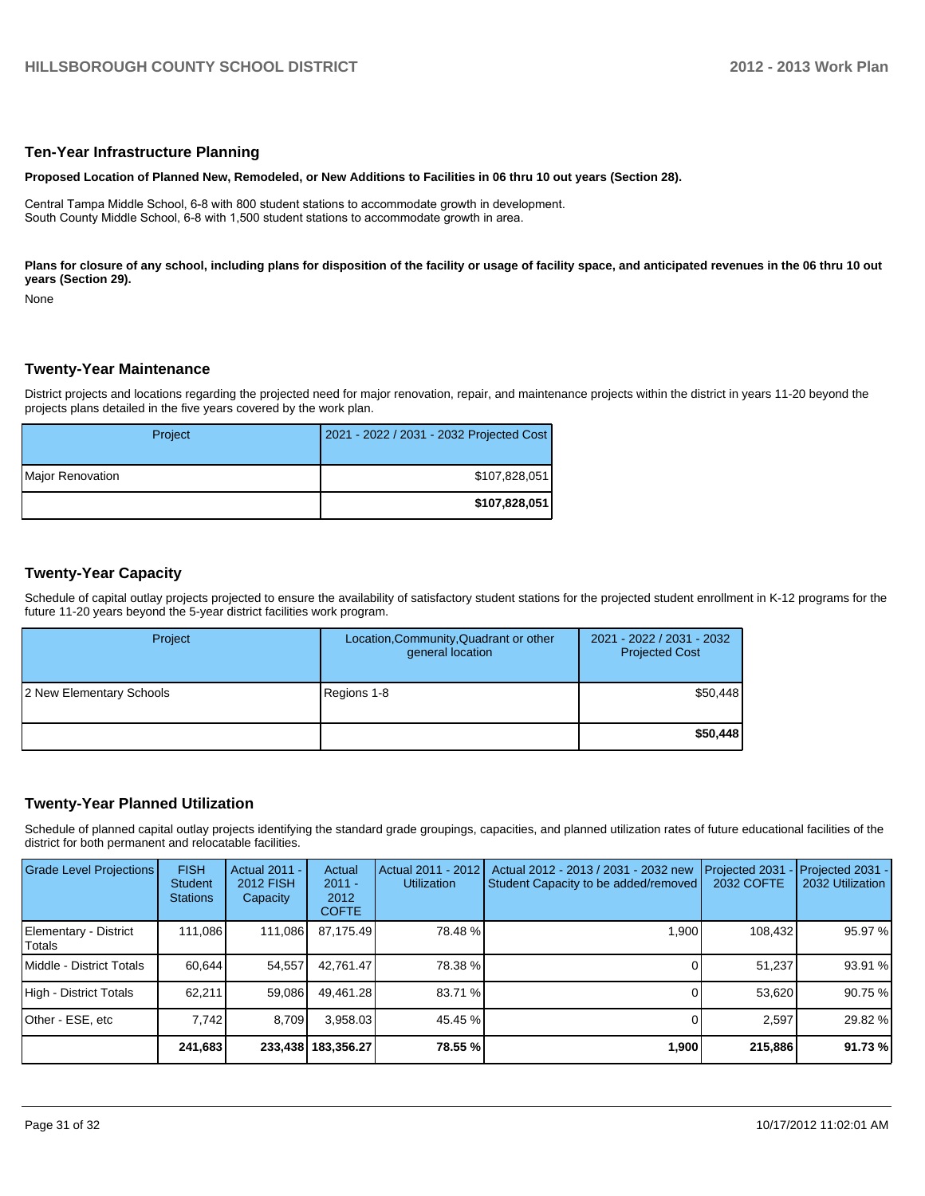#### **Ten-Year Infrastructure Planning**

#### **Proposed Location of Planned New, Remodeled, or New Additions to Facilities in 06 thru 10 out years (Section 28).**

Central Tampa Middle School, 6-8 with 800 student stations to accommodate growth in development. South County Middle School, 6-8 with 1,500 student stations to accommodate growth in area.

Plans for closure of any school, including plans for disposition of the facility or usage of facility space, and anticipated revenues in the 06 thru 10 out **years (Section 29).**

None

#### **Twenty-Year Maintenance**

District projects and locations regarding the projected need for major renovation, repair, and maintenance projects within the district in years 11-20 beyond the projects plans detailed in the five years covered by the work plan.

| Project          | 2021 - 2022 / 2031 - 2032 Projected Cost |
|------------------|------------------------------------------|
| Major Renovation | \$107,828,051                            |
|                  | \$107,828,051                            |

#### **Twenty-Year Capacity**

Schedule of capital outlay projects projected to ensure the availability of satisfactory student stations for the projected student enrollment in K-12 programs for the future 11-20 years beyond the 5-year district facilities work program.

| Project                  | Location, Community, Quadrant or other<br>general location | 2021 - 2022 / 2031 - 2032<br><b>Projected Cost</b> |
|--------------------------|------------------------------------------------------------|----------------------------------------------------|
| 2 New Elementary Schools | Regions 1-8                                                | \$50,448                                           |
|                          |                                                            | \$50,448                                           |

#### **Twenty-Year Planned Utilization**

Schedule of planned capital outlay projects identifying the standard grade groupings, capacities, and planned utilization rates of future educational facilities of the district for both permanent and relocatable facilities.

| <b>Grade Level Projections</b>  | <b>FISH</b><br><b>Student</b><br><b>Stations</b> | <b>Actual 2011 -</b><br>2012 FISH<br>Capacity | Actual<br>$2011 -$<br>2012<br><b>COFTE</b> | Actual 2011 - 2012<br><b>Utilization</b> | Actual 2012 - 2013 / 2031 - 2032 new<br>Student Capacity to be added/removed | Projected 2031<br>2032 COFTE | $-$ Projected 2031 -<br>2032 Utilization |
|---------------------------------|--------------------------------------------------|-----------------------------------------------|--------------------------------------------|------------------------------------------|------------------------------------------------------------------------------|------------------------------|------------------------------------------|
| Elementary - District<br>Totals | 111.086                                          | 111,086                                       | 87.175.49                                  | 78.48 %                                  | 1.900                                                                        | 108,432                      | 95.97 %                                  |
| Middle - District Totals        | 60.644                                           | 54.557                                        | 42.761.47                                  | 78.38 %                                  |                                                                              | 51.237                       | 93.91 %                                  |
| High - District Totals          | 62.211                                           | 59.086                                        | 49.461.28                                  | 83.71 %                                  |                                                                              | 53.620                       | 90.75 %                                  |
| Other - ESE, etc                | 7.742                                            | 8.709                                         | 3,958.03                                   | 45.45 %                                  |                                                                              | 2.597                        | 29.82 %                                  |
|                                 | 241,683                                          |                                               | 233,438 183,356.27                         | 78.55 %                                  | 1,900                                                                        | 215,886                      | 91.73 %                                  |